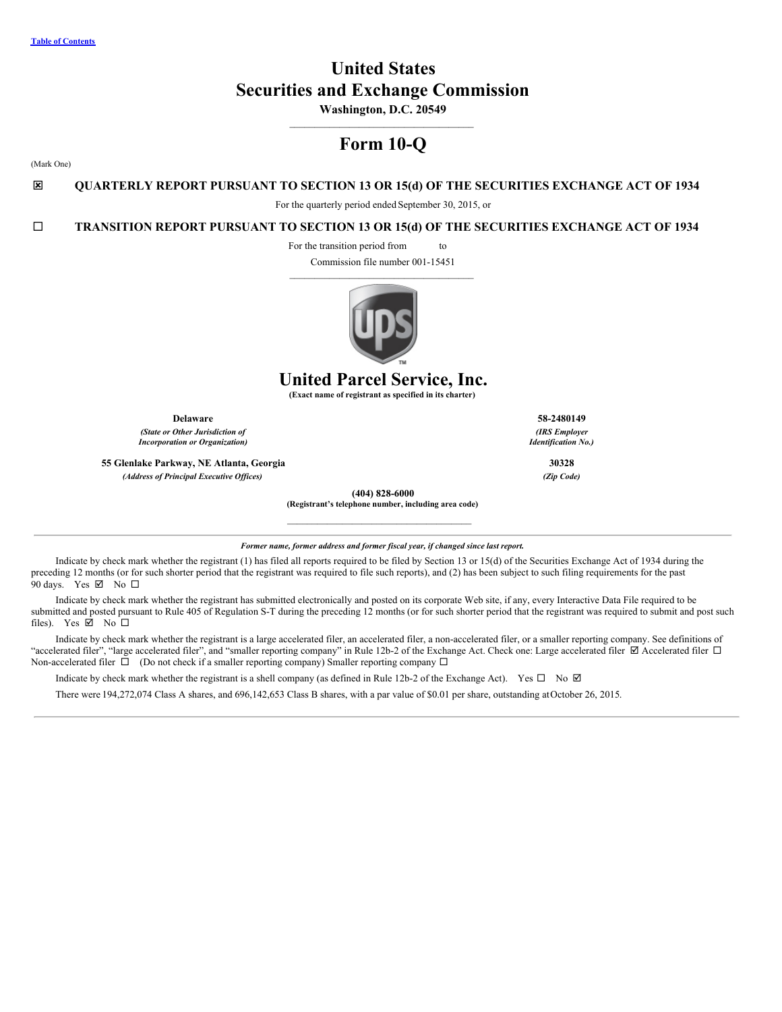# **United States Securities and Exchange Commission**

**Washington, D.C. 20549** \_\_\_\_\_\_\_\_\_\_\_\_\_\_\_\_\_\_\_\_\_\_\_\_\_\_\_\_\_\_\_\_\_\_\_\_\_

# **Form 10-Q**

(Mark One)

### ý **QUARTERLY REPORT PURSUANT TO SECTION 13 OR 15(d) OF THE SECURITIES EXCHANGE ACT OF 1934**

For the quarterly period ended September 30, 2015, or

# ¨ **TRANSITION REPORT PURSUANT TO SECTION 13 OR 15(d) OF THE SECURITIES EXCHANGE ACT OF 1934**

For the transition period from to

Commission file number 001-15451 \_\_\_\_\_\_\_\_\_\_\_\_\_\_\_\_\_\_\_\_\_\_\_\_\_\_\_\_\_\_\_\_\_\_\_\_\_



**United Parcel Service, Inc.**

**(Exact name of registrant as specified in its charter)**

**Delaware 58-2480149**

*(State or Other Jurisdiction of Incorporation or Organization)*

**55 Glenlake Parkway, NE Atlanta, Georgia 30328** *(Address of Principal Executive Of ices) (Zip Code)*

*(IRS Employer Identification No.)*

**(404) 828-6000 (Registrant's telephone number, including area code)**  $\mathcal{L}_\text{max}$  and  $\mathcal{L}_\text{max}$  and  $\mathcal{L}_\text{max}$  and  $\mathcal{L}_\text{max}$ 

*Former name, former address and former fiscal year, if changed since last report.*

Indicate by check mark whether the registrant (1) has filed all reports required to be filed by Section 13 or 15(d) of the Securities Exchange Act of 1934 during the preceding 12 months (or for such shorter period that the registrant was required to file such reports), and (2) has been subject to such filing requirements for the past 90 days. Yes  $\boxtimes$  No  $\square$ 

Indicate by check mark whether the registrant has submitted electronically and posted on its corporate Web site, if any, every Interactive Data File required to be submitted and posted pursuant to Rule 405 of Regulation S-T during the preceding 12 months (or for such shorter period that the registrant was required to submit and post such files). Yes  $\overline{\boxtimes}$  No  $\Box$ 

Indicate by check mark whether the registrant is a large accelerated filer, an accelerated filer, a non-accelerated filer, or a smaller reporting company. See definitions of "accelerated filer", "large accelerated filer", and "smaller reporting company" in Rule 12b-2 of the Exchange Act. Check one: Large accelerated filer  $\Box$  Accelerated filer  $\Box$ Non-accelerated filer  $\Box$  (Do not check if a smaller reporting company) Smaller reporting company  $\Box$ 

Indicate by check mark whether the registrant is a shell company (as defined in Rule 12b-2 of the Exchange Act). Yes  $\Box$  No  $\Box$ 

There were 194,272,074 Class A shares, and 696,142,653 Class B shares, with a par value of \$0.01 per share, outstanding atOctober 26, 2015.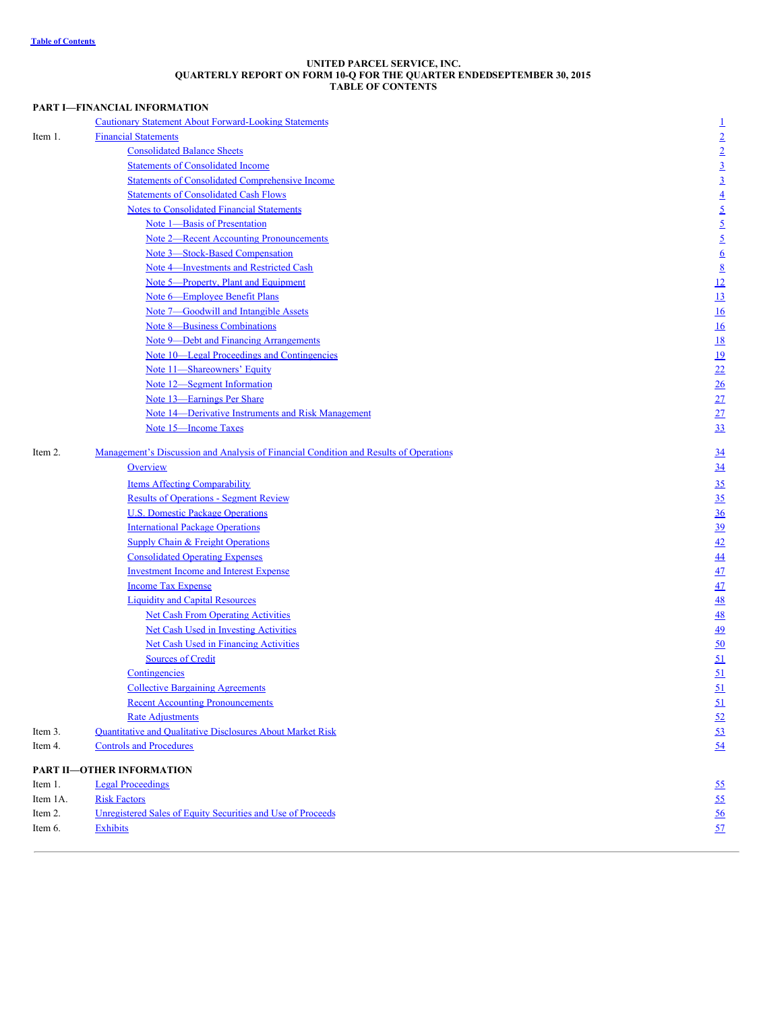### **UNITED PARCEL SERVICE, INC. QUARTERLY REPORT ON FORM 10-Q FOR THE QUARTER ENDEDSEPTEMBER 30, 2015 TABLE OF CONTENTS**

<span id="page-1-0"></span>

|          | <b>PART I-FINANCIAL INFORMATION</b>                                                   |                                           |
|----------|---------------------------------------------------------------------------------------|-------------------------------------------|
|          | <b>Cautionary Statement About Forward-Looking Statements</b>                          | $\overline{1}$                            |
| Item 1.  | <b>Financial Statements</b>                                                           | $\overline{2}$                            |
|          | <b>Consolidated Balance Sheets</b>                                                    |                                           |
|          | <b>Statements of Consolidated Income</b>                                              | $\frac{2}{3}$                             |
|          | <b>Statements of Consolidated Comprehensive Income</b>                                |                                           |
|          | <b>Statements of Consolidated Cash Flows</b>                                          |                                           |
|          | <b>Notes to Consolidated Financial Statements</b>                                     |                                           |
|          | Note 1-Basis of Presentation                                                          | $\frac{4}{5}$ $\frac{5}{5}$ $\frac{5}{6}$ |
|          | <b>Note 2—Recent Accounting Pronouncements</b>                                        |                                           |
|          | Note 3-Stock-Based Compensation                                                       |                                           |
|          | <b>Note 4-Investments and Restricted Cash</b>                                         | $\frac{8}{2}$                             |
|          | Note 5—Property, Plant and Equipment                                                  | 12                                        |
|          | Note 6—Employee Benefit Plans                                                         | 13                                        |
|          | Note 7-Goodwill and Intangible Assets                                                 | 16                                        |
|          | <b>Note 8-Business Combinations</b>                                                   | 16                                        |
|          | Note 9—Debt and Financing Arrangements                                                | 18                                        |
|          | Note 10—Legal Proceedings and Contingencies                                           | <u>19</u>                                 |
|          | Note 11—Shareowners' Equity                                                           | $\overline{22}$                           |
|          | Note 12-Segment Information                                                           | 26                                        |
|          | Note 13-Earnings Per Share                                                            | 27                                        |
|          | Note 14—Derivative Instruments and Risk Management                                    | 27                                        |
|          | Note 15-Income Taxes                                                                  | 33                                        |
|          |                                                                                       |                                           |
| Item 2.  | Management's Discussion and Analysis of Financial Condition and Results of Operations | 34                                        |
|          | Overview                                                                              | 34                                        |
|          | <b>Items Affecting Comparability</b>                                                  | 35                                        |
|          | <b>Results of Operations - Segment Review</b>                                         | 35                                        |
|          | <b>U.S. Domestic Package Operations</b>                                               | 36                                        |
|          | <b>International Package Operations</b>                                               | $\frac{39}{2}$                            |
|          | Supply Chain & Freight Operations                                                     | $\frac{42}{5}$                            |
|          | <b>Consolidated Operating Expenses</b>                                                | $\overline{44}$                           |
|          | <b>Investment Income and Interest Expense</b>                                         | 47                                        |
|          | <b>Income Tax Expense</b>                                                             | 47                                        |
|          | <b>Liquidity and Capital Resources</b>                                                | $\frac{48}{1}$                            |
|          | <b>Net Cash From Operating Activities</b>                                             | $\frac{48}{1}$                            |
|          | <b>Net Cash Used in Investing Activities</b>                                          | $\frac{49}{5}$                            |
|          | <b>Net Cash Used in Financing Activities</b>                                          | 50                                        |
|          | <b>Sources of Credit</b>                                                              | 51                                        |
|          | <u>Contingencies</u>                                                                  | <u>51</u>                                 |
|          | <b>Collective Bargaining Agreements</b>                                               | 51                                        |
|          | <b>Recent Accounting Pronouncements</b>                                               | 51                                        |
|          | <b>Rate Adjustments</b>                                                               | 52                                        |
| Item 3.  | <b>Ouantitative and Oualitative Disclosures About Market Risk</b>                     | 53                                        |
| Item 4.  | <b>Controls and Procedures</b>                                                        | 54                                        |
|          | <b>PART II-OTHER INFORMATION</b>                                                      |                                           |
| Item 1.  | <b>Legal Proceedings</b>                                                              | <u>55</u>                                 |
| Item 1A. | <b>Risk Factors</b>                                                                   | 55                                        |
| Item 2.  | Unregistered Sales of Equity Securities and Use of Proceeds                           | 56                                        |
| Item 6.  | <b>Exhibits</b>                                                                       | 57                                        |
|          |                                                                                       |                                           |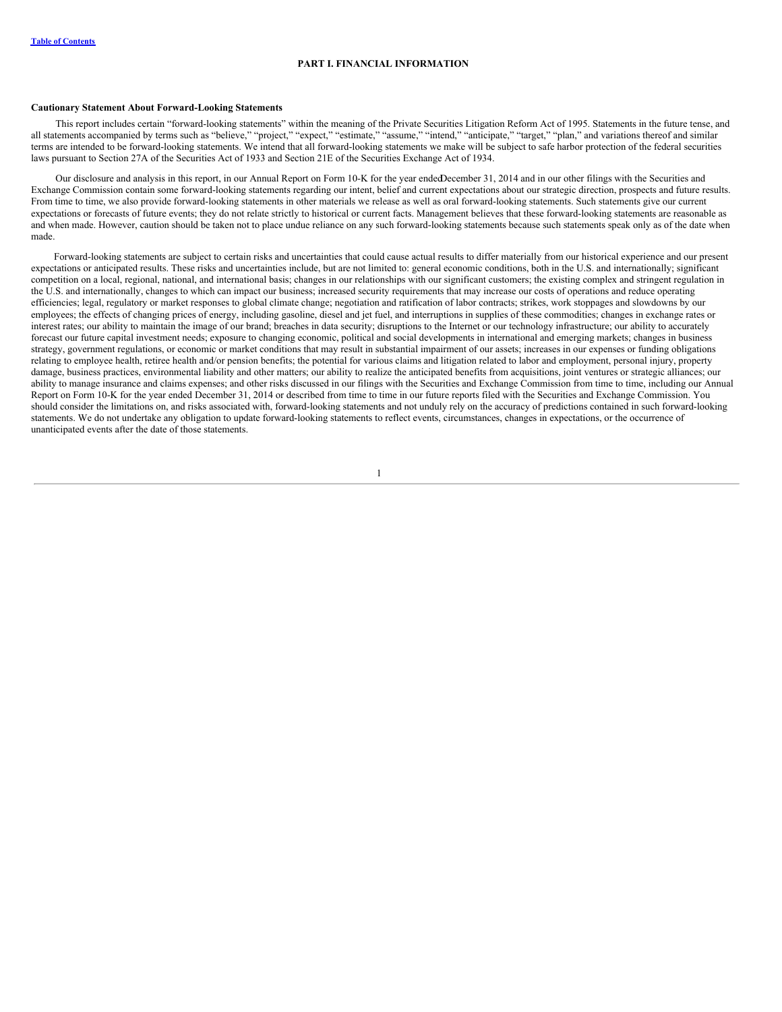### **PART I. FINANCIAL INFORMATION**

### <span id="page-2-0"></span>**Cautionary Statement About Forward-Looking Statements**

This report includes certain "forward-looking statements" within the meaning of the Private Securities Litigation Reform Act of 1995. Statements in the future tense, and all statements accompanied by terms such as "believe," "project," "expect," "estimate," "assume," "intend," "anticipate," "target," "plan," and variations thereof and similar terms are intended to be forward-looking statements. We intend that all forward-looking statements we make will be subject to safe harbor protection of the federal securities laws pursuant to Section 27A of the Securities Act of 1933 and Section 21E of the Securities Exchange Act of 1934.

Our disclosure and analysis in this report, in our Annual Report on Form 10-K for the year endedDecember 31, 2014 and in our other filings with the Securities and Exchange Commission contain some forward-looking statements regarding our intent, belief and current expectations about our strategic direction, prospects and future results. From time to time, we also provide forward-looking statements in other materials we release as well as oral forward-looking statements. Such statements give our current expectations or forecasts of future events; they do not relate strictly to historical or current facts. Management believes that these forward-looking statements are reasonable as and when made. However, caution should be taken not to place undue reliance on any such forward-looking statements because such statements speak only as of the date when made.

Forward-looking statements are subject to certain risks and uncertainties that could cause actual results to differ materially from our historical experience and our present expectations or anticipated results. These risks and uncertainties include, but are not limited to: general economic conditions, both in the U.S. and internationally; significant competition on a local, regional, national, and international basis; changes in our relationships with our significant customers; the existing complex and stringent regulation in the U.S. and internationally, changes to which can impact our business; increased security requirements that may increase our costs of operations and reduce operating efficiencies; legal, regulatory or market responses to global climate change; negotiation and ratification of labor contracts; strikes, work stoppages and slowdowns by our employees; the effects of changing prices of energy, including gasoline, diesel and jet fuel, and interruptions in supplies of these commodities; changes in exchange rates or interest rates; our ability to maintain the image of our brand; breaches in data security; disruptions to the Internet or our technology infrastructure; our ability to accurately forecast our future capital investment needs; exposure to changing economic, political and social developments in international and emerging markets; changes in business strategy, government regulations, or economic or market conditions that may result in substantial impairment of our assets; increases in our expenses or funding obligations relating to employee health, retiree health and/or pension benefits; the potential for various claims and litigation related to labor and employment, personal injury, property damage, business practices, environmental liability and other matters; our ability to realize the anticipated benefits from acquisitions, joint ventures or strategic alliances; our ability to manage insurance and claims expenses; and other risks discussed in our filings with the Securities and Exchange Commission from time to time, including our Annual Report on Form 10-K for the year ended December 31, 2014 or described from time to time in our future reports filed with the Securities and Exchange Commission. You should consider the limitations on, and risks associated with, forward-looking statements and not unduly rely on the accuracy of predictions contained in such forward-looking statements. We do not undertake any obligation to update forward-looking statements to reflect events, circumstances, changes in expectations, or the occurrence of unanticipated events after the date of those statements.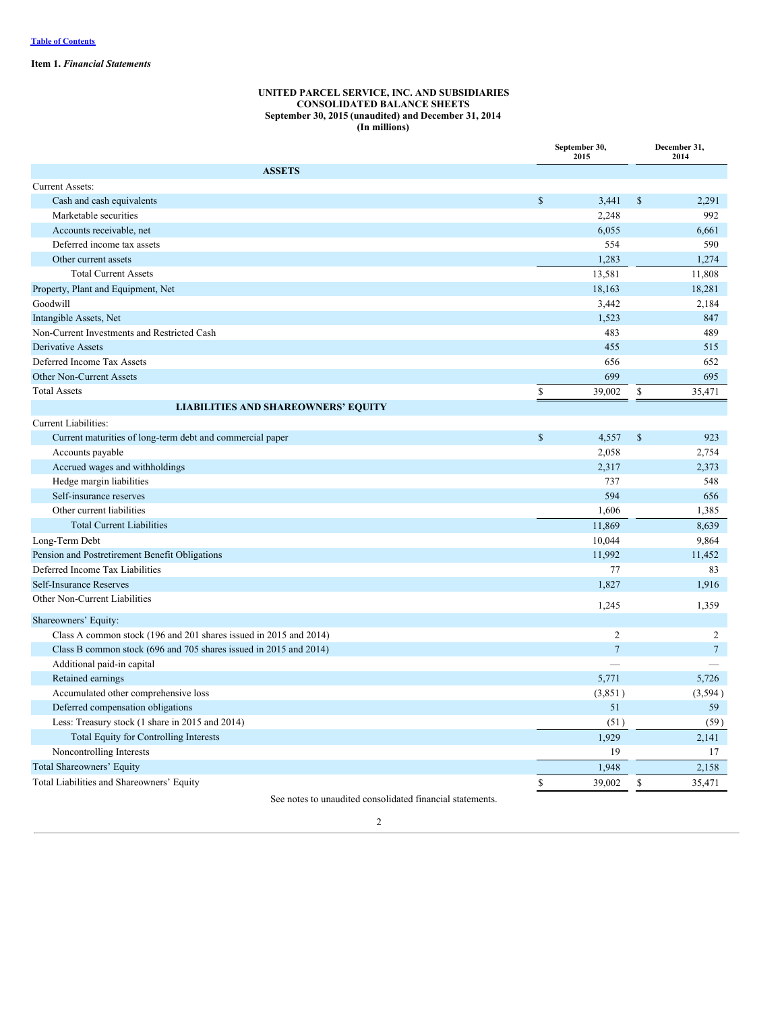<span id="page-3-1"></span><span id="page-3-0"></span>**Item 1.** *Financial Statements*

#### **UNITED PARCEL SERVICE, INC. AND SUBSIDIARIES CONSOLIDATED BALANCE SHEETS September 30, 2015 (unaudited) and December 31, 2014 (In millions)**

|                                                                   | September 30,<br>2015 |                                    | December 31,<br>2014 |                      |
|-------------------------------------------------------------------|-----------------------|------------------------------------|----------------------|----------------------|
| <b>ASSETS</b>                                                     |                       |                                    |                      |                      |
| <b>Current Assets:</b>                                            |                       |                                    |                      |                      |
| Cash and cash equivalents                                         | $\mathbb{S}$          | 3.441                              | $\mathsf{\$}$        | 2,291                |
| Marketable securities                                             |                       | 2,248                              |                      | 992                  |
| Accounts receivable, net                                          |                       | 6,055                              |                      | 6,661                |
| Deferred income tax assets                                        |                       | 554                                |                      | 590                  |
| Other current assets                                              |                       | 1,283                              |                      | 1,274                |
| <b>Total Current Assets</b>                                       |                       | 13,581                             |                      | 11,808               |
| Property, Plant and Equipment, Net                                |                       | 18,163                             |                      | 18,281               |
| Goodwill                                                          |                       | 3,442                              |                      | 2,184                |
| Intangible Assets, Net                                            |                       | 1,523                              |                      | 847                  |
| Non-Current Investments and Restricted Cash                       |                       | 483                                |                      | 489                  |
| <b>Derivative Assets</b>                                          |                       | 455                                |                      | 515                  |
| Deferred Income Tax Assets                                        |                       | 656                                |                      | 652                  |
| <b>Other Non-Current Assets</b>                                   |                       | 699                                |                      | 695                  |
| <b>Total Assets</b>                                               | $\mathbb S$           | 39,002                             | ${\mathbb S}$        | 35,471               |
| <b>LIABILITIES AND SHAREOWNERS' EQUITY</b>                        |                       |                                    |                      |                      |
| <b>Current Liabilities:</b>                                       |                       |                                    |                      |                      |
| Current maturities of long-term debt and commercial paper         | $\mathbb{S}$          | 4,557                              | $\mathbb{S}$         | 923                  |
| Accounts payable                                                  |                       | 2,058                              |                      | 2,754                |
| Accrued wages and withholdings                                    |                       | 2,317                              |                      | 2,373                |
| Hedge margin liabilities                                          |                       | 737                                |                      | 548                  |
| Self-insurance reserves                                           |                       | 594                                |                      | 656                  |
| Other current liabilities                                         |                       | 1,606                              |                      | 1,385                |
| <b>Total Current Liabilities</b>                                  |                       | 11,869                             |                      | 8,639                |
| Long-Term Debt                                                    |                       | 10,044                             |                      | 9,864                |
| Pension and Postretirement Benefit Obligations                    |                       | 11,992                             |                      | 11,452               |
| Deferred Income Tax Liabilities                                   |                       | 77                                 |                      | 83                   |
| <b>Self-Insurance Reserves</b>                                    |                       | 1.827                              |                      | 1,916                |
| Other Non-Current Liabilities                                     |                       |                                    |                      |                      |
|                                                                   |                       | 1,245                              |                      | 1,359                |
| Shareowners' Equity:                                              |                       |                                    |                      |                      |
| Class A common stock (196 and 201 shares issued in 2015 and 2014) |                       | $\overline{c}$<br>$\boldsymbol{7}$ |                      | 2<br>$7\phantom{.0}$ |
| Class B common stock (696 and 705 shares issued in 2015 and 2014) |                       |                                    |                      |                      |
| Additional paid-in capital                                        |                       | 5,771                              |                      |                      |
| Retained earnings                                                 |                       |                                    |                      | 5,726                |
| Accumulated other comprehensive loss                              |                       | (3,851)<br>51                      |                      | (3, 594)<br>59       |
| Deferred compensation obligations                                 |                       |                                    |                      |                      |
| Less: Treasury stock (1 share in 2015 and 2014)                   |                       | (51)                               |                      | (59)                 |
| Total Equity for Controlling Interests                            |                       | 1,929                              |                      | 2,141                |
| Noncontrolling Interests                                          |                       | 19                                 |                      | 17                   |
| Total Shareowners' Equity                                         |                       | 1,948                              |                      | 2,158                |
| Total Liabilities and Shareowners' Equity                         | $\mathbf S$           | 39,002                             | \$                   | 35,471               |

See notes to unaudited consolidated financial statements.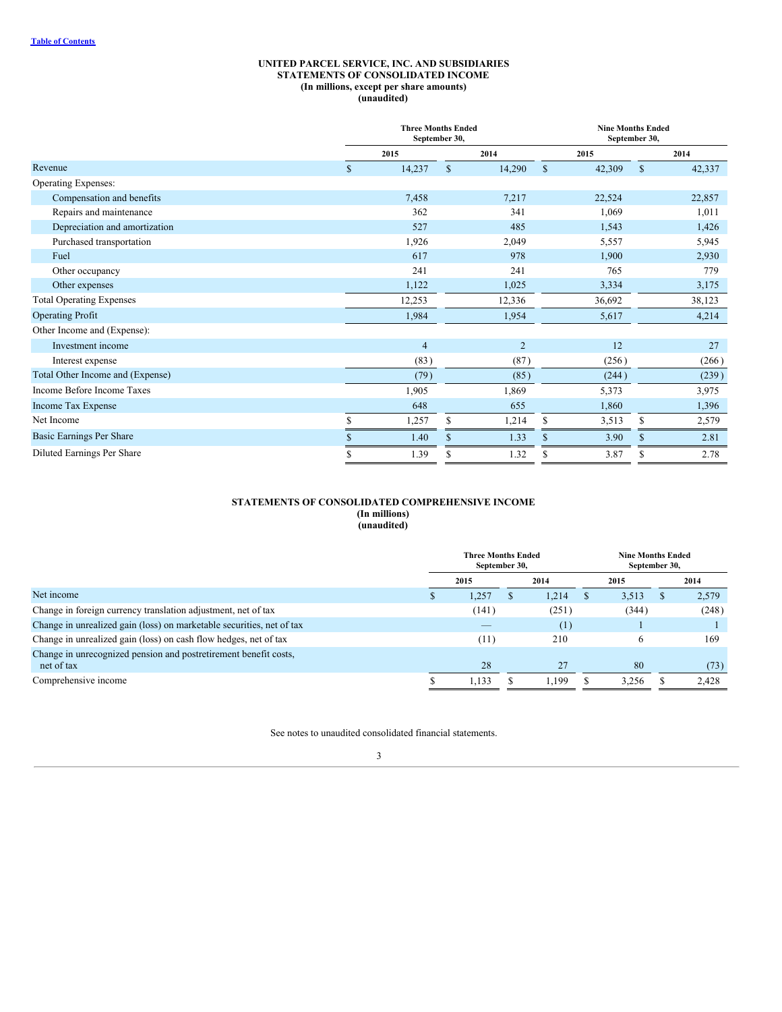### **UNITED PARCEL SERVICE, INC. AND SUBSIDIARIES STATEMENTS OF CONSOLIDATED INCOME (In millions, except per share amounts) (unaudited)**

<span id="page-4-0"></span>

|                                  |              | <b>Three Months Ended</b><br>September 30, |              |                |               | <b>Nine Months Ended</b> |              |        |
|----------------------------------|--------------|--------------------------------------------|--------------|----------------|---------------|--------------------------|--------------|--------|
|                                  |              | 2015                                       |              | 2014           |               | 2015                     |              | 2014   |
| Revenue                          | $\mathbb{S}$ | 14,237                                     | $\mathbb{S}$ | 14,290         | $\mathcal{S}$ | 42,309                   | $\mathbb{S}$ | 42,337 |
| Operating Expenses:              |              |                                            |              |                |               |                          |              |        |
| Compensation and benefits        |              | 7,458                                      |              | 7,217          |               | 22,524                   |              | 22,857 |
| Repairs and maintenance          |              | 362                                        |              | 341            |               | 1,069                    |              | 1,011  |
| Depreciation and amortization    |              | 527                                        |              | 485            |               | 1,543                    |              | 1,426  |
| Purchased transportation         |              | 1,926                                      |              | 2,049          |               | 5,557                    |              | 5,945  |
| Fuel                             |              | 617                                        |              | 978            |               | 1,900                    |              | 2,930  |
| Other occupancy                  |              | 241                                        |              | 241            |               | 765                      |              | 779    |
| Other expenses                   |              | 1,122                                      |              | 1,025          |               | 3,334                    |              | 3,175  |
| <b>Total Operating Expenses</b>  |              | 12,253                                     |              | 12,336         |               | 36,692                   |              | 38,123 |
| <b>Operating Profit</b>          |              | 1,984                                      |              | 1,954          |               | 5,617                    |              | 4,214  |
| Other Income and (Expense):      |              |                                            |              |                |               |                          |              |        |
| Investment income                |              | $\overline{4}$                             |              | $\overline{2}$ |               | 12                       |              | 27     |
| Interest expense                 |              | (83)                                       |              | (87)           |               | (256)                    |              | (266)  |
| Total Other Income and (Expense) |              | (79)                                       |              | (85)           |               | (244)                    |              | (239)  |
| Income Before Income Taxes       |              | 1,905                                      |              | 1,869          |               | 5,373                    |              | 3,975  |
| Income Tax Expense               |              | 648                                        |              | 655            |               | 1,860                    |              | 1,396  |
| Net Income                       | S            | 1,257                                      | S.           | 1,214          | <sup>\$</sup> | 3,513                    | S            | 2,579  |
| Basic Earnings Per Share         | S            | 1.40                                       | S            | 1.33           | \$            | 3.90                     | S            | 2.81   |
| Diluted Earnings Per Share       | \$           | 1.39                                       | \$           | 1.32           | S             | 3.87                     | S            | 2.78   |

### **STATEMENTS OF CONSOLIDATED COMPREHENSIVE INCOME (In millions) (unaudited)**

<span id="page-4-1"></span>

|                                                                                | <b>Three Months Ended</b><br>September 30, |       |  |       | <b>Nine Months Ended</b><br>September 30, |  |       |  |
|--------------------------------------------------------------------------------|--------------------------------------------|-------|--|-------|-------------------------------------------|--|-------|--|
|                                                                                | 2014<br>2015                               |       |  | 2015  | 2014                                      |  |       |  |
| Net income                                                                     |                                            | 1,257 |  | 1,214 | 3,513                                     |  | 2,579 |  |
| Change in foreign currency translation adjustment, net of tax                  |                                            | (141) |  | (251) | (344)                                     |  | (248) |  |
| Change in unrealized gain (loss) on marketable securities, net of tax          |                                            |       |  | (1)   |                                           |  |       |  |
| Change in unrealized gain (loss) on cash flow hedges, net of tax               |                                            | (11)  |  | 210   | 6                                         |  | 169   |  |
| Change in unrecognized pension and postretirement benefit costs,<br>net of tax |                                            | 28    |  | 27    | 80                                        |  | (73)  |  |
| Comprehensive income                                                           |                                            | 1.133 |  | 1.199 | 3.256                                     |  | 2.428 |  |

See notes to unaudited consolidated financial statements.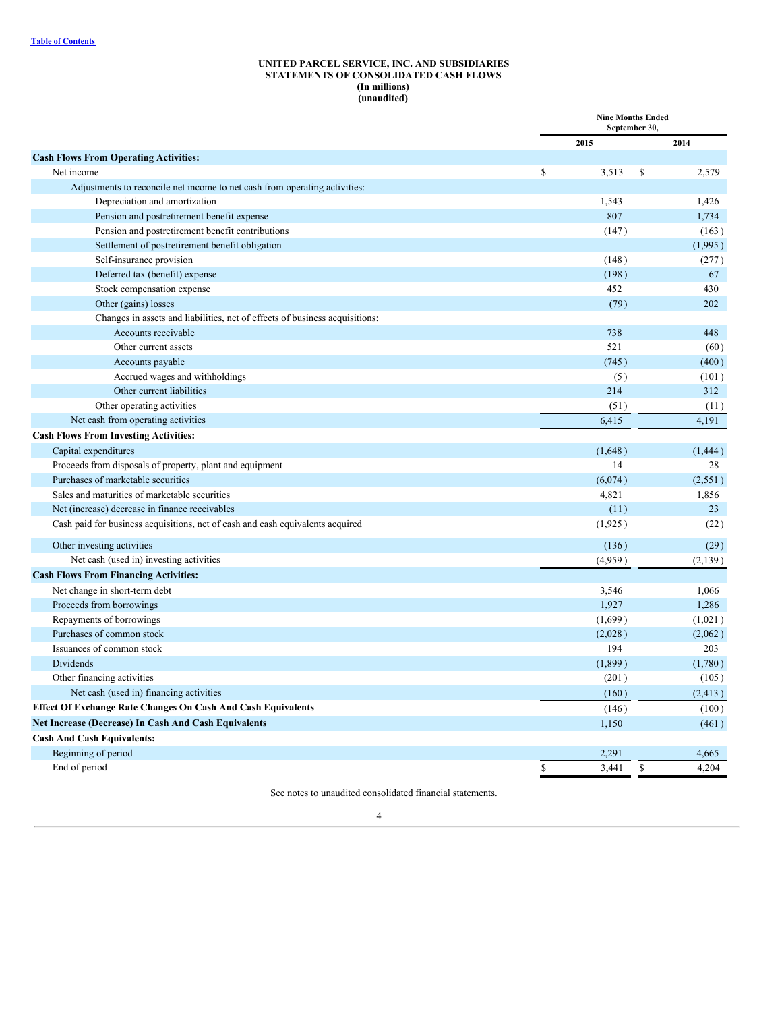#### **UNITED PARCEL SERVICE, INC. AND SUBSIDIARIES STATEMENTS OF CONSOLIDATED CASH FLOWS (In millions) (unaudited)**

<span id="page-5-0"></span>

|                                                                                |             | <b>Nine Months Ended</b><br>September 30, |          |
|--------------------------------------------------------------------------------|-------------|-------------------------------------------|----------|
|                                                                                | 2015        |                                           | 2014     |
| <b>Cash Flows From Operating Activities:</b>                                   |             |                                           |          |
| Net income                                                                     | \$<br>3,513 | \$                                        | 2,579    |
| Adjustments to reconcile net income to net cash from operating activities:     |             |                                           |          |
| Depreciation and amortization                                                  | 1,543       |                                           | 1.426    |
| Pension and postretirement benefit expense                                     |             | 807                                       | 1,734    |
| Pension and postretirement benefit contributions                               |             | (147)                                     | (163)    |
| Settlement of postretirement benefit obligation                                |             |                                           | (1,995)  |
| Self-insurance provision                                                       |             | (148)                                     | (277)    |
| Deferred tax (benefit) expense                                                 |             | (198)                                     | 67       |
| Stock compensation expense                                                     |             | 452                                       | 430      |
| Other (gains) losses                                                           |             | (79)                                      | 202      |
| Changes in assets and liabilities, net of effects of business acquisitions:    |             |                                           |          |
| Accounts receivable                                                            |             | 738                                       | 448      |
| Other current assets                                                           |             | 521                                       | (60)     |
| Accounts payable                                                               |             | (745)                                     | (400)    |
| Accrued wages and withholdings                                                 |             | (5)                                       | (101)    |
| Other current liabilities                                                      |             | 214                                       | 312      |
| Other operating activities                                                     |             | (51)                                      | (11)     |
| Net cash from operating activities                                             | 6,415       |                                           | 4,191    |
| <b>Cash Flows From Investing Activities:</b>                                   |             |                                           |          |
| Capital expenditures                                                           | (1,648)     |                                           | (1, 444) |
| Proceeds from disposals of property, plant and equipment                       |             | 14                                        | 28       |
| Purchases of marketable securities                                             | (6,074)     |                                           | (2, 551) |
| Sales and maturities of marketable securities                                  | 4,821       |                                           | 1,856    |
| Net (increase) decrease in finance receivables                                 |             | (11)                                      | 23       |
| Cash paid for business acquisitions, net of cash and cash equivalents acquired | (1,925)     |                                           | (22)     |
| Other investing activities                                                     |             | (136)                                     | (29)     |
| Net cash (used in) investing activities                                        | (4,959)     |                                           | (2, 139) |
| <b>Cash Flows From Financing Activities:</b>                                   |             |                                           |          |
| Net change in short-term debt                                                  | 3,546       |                                           | 1,066    |
| Proceeds from borrowings                                                       | 1,927       |                                           | 1,286    |
| Repayments of borrowings                                                       | (1,699)     |                                           | (1,021)  |
| Purchases of common stock                                                      | (2,028)     |                                           | (2,062)  |
| Issuances of common stock                                                      |             | 194                                       | 203      |
| Dividends                                                                      | (1,899)     |                                           | (1,780)  |
| Other financing activities                                                     |             | (201)                                     | (105)    |
| Net cash (used in) financing activities                                        |             | (160)                                     | (2, 413) |
| <b>Effect Of Exchange Rate Changes On Cash And Cash Equivalents</b>            |             | (146)                                     | (100)    |
| Net Increase (Decrease) In Cash And Cash Equivalents                           | 1,150       |                                           | (461)    |
| <b>Cash And Cash Equivalents:</b>                                              |             |                                           |          |
| Beginning of period                                                            | 2.291       |                                           | 4,665    |
| End of period                                                                  | \$<br>3,441 | $\mathbf S$                               | 4,204    |
|                                                                                |             |                                           |          |

See notes to unaudited consolidated financial statements.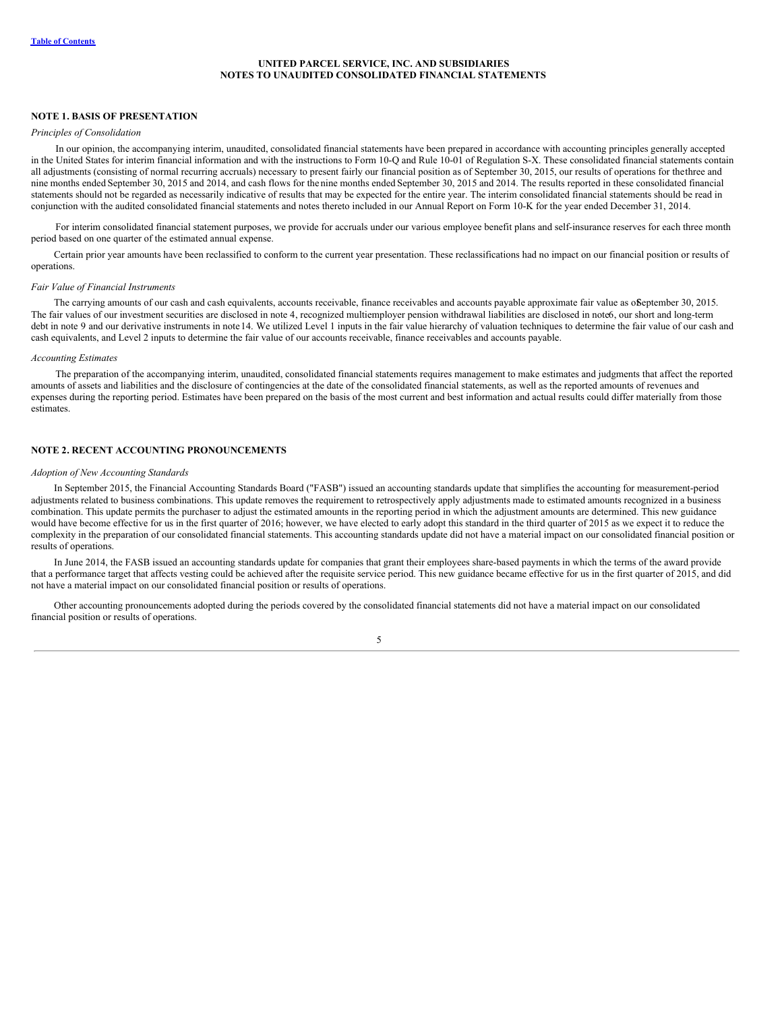### <span id="page-6-1"></span><span id="page-6-0"></span>**NOTE 1. BASIS OF PRESENTATION**

#### *Principles of Consolidation*

In our opinion, the accompanying interim, unaudited, consolidated financial statements have been prepared in accordance with accounting principles generally accepted in the United States for interim financial information and with the instructions to Form 10-Q and Rule 10-01 of Regulation S-X. These consolidated financial statements contain all adjustments (consisting of normal recurring accruals) necessary to present fairly our financial position as of September 30, 2015, our results of operations for the three and nine months ended September 30, 2015 and 2014, and cash flows for the nine months ended September 30, 2015 and 2014. The results reported in these consolidated financial statements should not be regarded as necessarily indicative of results that may be expected for the entire year. The interim consolidated financial statements should be read in conjunction with the audited consolidated financial statements and notes thereto included in our Annual Report on Form 10-K for the year ended December 31, 2014.

For interim consolidated financial statement purposes, we provide for accruals under our various employee benefit plans and self-insurance reserves for each three month period based on one quarter of the estimated annual expense.

Certain prior year amounts have been reclassified to conform to the current year presentation. These reclassifications had no impact on our financial position or results of operations.

#### *Fair Value of Financial Instruments*

The carrying amounts of our cash and cash equivalents, accounts receivable, finance receivables and accounts payable approximate fair value as of eptember 30, 2015. The fair values of our investment securities are disclosed in note 4, recognized multiemployer pension withdrawal liabilities are disclosed in note6, our short and long-term debt in note 9 and our derivative instruments in note 14. We utilized Level 1 inputs in the fair value hierarchy of valuation techniques to determine the fair value of our cash and cash equivalents, and Level 2 inputs to determine the fair value of our accounts receivable, finance receivables and accounts payable.

#### *Accounting Estimates*

The preparation of the accompanying interim, unaudited, consolidated financial statements requires management to make estimates and judgments that affect the reported amounts of assets and liabilities and the disclosure of contingencies at the date of the consolidated financial statements, as well as the reported amounts of revenues and expenses during the reporting period. Estimates have been prepared on the basis of the most current and best information and actual results could differ materially from those estimates.

### <span id="page-6-2"></span>**NOTE 2. RECENT ACCOUNTING PRONOUNCEMENTS**

#### *Adoption of New Accounting Standards*

In September 2015, the Financial Accounting Standards Board ("FASB") issued an accounting standards update that simplifies the accounting for measurement-period adjustments related to business combinations. This update removes the requirement to retrospectively apply adjustments made to estimated amounts recognized in a business combination. This update permits the purchaser to adjust the estimated amounts in the reporting period in which the adjustment amounts are determined. This new guidance would have become effective for us in the first quarter of 2016; however, we have elected to early adopt this standard in the third quarter of 2015 as we expect it to reduce the complexity in the preparation of our consolidated financial statements. This accounting standards update did not have a material impact on our consolidated financial position or results of operations.

In June 2014, the FASB issued an accounting standards update for companies that grant their employees share-based payments in which the terms of the award provide that a performance target that affects vesting could be achieved after the requisite service period. This new guidance became effective for us in the first quarter of 2015, and did not have a material impact on our consolidated financial position or results of operations.

Other accounting pronouncements adopted during the periods covered by the consolidated financial statements did not have a material impact on our consolidated financial position or results of operations.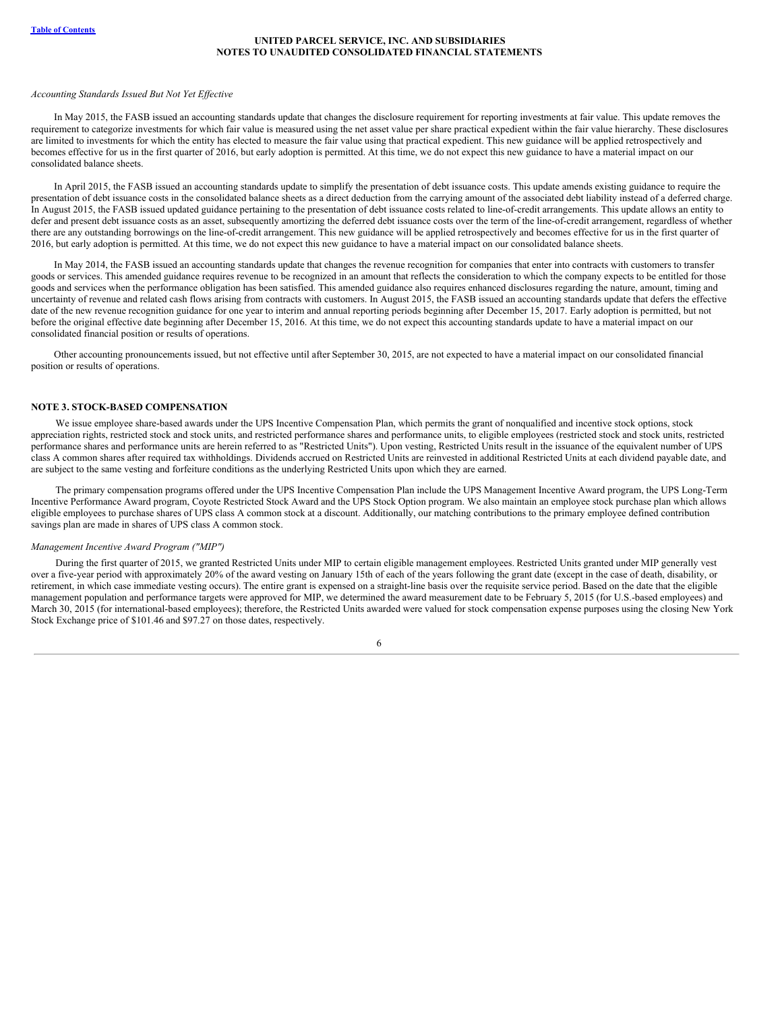#### *Accounting Standards Issued But Not Yet Ef ective*

In May 2015, the FASB issued an accounting standards update that changes the disclosure requirement for reporting investments at fair value. This update removes the requirement to categorize investments for which fair value is measured using the net asset value per share practical expedient within the fair value hierarchy. These disclosures are limited to investments for which the entity has elected to measure the fair value using that practical expedient. This new guidance will be applied retrospectively and becomes effective for us in the first quarter of 2016, but early adoption is permitted. At this time, we do not expect this new guidance to have a material impact on our consolidated balance sheets.

In April 2015, the FASB issued an accounting standards update to simplify the presentation of debt issuance costs. This update amends existing guidance to require the presentation of debt issuance costs in the consolidated balance sheets as a direct deduction from the carrying amount of the associated debt liability instead of a deferred charge. In August 2015, the FASB issued updated guidance pertaining to the presentation of debt issuance costs related to line-of-credit arrangements. This update allows an entity to defer and present debt issuance costs as an asset, subsequently amortizing the deferred debt issuance costs over the term of the line-of-credit arrangement, regardless of whether there are any outstanding borrowings on the line-of-credit arrangement. This new guidance will be applied retrospectively and becomes effective for us in the first quarter of 2016, but early adoption is permitted. At this time, we do not expect this new guidance to have a material impact on our consolidated balance sheets.

In May 2014, the FASB issued an accounting standards update that changes the revenue recognition for companies that enter into contracts with customers to transfer goods or services. This amended guidance requires revenue to be recognized in an amount that reflects the consideration to which the company expects to be entitled for those goods and services when the performance obligation has been satisfied. This amended guidance also requires enhanced disclosures regarding the nature, amount, timing and uncertainty of revenue and related cash flows arising from contracts with customers. In August 2015, the FASB issued an accounting standards update that defers the effective date of the new revenue recognition guidance for one year to interim and annual reporting periods beginning after December 15, 2017. Early adoption is permitted, but not before the original effective date beginning after December 15, 2016. At this time, we do not expect this accounting standards update to have a material impact on our consolidated financial position or results of operations.

<span id="page-7-0"></span>Other accounting pronouncements issued, but not effective until after September 30, 2015, are not expected to have a material impact on our consolidated financial position or results of operations.

#### **NOTE 3. STOCK-BASED COMPENSATION**

We issue employee share-based awards under the UPS Incentive Compensation Plan, which permits the grant of nonqualified and incentive stock options, stock appreciation rights, restricted stock and stock units, and restricted performance shares and performance units, to eligible employees (restricted stock and stock units, restricted performance shares and performance units are herein referred to as "Restricted Units"). Upon vesting, Restricted Units result in the issuance of the equivalent number of UPS class A common shares after required tax withholdings. Dividends accrued on Restricted Units are reinvested in additional Restricted Units at each dividend payable date, and are subject to the same vesting and forfeiture conditions as the underlying Restricted Units upon which they are earned.

The primary compensation programs offered under the UPS Incentive Compensation Plan include the UPS Management Incentive Award program, the UPS Long-Term Incentive Performance Award program, Coyote Restricted Stock Award and the UPS Stock Option program. We also maintain an employee stock purchase plan which allows eligible employees to purchase shares of UPS class A common stock at a discount. Additionally, our matching contributions to the primary employee defined contribution savings plan are made in shares of UPS class A common stock.

#### *Management Incentive Award Program ("MIP")*

During the first quarter of 2015, we granted Restricted Units under MIP to certain eligible management employees. Restricted Units granted under MIP generally vest over a five-year period with approximately 20% of the award vesting on January 15th of each of the years following the grant date (except in the case of death, disability, or retirement, in which case immediate vesting occurs). The entire grant is expensed on a straight-line basis over the requisite service period. Based on the date that the eligible management population and performance targets were approved for MIP, we determined the award measurement date to be February 5, 2015 (for U.S.-based employees) and March 30, 2015 (for international-based employees); therefore, the Restricted Units awarded were valued for stock compensation expense purposes using the closing New York Stock Exchange price of \$101.46 and \$97.27 on those dates, respectively.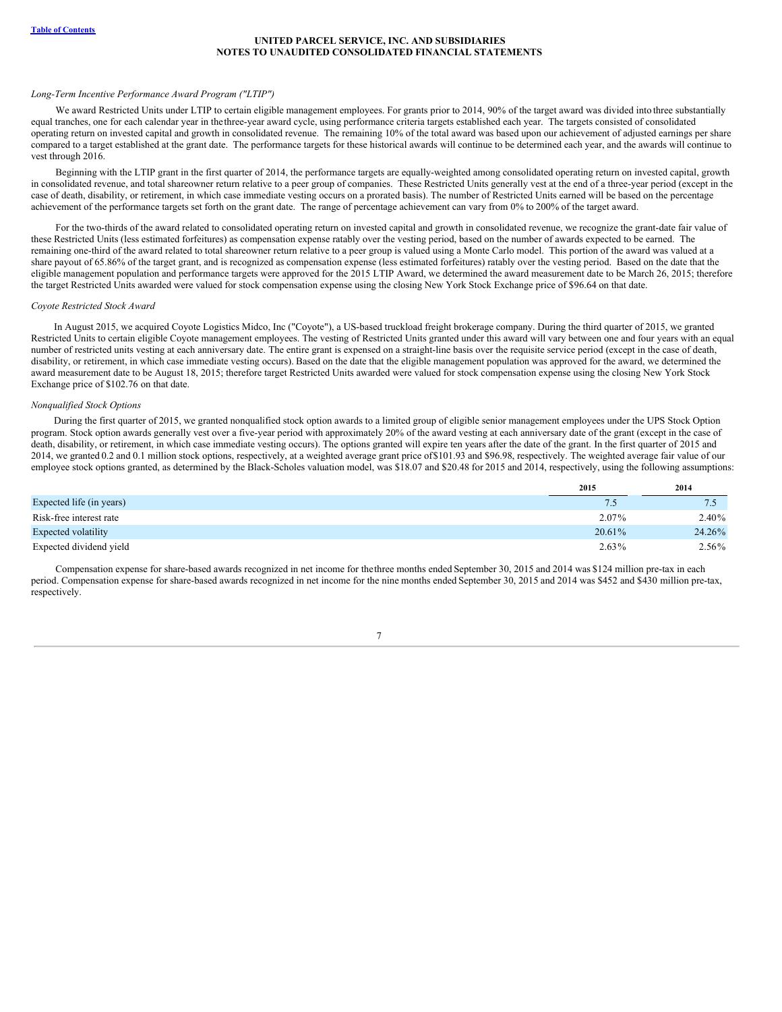#### *Long-Term Incentive Performance Award Program ("LTIP")*

We award Restricted Units under LTIP to certain eligible management employees. For grants prior to 2014, 90% of the target award was divided into three substantially equal tranches, one for each calendar year in thethree-year award cycle, using performance criteria targets established each year. The targets consisted of consolidated operating return on invested capital and growth in consolidated revenue. The remaining 10% of the total award was based upon our achievement of adjusted earnings per share compared to a target established at the grant date. The performance targets for these historical awards will continue to be determined each year, and the awards will continue to vest through 2016.

Beginning with the LTIP grant in the first quarter of 2014, the performance targets are equally-weighted among consolidated operating return on invested capital, growth in consolidated revenue, and total shareowner return relative to a peer group of companies. These Restricted Units generally vest at the end of a three-year period (except in the case of death, disability, or retirement, in which case immediate vesting occurs on a prorated basis). The number of Restricted Units earned will be based on the percentage achievement of the performance targets set forth on the grant date. The range of percentage achievement can vary from 0% to 200% of the target award.

For the two-thirds of the award related to consolidated operating return on invested capital and growth in consolidated revenue, we recognize the grant-date fair value of these Restricted Units (less estimated forfeitures) as compensation expense ratably over the vesting period, based on the number of awards expected to be earned. The remaining one-third of the award related to total shareowner return relative to a peer group is valued using a Monte Carlo model. This portion of the award was valued at a share payout of 65.86% of the target grant, and is recognized as compensation expense (less estimated forfeitures) ratably over the vesting period. Based on the date that the eligible management population and performance targets were approved for the 2015 LTIP Award, we determined the award measurement date to be March 26, 2015; therefore the target Restricted Units awarded were valued for stock compensation expense using the closing New York Stock Exchange price of \$96.64 on that date.

#### *Coyote Restricted Stock Award*

In August 2015, we acquired Coyote Logistics Midco, Inc ("Coyote"), a US-based truckload freight brokerage company. During the third quarter of 2015, we granted Restricted Units to certain eligible Coyote management employees. The vesting of Restricted Units granted under this award will vary between one and four years with an equal number of restricted units vesting at each anniversary date. The entire grant is expensed on a straight-line basis over the requisite service period (except in the case of death, disability, or retirement, in which case immediate vesting occurs). Based on the date that the eligible management population was approved for the award, we determined the award measurement date to be August 18, 2015; therefore target Restricted Units awarded were valued for stock compensation expense using the closing New York Stock Exchange price of \$102.76 on that date.

#### *Nonqualified Stock Options*

During the first quarter of 2015, we granted nonqualified stock option awards to a limited group of eligible senior management employees under the UPS Stock Option program. Stock option awards generally vest over a five-year period with approximately 20% of the award vesting at each anniversary date of the grant (except in the case of death, disability, or retirement, in which case immediate vesting occurs). The options granted will expire ten years after the date of the grant. In the first quarter of 2015 and 2014, we granted 0.2 and 0.1 million stock options, respectively, at a weighted average grant price of\$101.93 and \$96.98, respectively. The weighted average fair value of our employee stock options granted, as determined by the Black-Scholes valuation model, was \$18.07 and \$20.48 for 2015 and 2014, respectively, using the following assumptions:

|                            | 2015     | 2014     |
|----------------------------|----------|----------|
| Expected life (in years)   | 7.5      | ن ا      |
| Risk-free interest rate    | 2.07%    | 2.40%    |
| <b>Expected volatility</b> | 20.61%   | 24.26%   |
| Expected dividend yield    | $2.63\%$ | $2.56\%$ |

Compensation expense for share-based awards recognized in net income for thethree months ended September 30, 2015 and 2014 was \$124 million pre-tax in each period. Compensation expense for share-based awards recognized in net income for the nine months ended September 30, 2015 and 2014 was \$452 and \$430 million pre-tax, respectively.

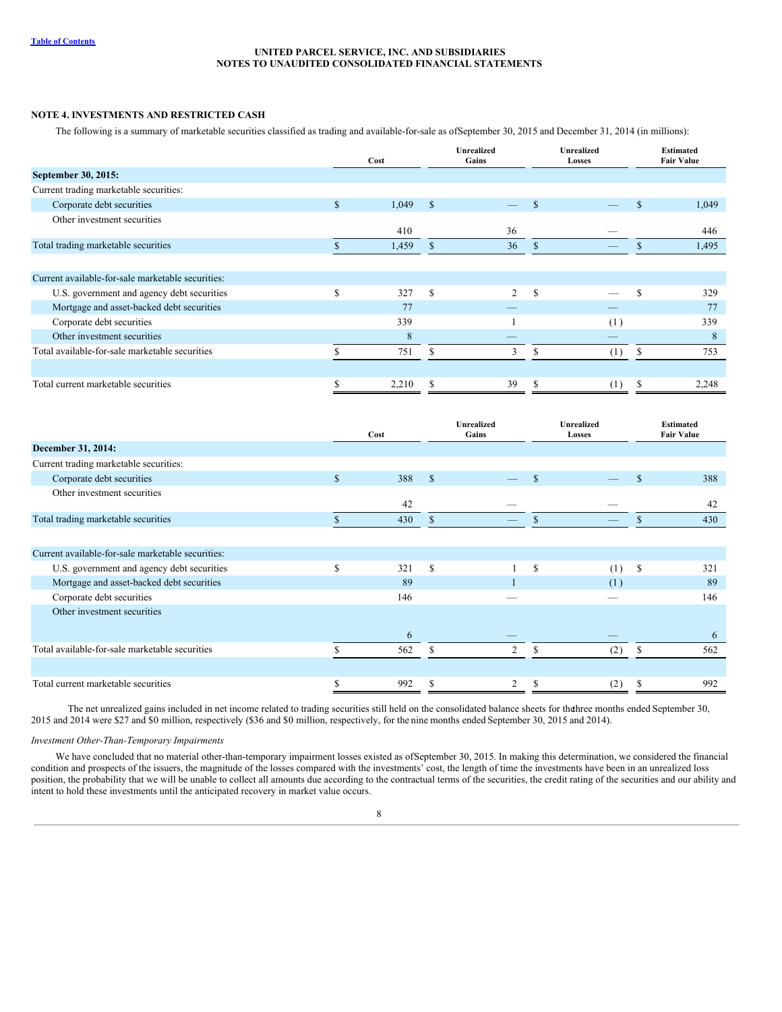## <span id="page-9-0"></span>**NOTE 4. INVESTMENTS AND RESTRICTED CASH**

The following is a summary of marketable securities classified as trading and available-for-sale as ofSeptember 30, 2015 and December 31, 2014 (in millions):

|                                                   |     | Cost  | <b>Unrealized</b><br>Gains |                | <b>Unrealized</b><br>Losses |     |               | <b>Estimated</b><br><b>Fair Value</b> |
|---------------------------------------------------|-----|-------|----------------------------|----------------|-----------------------------|-----|---------------|---------------------------------------|
| September 30, 2015:                               |     |       |                            |                |                             |     |               |                                       |
| Current trading marketable securities:            |     |       |                            |                |                             |     |               |                                       |
| Corporate debt securities                         | \$  | 1,049 | $\mathbb{S}$               |                | <sup>\$</sup>               |     | \$            | 1,049                                 |
| Other investment securities                       |     |       |                            |                |                             |     |               |                                       |
|                                                   |     | 410   |                            | 36             |                             |     |               | 446                                   |
| Total trading marketable securities               | \$  | 1,459 | \$                         | 36             | \$                          |     |               | 1,495                                 |
|                                                   |     |       |                            |                |                             |     |               |                                       |
| Current available-for-sale marketable securities: |     |       |                            |                |                             |     |               |                                       |
| U.S. government and agency debt securities        | \$. | 327   | $\mathbf S$                | $\mathfrak{D}$ | <sup>\$</sup>               |     | \$            | 329                                   |
| Mortgage and asset-backed debt securities         |     | 77    |                            |                |                             |     |               | 77                                    |
| Corporate debt securities                         |     | 339   |                            |                |                             | (1) |               | 339                                   |
| Other investment securities                       |     | 8     |                            |                |                             |     |               | 8                                     |
| Total available-for-sale marketable securities    |     | 751   | S                          | 3              | \$.                         | (1) | S             | 753                                   |
|                                                   |     |       |                            |                |                             |     |               |                                       |
| Total current marketable securities               | \$  | 2,210 | S                          | 39             | S                           | (1) | <sup>\$</sup> | 2,248                                 |

|                                                   | Cost |     | Unrealized<br>Gains |   |               | Unrealized<br>Losses |              | <b>Estimated</b><br><b>Fair Value</b> |
|---------------------------------------------------|------|-----|---------------------|---|---------------|----------------------|--------------|---------------------------------------|
| December 31, 2014:                                |      |     |                     |   |               |                      |              |                                       |
| Current trading marketable securities:            |      |     |                     |   |               |                      |              |                                       |
| Corporate debt securities                         | \$   | 388 | $\mathbf S$         |   | <sup>\$</sup> |                      | \$           | 388                                   |
| Other investment securities                       |      | 42  |                     |   |               |                      |              | 42                                    |
| Total trading marketable securities               |      | 430 | S                   |   |               |                      |              | 430                                   |
|                                                   |      |     |                     |   |               |                      |              |                                       |
| Current available-for-sale marketable securities: |      |     |                     |   |               |                      |              |                                       |
| U.S. government and agency debt securities        | \$   | 321 | S                   |   | S             | (1)                  | \$           | 321                                   |
| Mortgage and asset-backed debt securities         |      | 89  |                     |   |               | (1)                  |              | 89                                    |
| Corporate debt securities                         |      | 146 |                     |   |               |                      |              | 146                                   |
| Other investment securities                       |      |     |                     |   |               |                      |              |                                       |
|                                                   |      | 6   |                     |   |               |                      |              | 6                                     |
| Total available-for-sale marketable securities    |      | 562 | S                   | 2 | \$            | (2)                  | $\mathbb{S}$ | 562                                   |
|                                                   |      |     |                     |   |               |                      |              |                                       |
| Total current marketable securities               | \$   | 992 | \$.                 | 2 | <sup>\$</sup> | (2)                  | \$           | 992                                   |

The net unrealized gains included in net income related to trading securities still held on the consolidated balance sheets for thethree months ended September 30, 2015 and 2014 were \$27 and \$0 million, respectively (\$36 and \$0 million, respectively, for the nine months ended September 30, 2015 and 2014).

### *Investment Other-Than-Temporary Impairments*

We have concluded that no material other-than-temporary impairment losses existed as ofSeptember 30, 2015. In making this determination, we considered the financial condition and prospects of the issuers, the magnitude of the losses compared with the investments' cost, the length of time the investments have been in an unrealized loss position, the probability that we will be unable to collect all amounts due according to the contractual terms of the securities, the credit rating of the securities and our ability and intent to hold these investments until the anticipated recovery in market value occurs.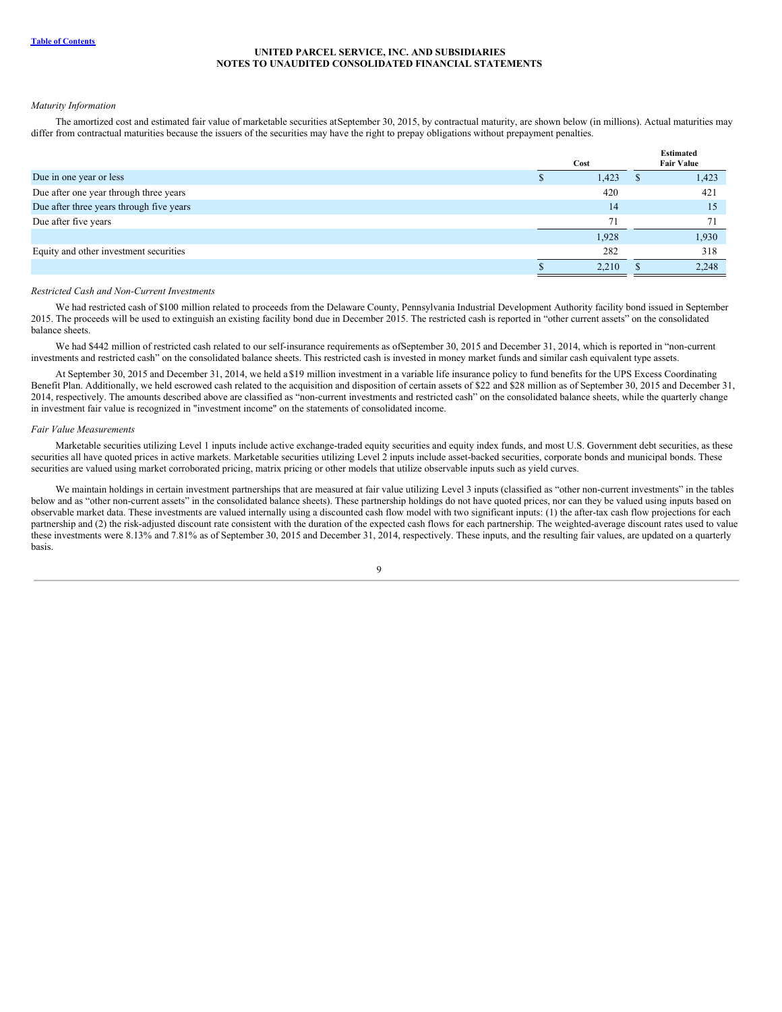#### *Maturity Information*

The amortized cost and estimated fair value of marketable securities atSeptember 30, 2015, by contractual maturity, are shown below (in millions). Actual maturities may differ from contractual maturities because the issuers of the securities may have the right to prepay obligations without prepayment penalties.

|                                          | Cost  | <b>Estimated</b><br><b>Fair Value</b> |
|------------------------------------------|-------|---------------------------------------|
| Due in one year or less                  | 1,423 | 1,423                                 |
| Due after one year through three years   | 420   | 421                                   |
| Due after three years through five years | 14    | 15                                    |
| Due after five years                     | 71    | 71                                    |
|                                          | 1,928 | 1,930                                 |
| Equity and other investment securities   | 282   | 318                                   |
|                                          | 2,210 | 2,248                                 |

#### *Restricted Cash and Non-Current Investments*

We had restricted cash of \$100 million related to proceeds from the Delaware County, Pennsylvania Industrial Development Authority facility bond issued in September 2015. The proceeds will be used to extinguish an existing facility bond due in December 2015. The restricted cash is reported in "other current assets" on the consolidated balance sheets.

We had \$442 million of restricted cash related to our self-insurance requirements as ofSeptember 30, 2015 and December 31, 2014, which is reported in "non-current investments and restricted cash" on the consolidated balance sheets. This restricted cash is invested in money market funds and similar cash equivalent type assets.

At September 30, 2015 and December 31, 2014, we held a \$19 million investment in a variable life insurance policy to fund benefits for the UPS Excess Coordinating Benefit Plan. Additionally, we held escrowed cash related to the acquisition and disposition of certain assets of \$22 and \$28 million as of September 30, 2015 and December 31, 2014, respectively. The amounts described above are classified as "non-current investments and restricted cash" on the consolidated balance sheets, while the quarterly change in investment fair value is recognized in "investment income" on the statements of consolidated income.

#### *Fair Value Measurements*

Marketable securities utilizing Level 1 inputs include active exchange-traded equity securities and equity index funds, and most U.S. Government debt securities, as these securities all have quoted prices in active markets. Marketable securities utilizing Level 2 inputs include asset-backed securities, corporate bonds and municipal bonds. These securities are valued using market corroborated pricing, matrix pricing or other models that utilize observable inputs such as yield curves.

We maintain holdings in certain investment partnerships that are measured at fair value utilizing Level 3 inputs (classified as "other non-current investments" in the tables below and as "other non-current assets" in the consolidated balance sheets). These partnership holdings do not have quoted prices, nor can they be valued using inputs based on observable market data. These investments are valued internally using a discounted cash flow model with two significant inputs: (1) the after-tax cash flow projections for each partnership and (2) the risk-adjusted discount rate consistent with the duration of the expected cash flows for each partnership. The weighted-average discount rates used to value these investments were 8.13% and 7.81% as of September 30, 2015 and December 31, 2014, respectively. These inputs, and the resulting fair values, are updated on a quarterly basis.

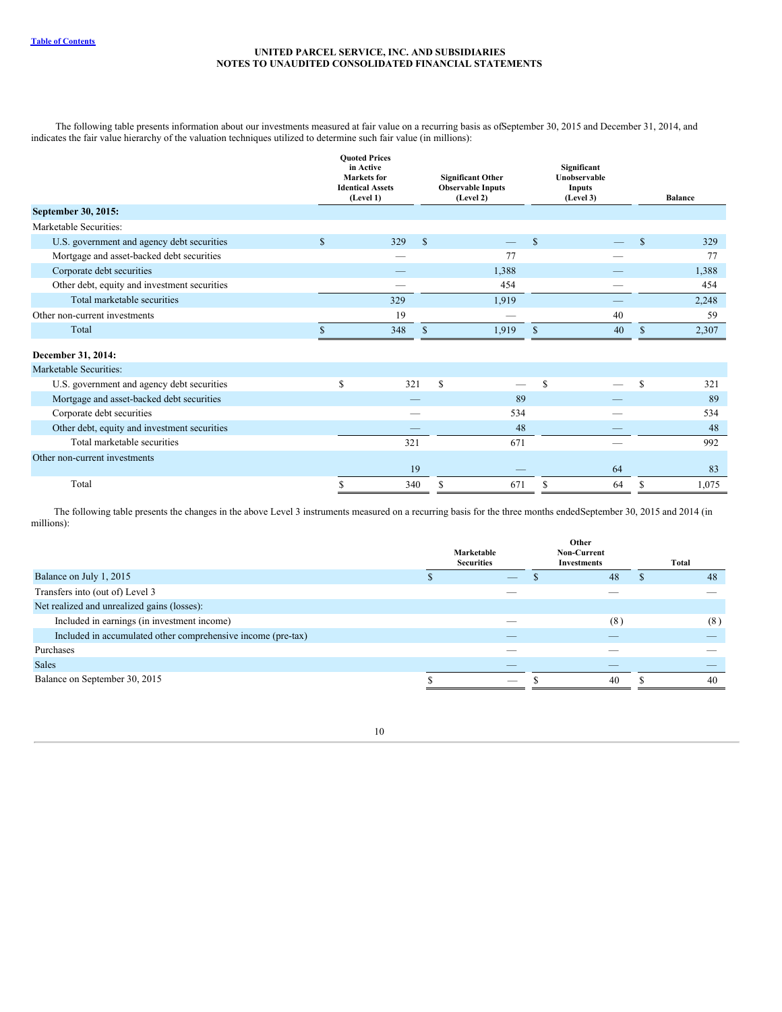The following table presents information about our investments measured at fair value on a recurring basis as ofSeptember 30, 2015 and December 31, 2014, and indicates the fair value hierarchy of the valuation techniques utilized to determine such fair value (in millions):

|                                              | <b>Ouoted Prices</b><br>in Active<br>Markets for<br><b>Identical Assets</b><br>(Level 1) |     |               | <b>Significant Other</b><br><b>Observable Inputs</b><br>(Level 2) |              | Significant<br>Unobservable<br>Inputs<br>(Level 3) |               | <b>Balance</b> |
|----------------------------------------------|------------------------------------------------------------------------------------------|-----|---------------|-------------------------------------------------------------------|--------------|----------------------------------------------------|---------------|----------------|
| September 30, 2015:                          |                                                                                          |     |               |                                                                   |              |                                                    |               |                |
| Marketable Securities:                       |                                                                                          |     |               |                                                                   |              |                                                    |               |                |
| U.S. government and agency debt securities   | $\mathbb{S}$                                                                             | 329 | $\mathbb{S}$  |                                                                   | $\mathbf S$  |                                                    | $\mathbf{s}$  | 329            |
| Mortgage and asset-backed debt securities    |                                                                                          |     |               | 77                                                                |              |                                                    |               | 77             |
| Corporate debt securities                    |                                                                                          |     |               | 1,388                                                             |              |                                                    |               | 1,388          |
| Other debt, equity and investment securities |                                                                                          |     |               | 454                                                               |              |                                                    |               | 454            |
| Total marketable securities                  |                                                                                          | 329 |               | 1,919                                                             |              |                                                    |               | 2,248          |
| Other non-current investments                |                                                                                          | 19  |               | -                                                                 |              | 40                                                 |               | 59             |
| Total                                        |                                                                                          | 348 | <sup>\$</sup> | 1,919                                                             | $\mathbf{s}$ | 40                                                 | $\mathcal{S}$ | 2,307          |
| December 31, 2014:                           |                                                                                          |     |               |                                                                   |              |                                                    |               |                |
| Marketable Securities:                       |                                                                                          |     |               |                                                                   |              |                                                    |               |                |
| U.S. government and agency debt securities   | \$                                                                                       | 321 | $\mathbf S$   |                                                                   | \$           |                                                    | S             | 321            |
| Mortgage and asset-backed debt securities    |                                                                                          |     |               | 89                                                                |              |                                                    |               | 89             |
| Corporate debt securities                    |                                                                                          |     |               | 534                                                               |              |                                                    |               | 534            |
| Other debt, equity and investment securities |                                                                                          |     |               | 48                                                                |              |                                                    |               | 48             |
| Total marketable securities                  |                                                                                          | 321 |               | 671                                                               |              |                                                    |               | 992            |
| Other non-current investments                |                                                                                          | 19  |               |                                                                   |              | 64                                                 |               | 83             |
| Total                                        | S                                                                                        | 340 | S             | 671                                                               | S            | 64                                                 | S             | 1,075          |

The following table presents the changes in the above Level 3 instruments measured on a recurring basis for the three months endedSeptember 30, 2015 and 2014 (in millions):

|                                                              | Marketable                      | Other<br><b>Non-Current</b> |         |
|--------------------------------------------------------------|---------------------------------|-----------------------------|---------|
|                                                              | <b>Securities</b>               | <b>Investments</b>          | Total   |
| Balance on July 1, 2015                                      |                                 | 48                          | 48<br>э |
| Transfers into (out of) Level 3                              | _                               | __                          |         |
| Net realized and unrealized gains (losses):                  |                                 |                             |         |
| Included in earnings (in investment income)                  |                                 | (8)                         | (8)     |
| Included in accumulated other comprehensive income (pre-tax) |                                 |                             |         |
| Purchases                                                    |                                 |                             |         |
| <b>Sales</b>                                                 |                                 |                             |         |
| Balance on September 30, 2015                                | $\hspace{0.1mm}-\hspace{0.1mm}$ | 40                          | 40      |
|                                                              |                                 |                             |         |

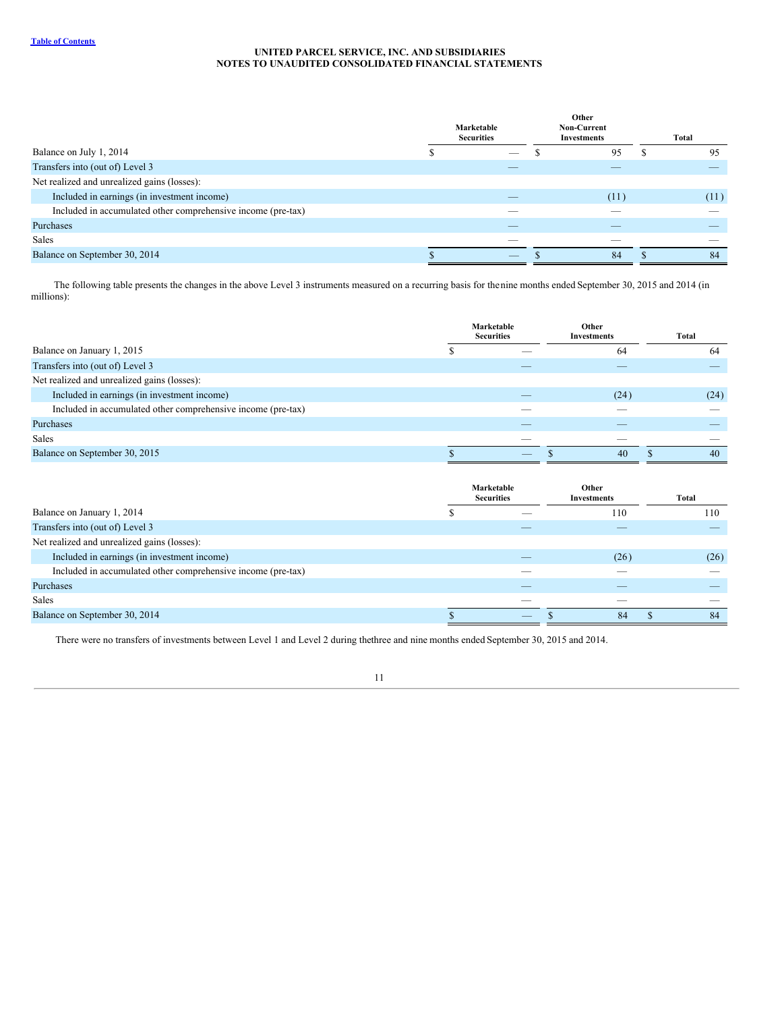|                                                              | Marketable<br><b>Securities</b> | Other<br><b>Non-Current</b> | Total |
|--------------------------------------------------------------|---------------------------------|-----------------------------|-------|
| Balance on July 1, 2014                                      |                                 | Investments                 | 95    |
|                                                              | $\overline{\phantom{a}}$        | 95                          |       |
| Transfers into (out of) Level 3                              |                                 |                             |       |
| Net realized and unrealized gains (losses):                  |                                 |                             |       |
| Included in earnings (in investment income)                  |                                 | (11)                        | (11)  |
| Included in accumulated other comprehensive income (pre-tax) | __                              |                             |       |
| Purchases                                                    |                                 |                             |       |
| Sales                                                        | __                              | $\overline{\phantom{a}}$    | _     |
| Balance on September 30, 2014                                | $-$                             | 84                          | 84    |
|                                                              |                                 |                             |       |

The following table presents the changes in the above Level 3 instruments measured on a recurring basis for thenine months ended September 30, 2015 and 2014 (in millions):

|                                                              | Marketable<br><b>Securities</b> | Other<br><b>Investments</b> | Total |
|--------------------------------------------------------------|---------------------------------|-----------------------------|-------|
| Balance on January 1, 2015                                   |                                 | 64                          | 64    |
| Transfers into (out of) Level 3                              |                                 |                             |       |
| Net realized and unrealized gains (losses):                  |                                 |                             |       |
| Included in earnings (in investment income)                  |                                 | (24)                        | (24)  |
| Included in accumulated other comprehensive income (pre-tax) | _                               |                             | __    |
| Purchases                                                    |                                 |                             |       |
| Sales                                                        | __                              | ___                         |       |
| Balance on September 30, 2015                                | _                               | 40                          | 40    |

|                                                              | Marketable<br><b>Securities</b> | Other<br>Investments     | Total |
|--------------------------------------------------------------|---------------------------------|--------------------------|-------|
| Balance on January 1, 2014                                   |                                 | 110                      | 110   |
| Transfers into (out of) Level 3                              |                                 | $\overline{\phantom{a}}$ |       |
| Net realized and unrealized gains (losses):                  |                                 |                          |       |
| Included in earnings (in investment income)                  |                                 | (26)                     | (26)  |
| Included in accumulated other comprehensive income (pre-tax) |                                 |                          |       |
| Purchases                                                    |                                 |                          |       |
| Sales                                                        | $\sim$                          | $\overline{\phantom{a}}$ |       |
| Balance on September 30, 2014                                | $-$                             | 84                       | 84    |

There were no transfers of investments between Level 1 and Level 2 during thethree and nine months ended September 30, 2015 and 2014.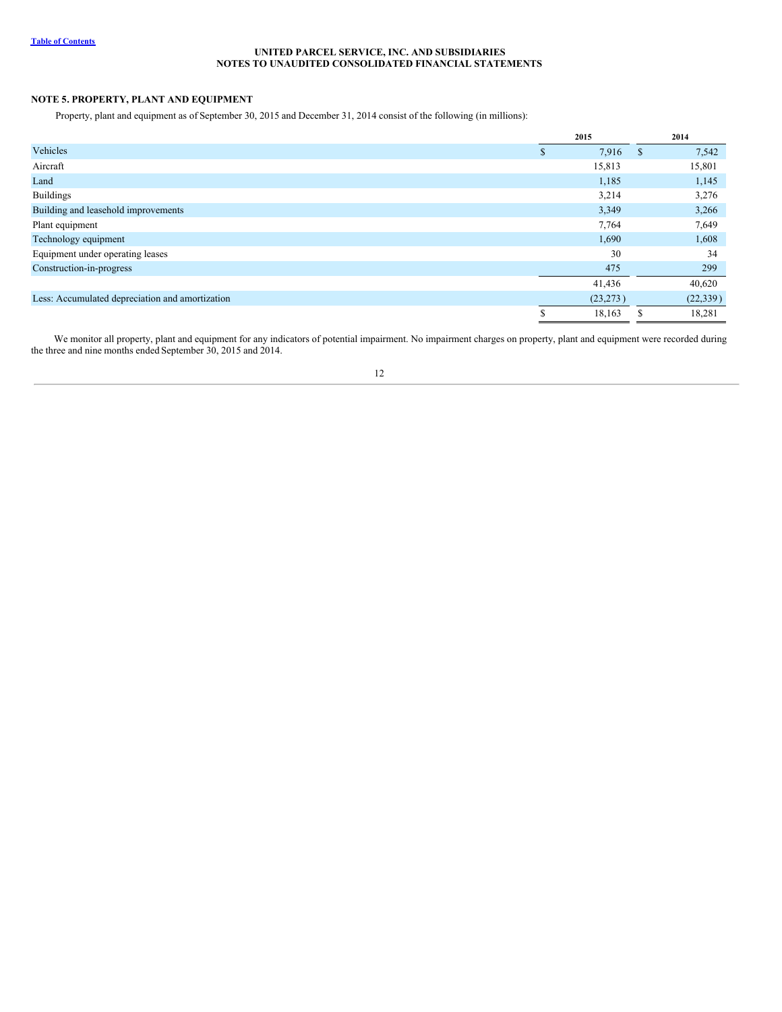# <span id="page-13-0"></span>**NOTE 5. PROPERTY, PLANT AND EQUIPMENT**

Property, plant and equipment as of September 30, 2015 and December 31, 2014 consist of the following (in millions):

|                                                 | 2015   |                      | 2014      |
|-------------------------------------------------|--------|----------------------|-----------|
| Vehicles                                        | ъ      | 7,916<br>$\mathbf S$ | 7,542     |
| Aircraft                                        | 15,813 |                      | 15,801    |
| Land                                            |        | 1,185                | 1,145     |
| <b>Buildings</b>                                |        | 3,214                | 3,276     |
| Building and leasehold improvements             |        | 3,349                | 3,266     |
| Plant equipment                                 |        | 7,764                | 7,649     |
| Technology equipment                            |        | 1,690                | 1,608     |
| Equipment under operating leases                |        | 30                   | 34        |
| Construction-in-progress                        |        | 475                  | 299       |
|                                                 |        | 41,436               | 40,620    |
| Less: Accumulated depreciation and amortization |        | (23, 273)            | (22, 339) |
|                                                 | э      | 18,163<br>S          | 18,281    |

We monitor all property, plant and equipment for any indicators of potential impairment. No impairment charges on property, plant and equipment were recorded during the three and nine months ended September 30, 2015 and 2014.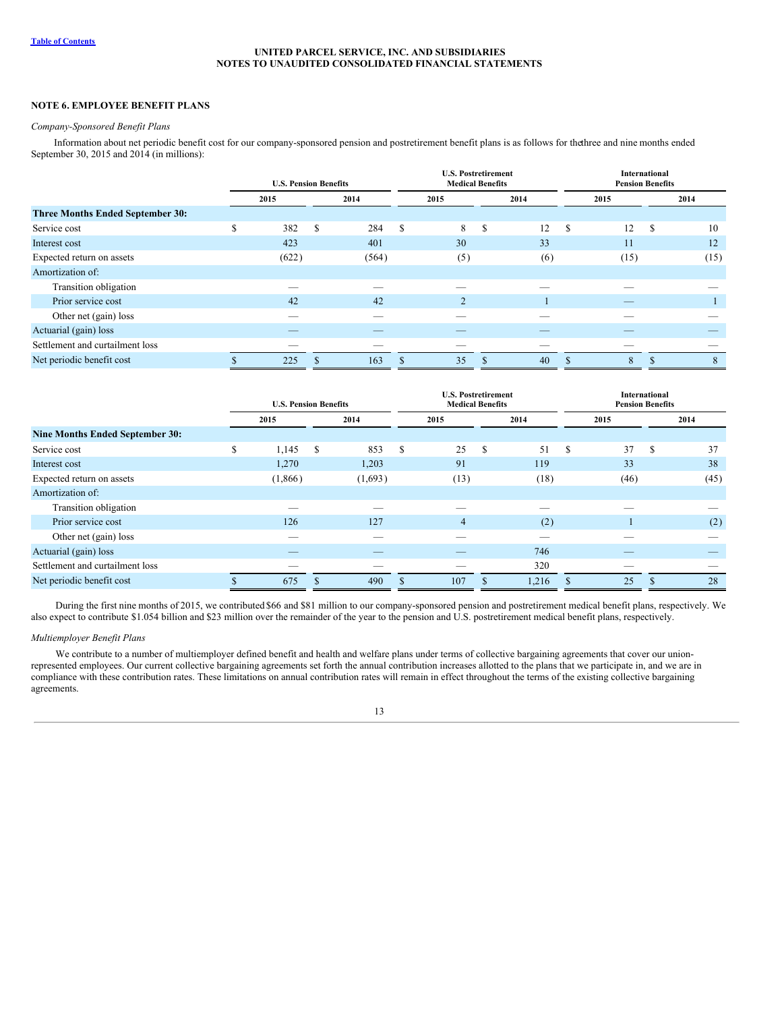# <span id="page-14-0"></span>**NOTE 6. EMPLOYEE BENEFIT PLANS**

### *Company-Sponsored Benefit Plans*

Information about net periodic benefit cost for our company-sponsored pension and postretirement benefit plans is as follows for thethree and nine months ended September 30, 2015 and 2014 (in millions):

|                                         | <b>U.S. Pension Benefits</b> |                          |          | <b>U.S. Postretirement</b><br><b>Medical Benefits</b> |   |                          |   | <b>International</b><br><b>Pension Benefits</b> |    |      |    |      |
|-----------------------------------------|------------------------------|--------------------------|----------|-------------------------------------------------------|---|--------------------------|---|-------------------------------------------------|----|------|----|------|
|                                         |                              | 2015                     |          | 2014                                                  |   | 2015                     |   | 2014                                            |    | 2015 |    | 2014 |
| <b>Three Months Ended September 30:</b> |                              |                          |          |                                                       |   |                          |   |                                                 |    |      |    |      |
| Service cost                            | S                            | 382                      | <b>S</b> | 284                                                   | S | 8                        | S | 12                                              | S. | 12   | S  | 10   |
| Interest cost                           |                              | 423                      |          | 401                                                   |   | 30                       |   | 33                                              |    | 11   |    | 12   |
| Expected return on assets               |                              | (622)                    |          | (564)                                                 |   | (5)                      |   | (6)                                             |    | (15) |    | (15) |
| Amortization of:                        |                              |                          |          |                                                       |   |                          |   |                                                 |    |      |    |      |
| Transition obligation                   |                              | _                        |          | ___                                                   |   |                          |   |                                                 |    |      |    |      |
| Prior service cost                      |                              | 42                       |          | 42                                                    |   | $\overline{2}$           |   |                                                 |    |      |    |      |
| Other net (gain) loss                   |                              | --                       |          |                                                       |   |                          |   |                                                 |    |      |    |      |
| Actuarial (gain) loss                   |                              | _                        |          |                                                       |   |                          |   |                                                 |    |      |    |      |
| Settlement and curtailment loss         |                              | $\overline{\phantom{a}}$ |          |                                                       |   | $\overline{\phantom{a}}$ |   |                                                 |    |      |    |      |
| Net periodic benefit cost               |                              | 225                      |          | 163                                                   |   | 35                       |   | 40                                              | ¢  | 8    | \$ | 8    |

|                                        |    | <b>U.S. Pension Benefits</b> |   |         |     | <b>U.S. Postretirement</b><br><b>Medical Benefits</b> |          |       |               | <b>Pension Benefits</b> | International |      |
|----------------------------------------|----|------------------------------|---|---------|-----|-------------------------------------------------------|----------|-------|---------------|-------------------------|---------------|------|
|                                        |    | 2015                         |   | 2014    |     | 2015                                                  |          | 2014  |               | 2015                    |               | 2014 |
| <b>Nine Months Ended September 30:</b> |    |                              |   |         |     |                                                       |          |       |               |                         |               |      |
| Service cost                           | \$ | 1,145                        | S | 853     | S   | 25                                                    | <b>S</b> | 51    | <sup>\$</sup> | 37                      | \$.           | 37   |
| Interest cost                          |    | 1,270                        |   | 1,203   |     | 91                                                    |          | 119   |               | 33                      |               | 38   |
| Expected return on assets              |    | (1,866)                      |   | (1,693) |     | (13)                                                  |          | (18)  |               | (46)                    |               | (45) |
| Amortization of:                       |    |                              |   |         |     |                                                       |          |       |               |                         |               |      |
| Transition obligation                  |    | _                            |   | _       |     | _                                                     |          | --    |               |                         |               |      |
| Prior service cost                     |    | 126                          |   | 127     |     | $\overline{4}$                                        |          | (2)   |               |                         |               | (2)  |
| Other net (gain) loss                  |    | _                            |   |         |     |                                                       |          | --    |               |                         |               | _    |
| Actuarial (gain) loss                  |    |                              |   |         |     |                                                       |          | 746   |               |                         |               |      |
| Settlement and curtailment loss        |    | _                            |   | _       |     |                                                       |          | 320   |               | -                       |               |      |
| Net periodic benefit cost              | S. | 675                          |   | 490     | \$. | 107                                                   |          | 1,216 | S.            | 25                      |               | 28   |

During the first nine months of 2015, we contributed \$66 and \$81 million to our company-sponsored pension and postretirement medical benefit plans, respectively. We also expect to contribute \$1.054 billion and \$23 million over the remainder of the year to the pension and U.S. postretirement medical benefit plans, respectively.

### *Multiemployer Benefit Plans*

We contribute to a number of multiemployer defined benefit and health and welfare plans under terms of collective bargaining agreements that cover our unionrepresented employees. Our current collective bargaining agreements set forth the annual contribution increases allotted to the plans that we participate in, and we are in compliance with these contribution rates. These limitations on annual contribution rates will remain in effect throughout the terms of the existing collective bargaining agreements.

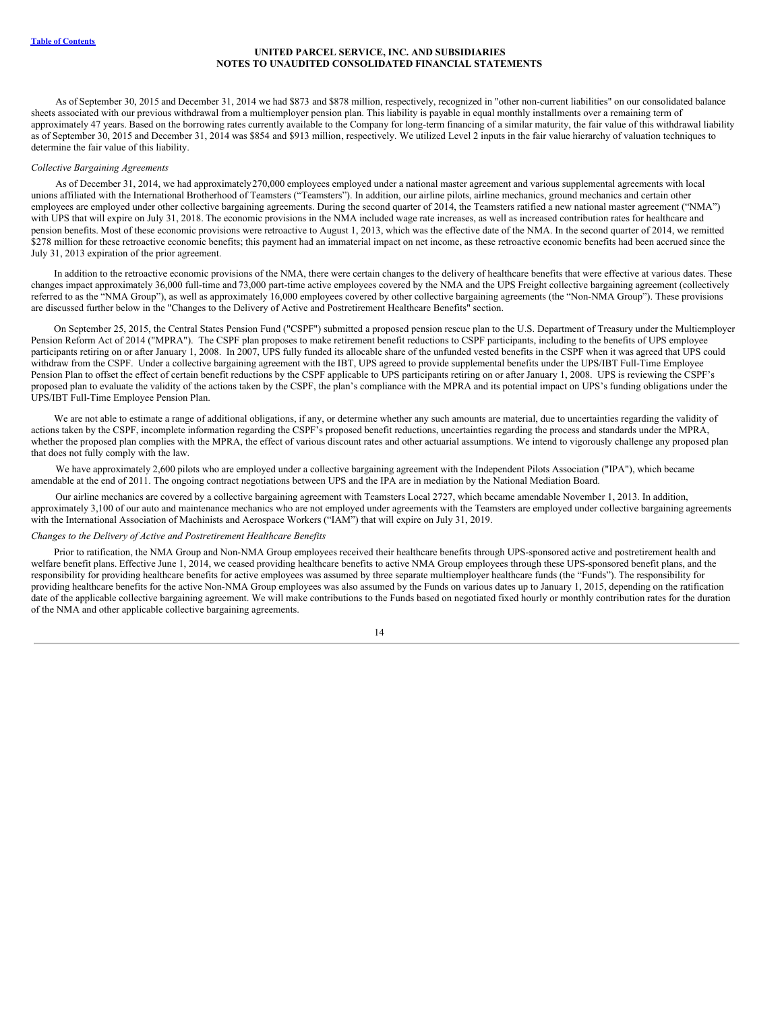As of September 30, 2015 and December 31, 2014 we had \$873 and \$878 million, respectively, recognized in "other non-current liabilities" on our consolidated balance sheets associated with our previous withdrawal from a multiemployer pension plan. This liability is payable in equal monthly installments over a remaining term of approximately 47 years. Based on the borrowing rates currently available to the Company for long-term financing of a similar maturity, the fair value of this withdrawal liability as of September 30, 2015 and December 31, 2014 was \$854 and \$913 million, respectively. We utilized Level 2 inputs in the fair value hierarchy of valuation techniques to determine the fair value of this liability.

#### *Collective Bargaining Agreements*

As of December 31, 2014, we had approximately270,000 employees employed under a national master agreement and various supplemental agreements with local unions affiliated with the International Brotherhood of Teamsters ("Teamsters"). In addition, our airline pilots, airline mechanics, ground mechanics and certain other employees are employed under other collective bargaining agreements. During the second quarter of 2014, the Teamsters ratified a new national master agreement ("NMA") with UPS that will expire on July 31, 2018. The economic provisions in the NMA included wage rate increases, as well as increased contribution rates for healthcare and pension benefits. Most of these economic provisions were retroactive to August 1, 2013, which was the effective date of the NMA. In the second quarter of 2014, we remitted \$278 million for these retroactive economic benefits; this payment had an immaterial impact on net income, as these retroactive economic benefits had been accrued since the July 31, 2013 expiration of the prior agreement.

In addition to the retroactive economic provisions of the NMA, there were certain changes to the delivery of healthcare benefits that were effective at various dates. These changes impact approximately 36,000 full-time and 73,000 part-time active employees covered by the NMA and the UPS Freight collective bargaining agreement (collectively referred to as the "NMA Group"), as well as approximately 16,000 employees covered by other collective bargaining agreements (the "Non-NMA Group"). These provisions are discussed further below in the "Changes to the Delivery of Active and Postretirement Healthcare Benefits" section.

On September 25, 2015, the Central States Pension Fund ("CSPF") submitted a proposed pension rescue plan to the U.S. Department of Treasury under the Multiemployer Pension Reform Act of 2014 ("MPRA"). The CSPF plan proposes to make retirement benefit reductions to CSPF participants, including to the benefits of UPS employee participants retiring on or after January 1, 2008. In 2007, UPS fully funded its allocable share of the unfunded vested benefits in the CSPF when it was agreed that UPS could withdraw from the CSPF. Under a collective bargaining agreement with the IBT, UPS agreed to provide supplemental benefits under the UPS/IBT Full-Time Employee Pension Plan to offset the effect of certain benefit reductions by the CSPF applicable to UPS participants retiring on or after January 1, 2008. UPS is reviewing the CSPF's proposed plan to evaluate the validity of the actions taken by the CSPF, the plan's compliance with the MPRA and its potential impact on UPS's funding obligations under the UPS/IBT Full-Time Employee Pension Plan.

We are not able to estimate a range of additional obligations, if any, or determine whether any such amounts are material, due to uncertainties regarding the validity of actions taken by the CSPF, incomplete information regarding the CSPF's proposed benefit reductions, uncertainties regarding the process and standards under the MPRA, whether the proposed plan complies with the MPRA, the effect of various discount rates and other actuarial assumptions. We intend to vigorously challenge any proposed plan that does not fully comply with the law.

We have approximately 2,600 pilots who are employed under a collective bargaining agreement with the Independent Pilots Association ("IPA"), which became amendable at the end of 2011. The ongoing contract negotiations between UPS and the IPA are in mediation by the National Mediation Board.

Our airline mechanics are covered by a collective bargaining agreement with Teamsters Local 2727, which became amendable November 1, 2013. In addition, approximately 3,100 of our auto and maintenance mechanics who are not employed under agreements with the Teamsters are employed under collective bargaining agreements with the International Association of Machinists and Aerospace Workers ("IAM") that will expire on July 31, 2019.

#### *Changes to the Delivery of Active and Postretirement Healthcare Benefits*

Prior to ratification, the NMA Group and Non-NMA Group employees received their healthcare benefits through UPS-sponsored active and postretirement health and welfare benefit plans. Effective June 1, 2014, we ceased providing healthcare benefits to active NMA Group employees through these UPS-sponsored benefit plans, and the responsibility for providing healthcare benefits for active employees was assumed by three separate multiemployer healthcare funds (the "Funds"). The responsibility for providing healthcare benefits for the active Non-NMA Group employees was also assumed by the Funds on various dates up to January 1, 2015, depending on the ratification date of the applicable collective bargaining agreement. We will make contributions to the Funds based on negotiated fixed hourly or monthly contribution rates for the duration of the NMA and other applicable collective bargaining agreements.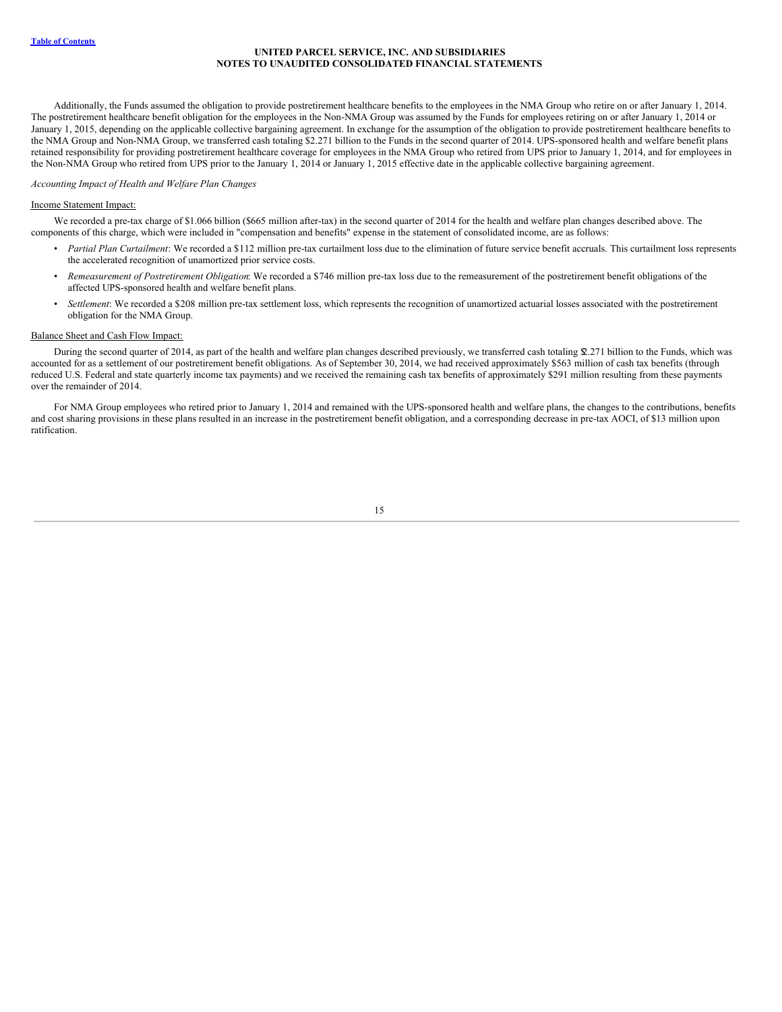Additionally, the Funds assumed the obligation to provide postretirement healthcare benefits to the employees in the NMA Group who retire on or after January 1, 2014. The postretirement healthcare benefit obligation for the employees in the Non-NMA Group was assumed by the Funds for employees retiring on or after January 1, 2014 or January 1, 2015, depending on the applicable collective bargaining agreement. In exchange for the assumption of the obligation to provide postretirement healthcare benefits to the NMA Group and Non-NMA Group, we transferred cash totaling \$2.271 billion to the Funds in the second quarter of 2014. UPS-sponsored health and welfare benefit plans retained responsibility for providing postretirement healthcare coverage for employees in the NMA Group who retired from UPS prior to January 1, 2014, and for employees in the Non-NMA Group who retired from UPS prior to the January 1, 2014 or January 1, 2015 effective date in the applicable collective bargaining agreement.

#### *Accounting Impact of Health and Welfare Plan Changes*

### Income Statement Impact:

We recorded a pre-tax charge of \$1.066 billion (\$665 million after-tax) in the second quarter of 2014 for the health and welfare plan changes described above. The components of this charge, which were included in "compensation and benefits" expense in the statement of consolidated income, are as follows:

- *Partial Plan Curtailment*: We recorded a \$112 million pre-tax curtailment loss due to the elimination of future service benefit accruals. This curtailment loss represents the accelerated recognition of unamortized prior service costs.
- *Remeasurement of Postretirement Obligation*: We recorded a \$746 million pre-tax loss due to the remeasurement of the postretirement benefit obligations of the affected UPS-sponsored health and welfare benefit plans.
- *Settlement*: We recorded a \$208 million pre-tax settlement loss, which represents the recognition of unamortized actuarial losses associated with the postretirement obligation for the NMA Group.

### Balance Sheet and Cash Flow Impact:

During the second quarter of 2014, as part of the health and welfare plan changes described previously, we transferred cash totaling \$2.271 billion to the Funds, which was accounted for as a settlement of our postretirement benefit obligations. As of September 30, 2014, we had received approximately \$563 million of cash tax benefits (through reduced U.S. Federal and state quarterly income tax payments) and we received the remaining cash tax benefits of approximately \$291 million resulting from these payments over the remainder of 2014.

For NMA Group employees who retired prior to January 1, 2014 and remained with the UPS-sponsored health and welfare plans, the changes to the contributions, benefits and cost sharing provisions in these plans resulted in an increase in the postretirement benefit obligation, and a corresponding decrease in pre-tax AOCI, of \$13 million upon ratification.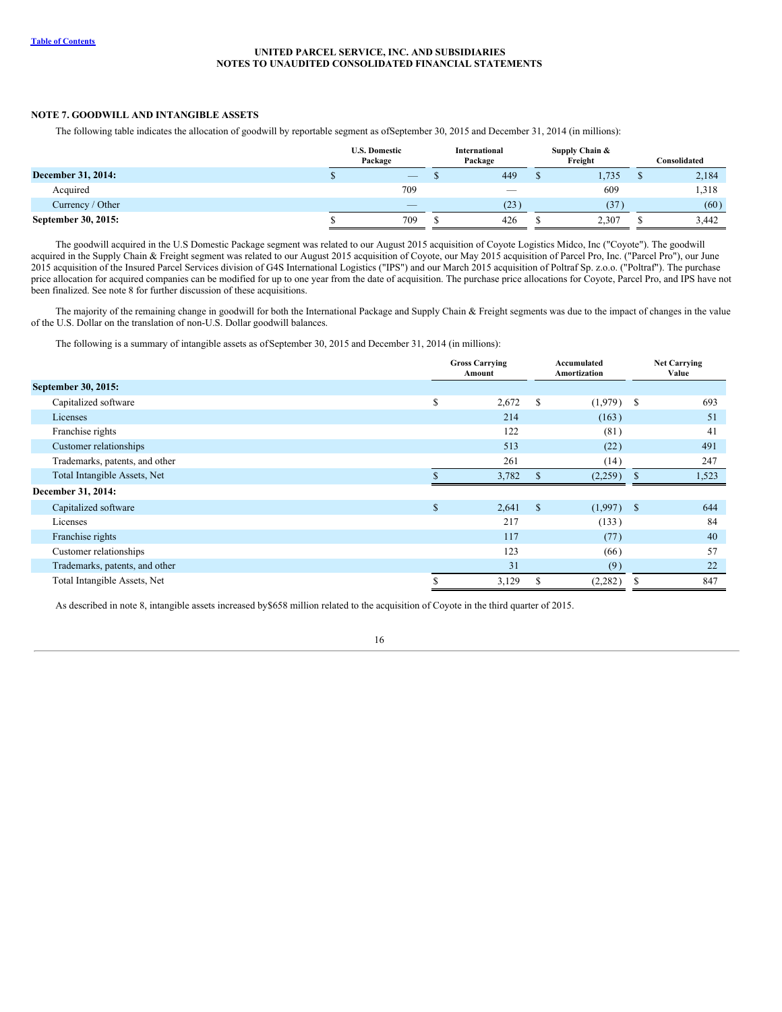# <span id="page-17-0"></span>**NOTE 7. GOODWILL AND INTANGIBLE ASSETS**

The following table indicates the allocation of goodwill by reportable segment as ofSeptember 30, 2015 and December 31, 2014 (in millions):

|                           | <b>U.S. Domestic</b><br>Package | International<br>Package | Supply Chain &<br>Freight |       |   | Consolidated |
|---------------------------|---------------------------------|--------------------------|---------------------------|-------|---|--------------|
| <b>December 31, 2014:</b> | $\overline{\phantom{a}}$        | 449                      |                           | 1,735 | Φ | 2,184        |
| Acquired                  | 709                             |                          |                           | 609   |   | 1,318        |
| Currency / Other          | $\overline{\phantom{a}}$        | (23)                     |                           | (37)  |   | (60)         |
| September 30, 2015:       | 709                             | 426                      |                           | 2,307 |   | 3,442        |

The goodwill acquired in the U.S Domestic Package segment was related to our August 2015 acquisition of Coyote Logistics Midco, Inc ("Coyote"). The goodwill acquired in the Supply Chain & Freight segment was related to our August 2015 acquisition of Coyote, our May 2015 acquisition of Parcel Pro, Inc. ("Parcel Pro"), our June 2015 acquisition of the Insured Parcel Services division of G4S International Logistics ("IPS") and our March 2015 acquisition of Poltraf Sp. z.o.o. ("Poltraf"). The purchase price allocation for acquired companies can be modified for up to one year from the date of acquisition. The purchase price allocations for Coyote, Parcel Pro, and IPS have not been finalized. See note 8 for further discussion of these acquisitions.

The majority of the remaining change in goodwill for both the International Package and Supply Chain & Freight segments was due to the impact of changes in the value of the U.S. Dollar on the translation of non-U.S. Dollar goodwill balances.

The following is a summary of intangible assets as of September 30, 2015 and December 31, 2014 (in millions):

|                                | <b>Gross Carrying</b><br>Amount |       |             | Accumulated<br>Amortization |               | <b>Net Carrying</b><br>Value |
|--------------------------------|---------------------------------|-------|-------------|-----------------------------|---------------|------------------------------|
| September 30, 2015:            |                                 |       |             |                             |               |                              |
| Capitalized software           | \$                              | 2,672 | S           | (1,979)                     | S             | 693                          |
| Licenses                       |                                 | 214   |             | (163)                       |               | 51                           |
| Franchise rights               |                                 | 122   |             | (81)                        |               | 41                           |
| Customer relationships         |                                 | 513   |             | (22)                        |               | 491                          |
| Trademarks, patents, and other |                                 | 261   |             | (14)                        |               | 247                          |
| Total Intangible Assets, Net   |                                 | 3,782 | -S          | (2,259)                     | <sup>\$</sup> | 1,523                        |
| December 31, 2014:             |                                 |       |             |                             |               |                              |
| Capitalized software           | $\mathbf S$                     | 2,641 | $\mathbf S$ | $(1,997)$ \$                |               | 644                          |
| Licenses                       |                                 | 217   |             | (133)                       |               | 84                           |
| Franchise rights               |                                 | 117   |             | (77)                        |               | 40                           |
| Customer relationships         |                                 | 123   |             | (66)                        |               | 57                           |
| Trademarks, patents, and other |                                 | 31    |             | (9)                         |               | 22                           |
| Total Intangible Assets, Net   |                                 | 3,129 |             | (2,282)                     | Э             | 847                          |

As described in note 8, intangible assets increased by\$658 million related to the acquisition of Coyote in the third quarter of 2015.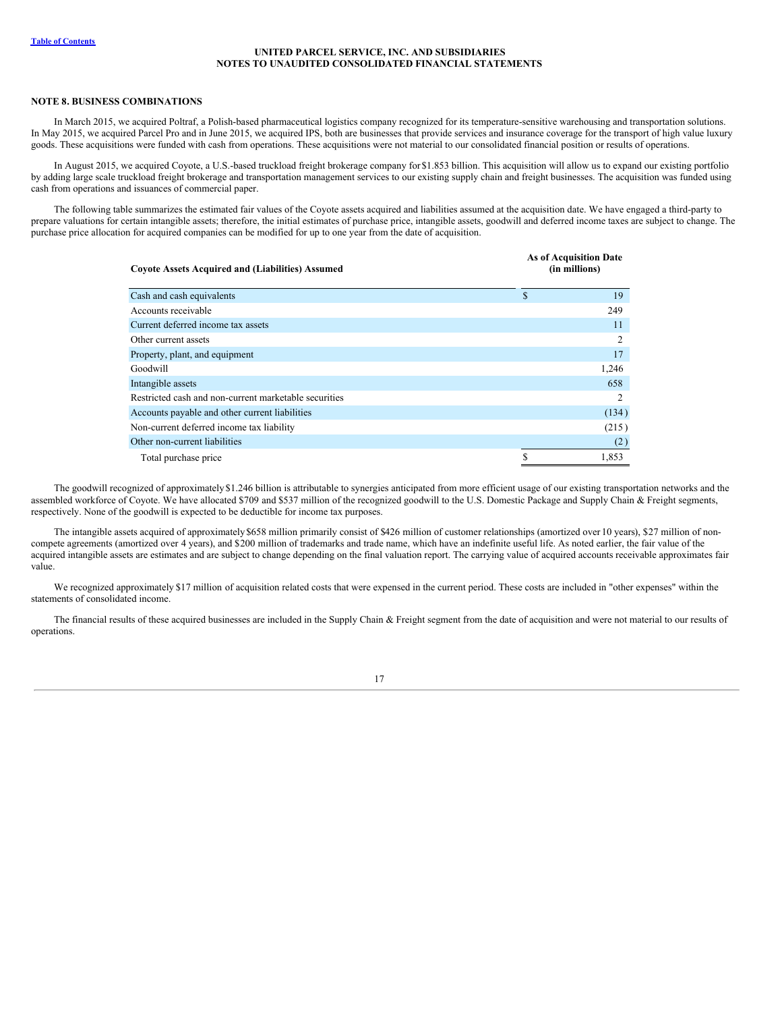#### **NOTE 8. BUSINESS COMBINATIONS**

In March 2015, we acquired Poltraf, a Polish-based pharmaceutical logistics company recognized for its temperature-sensitive warehousing and transportation solutions. In May 2015, we acquired Parcel Pro and in June 2015, we acquired IPS, both are businesses that provide services and insurance coverage for the transport of high value luxury goods. These acquisitions were funded with cash from operations. These acquisitions were not material to our consolidated financial position or results of operations.

In August 2015, we acquired Coyote, a U.S.-based truckload freight brokerage company for\$1.853 billion. This acquisition will allow us to expand our existing portfolio by adding large scale truckload freight brokerage and transportation management services to our existing supply chain and freight businesses. The acquisition was funded using cash from operations and issuances of commercial paper.

The following table summarizes the estimated fair values of the Coyote assets acquired and liabilities assumed at the acquisition date. We have engaged a third-party to prepare valuations for certain intangible assets; therefore, the initial estimates of purchase price, intangible assets, goodwill and deferred income taxes are subject to change. The purchase price allocation for acquired companies can be modified for up to one year from the date of acquisition.

| <b>Coyote Assets Acquired and (Liabilities) Assumed</b> |   | <b>As of Acquisition Date</b><br>(in millions) |  |  |  |  |
|---------------------------------------------------------|---|------------------------------------------------|--|--|--|--|
| Cash and cash equivalents                               | S | 19                                             |  |  |  |  |
| Accounts receivable                                     |   | 249                                            |  |  |  |  |
| Current deferred income tax assets                      |   | 11                                             |  |  |  |  |
| Other current assets                                    |   | $\mathcal{L}$                                  |  |  |  |  |
| Property, plant, and equipment                          |   | 17                                             |  |  |  |  |
| Goodwill                                                |   | 1,246                                          |  |  |  |  |
| Intangible assets                                       |   | 658                                            |  |  |  |  |
| Restricted cash and non-current marketable securities   |   | 2                                              |  |  |  |  |
| Accounts payable and other current liabilities          |   | (134)                                          |  |  |  |  |
| Non-current deferred income tax liability               |   | (215)                                          |  |  |  |  |
| Other non-current liabilities                           |   | (2)                                            |  |  |  |  |
| Total purchase price                                    | S | 1.853                                          |  |  |  |  |

The goodwill recognized of approximately \$1.246 billion is attributable to synergies anticipated from more efficient usage of our existing transportation networks and the assembled workforce of Coyote. We have allocated \$709 and \$537 million of the recognized goodwill to the U.S. Domestic Package and Supply Chain & Freight segments, respectively. None of the goodwill is expected to be deductible for income tax purposes.

The intangible assets acquired of approximately \$658 million primarily consist of \$426 million of customer relationships (amortized over 10 years), \$27 million of noncompete agreements (amortized over 4 years), and \$200 million of trademarks and trade name, which have an indefinite useful life. As noted earlier, the fair value of the acquired intangible assets are estimates and are subject to change depending on the final valuation report. The carrying value of acquired accounts receivable approximates fair value.

We recognized approximately \$17 million of acquisition related costs that were expensed in the current period. These costs are included in "other expenses" within the statements of consolidated income.

The financial results of these acquired businesses are included in the Supply Chain & Freight segment from the date of acquisition and were not material to our results of operations.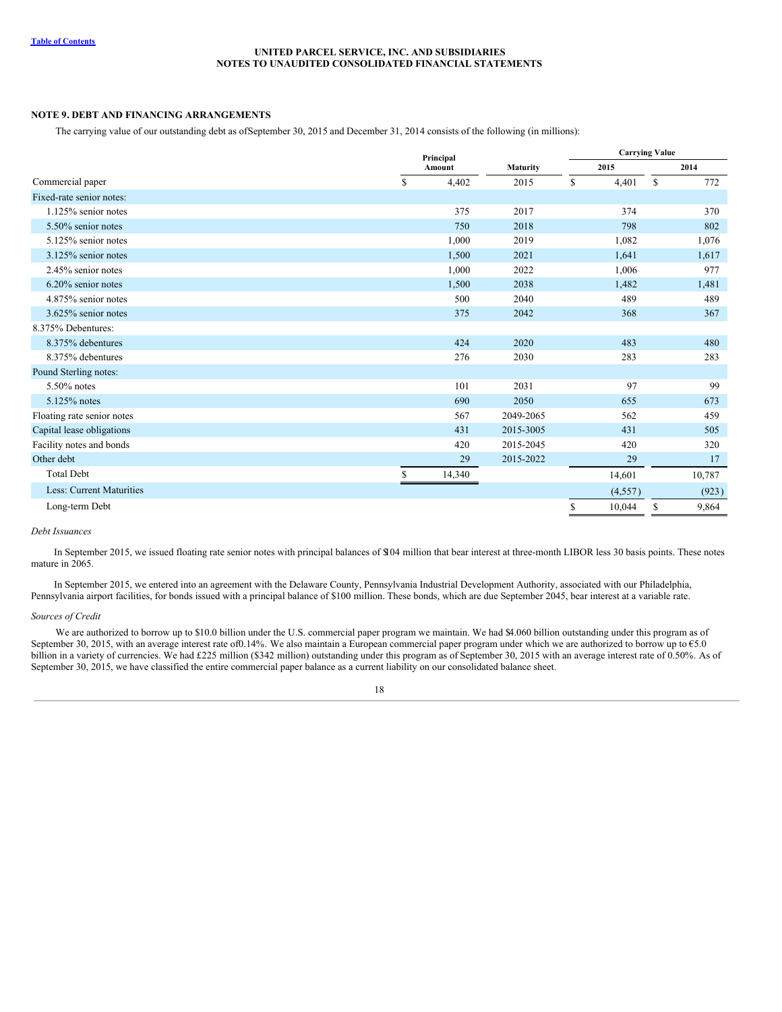# <span id="page-19-0"></span>**NOTE 9. DEBT AND FINANCING ARRANGEMENTS**

The carrying value of our outstanding debt as ofSeptember 30, 2015 and December 31, 2014 consists of the following (in millions):

|                            | Principal |        |           |    | <b>Carrying Value</b> |              |        |
|----------------------------|-----------|--------|-----------|----|-----------------------|--------------|--------|
|                            |           | Amount | Maturity  |    | 2015                  |              | 2014   |
| Commercial paper           | \$        | 4,402  | 2015      | \$ | 4,401                 | $\mathbb{S}$ | 772    |
| Fixed-rate senior notes:   |           |        |           |    |                       |              |        |
| $1.125\%$ senior notes     |           | 375    | 2017      |    | 374                   |              | 370    |
| 5.50% senior notes         |           | 750    | 2018      |    | 798                   |              | 802    |
| 5.125% senior notes        |           | 1,000  | 2019      |    | 1,082                 |              | 1,076  |
| 3.125% senior notes        |           | 1,500  | 2021      |    | 1.641                 |              | 1,617  |
| 2.45% senior notes         |           | 1.000  | 2022      |    | 1.006                 |              | 977    |
| 6.20% senior notes         |           | 1,500  | 2038      |    | 1,482                 |              | 1,481  |
| 4.875% senior notes        |           | 500    | 2040      |    | 489                   |              | 489    |
| 3.625% senior notes        |           | 375    | 2042      |    | 368                   |              | 367    |
| 8.375% Debentures:         |           |        |           |    |                       |              |        |
| 8.375% debentures          |           | 424    | 2020      |    | 483                   |              | 480    |
| 8.375% debentures          |           | 276    | 2030      |    | 283                   |              | 283    |
| Pound Sterling notes:      |           |        |           |    |                       |              |        |
| 5.50% notes                |           | 101    | 2031      |    | 97                    |              | 99     |
| 5.125% notes               |           | 690    | 2050      |    | 655                   |              | 673    |
| Floating rate senior notes |           | 567    | 2049-2065 |    | 562                   |              | 459    |
| Capital lease obligations  |           | 431    | 2015-3005 |    | 431                   |              | 505    |
| Facility notes and bonds   |           | 420    | 2015-2045 |    | 420                   |              | 320    |
| Other debt                 |           | 29     | 2015-2022 |    | 29                    |              | 17     |
| <b>Total Debt</b>          | S         | 14,340 |           |    | 14,601                |              | 10,787 |
| Less: Current Maturities   |           |        |           |    | (4,557)               |              | (923)  |
| Long-term Debt             |           |        |           | \$ | 10,044                | \$           | 9,864  |

#### *Debt Issuances*

In September 2015, we issued floating rate senior notes with principal balances of \$104 million that bear interest at three-month LIBOR less 30 basis points. These notes mature in 2065.

In September 2015, we entered into an agreement with the Delaware County, Pennsylvania Industrial Development Authority, associated with our Philadelphia, Pennsylvania airport facilities, for bonds issued with a principal balance of \$100 million. These bonds, which are due September 2045, bear interest at a variable rate.

#### *Sources of Credit*

We are authorized to borrow up to \$10.0 billion under the U.S. commercial paper program we maintain. We had \$4.060 billion outstanding under this program as of September 30, 2015, with an average interest rate of0.14%. We also maintain a European commercial paper program under which we are authorized to borrow up to  $65.0$ billion in a variety of currencies. We had £225 million (\$342 million) outstanding under this program as of September 30, 2015 with an average interest rate of 0.50%. As of September 30, 2015, we have classified the entire commercial paper balance as a current liability on our consolidated balance sheet.

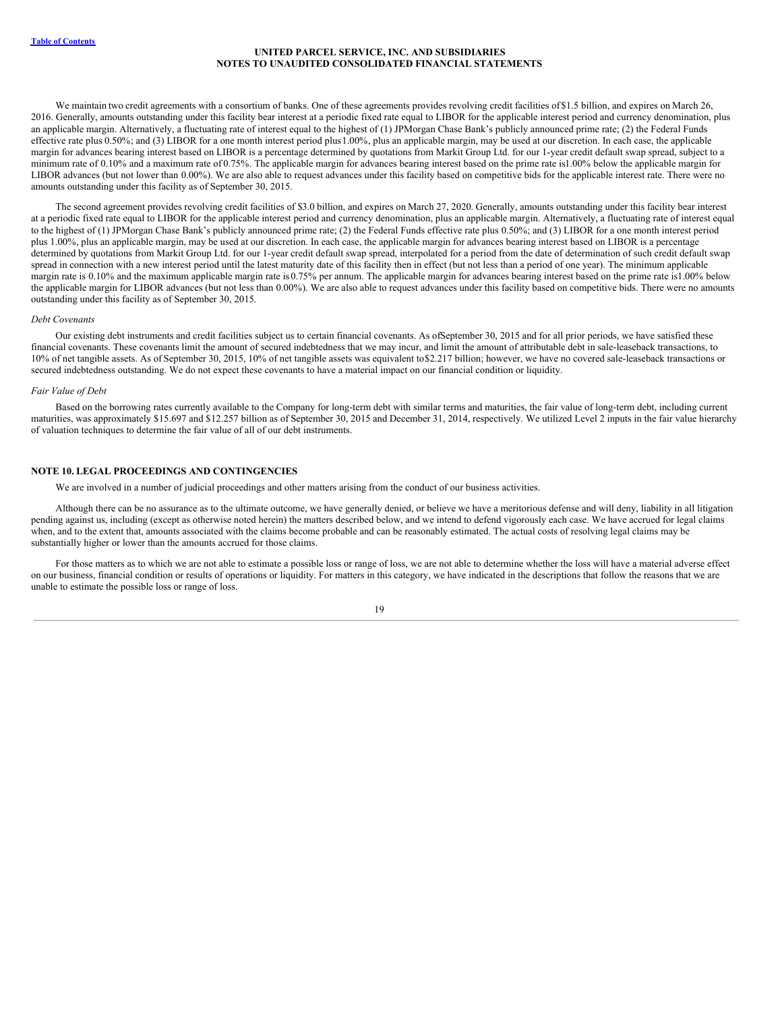We maintain two credit agreements with a consortium of banks. One of these agreements provides revolving credit facilities of \$1.5 billion, and expires on March 26, 2016. Generally, amounts outstanding under this facility bear interest at a periodic fixed rate equal to LIBOR for the applicable interest period and currency denomination, plus an applicable margin. Alternatively, a fluctuating rate of interest equal to the highest of (1) JPMorgan Chase Bank's publicly announced prime rate; (2) the Federal Funds effective rate plus 0.50%; and (3) LIBOR for a one month interest period plus1.00%, plus an applicable margin, may be used at our discretion. In each case, the applicable margin for advances bearing interest based on LIBOR is a percentage determined by quotations from Markit Group Ltd. for our 1-year credit default swap spread, subject to a minimum rate of 0.10% and a maximum rate of 0.75%. The applicable margin for advances bearing interest based on the prime rate is1.00% below the applicable margin for LIBOR advances (but not lower than 0.00%). We are also able to request advances under this facility based on competitive bids for the applicable interest rate. There were no amounts outstanding under this facility as of September 30, 2015.

The second agreement provides revolving credit facilities of \$3.0 billion, and expires on March 27, 2020. Generally, amounts outstanding under this facility bear interest at a periodic fixed rate equal to LIBOR for the applicable interest period and currency denomination, plus an applicable margin. Alternatively, a fluctuating rate of interest equal to the highest of (1) JPMorgan Chase Bank's publicly announced prime rate; (2) the Federal Funds effective rate plus 0.50%; and (3) LIBOR for a one month interest period plus 1.00%, plus an applicable margin, may be used at our discretion. In each case, the applicable margin for advances bearing interest based on LIBOR is a percentage determined by quotations from Markit Group Ltd. for our 1-year credit default swap spread, interpolated for a period from the date of determination of such credit default swap spread in connection with a new interest period until the latest maturity date of this facility then in effect (but not less than a period of one year). The minimum applicable margin rate is 0.10% and the maximum applicable margin rate is0.75% per annum. The applicable margin for advances bearing interest based on the prime rate is1.00% below the applicable margin for LIBOR advances (but not less than 0.00%). We are also able to request advances under this facility based on competitive bids. There were no amounts outstanding under this facility as of September 30, 2015.

#### *Debt Covenants*

Our existing debt instruments and credit facilities subject us to certain financial covenants. As ofSeptember 30, 2015 and for all prior periods, we have satisfied these financial covenants. These covenants limit the amount of secured indebtedness that we may incur, and limit the amount of attributable debt in sale-leaseback transactions, to 10% of net tangible assets. As of September 30, 2015, 10% of net tangible assets was equivalent to\$2.217 billion; however, we have no covered sale-leaseback transactions or secured indebtedness outstanding. We do not expect these covenants to have a material impact on our financial condition or liquidity.

#### *Fair Value of Debt*

Based on the borrowing rates currently available to the Company for long-term debt with similar terms and maturities, the fair value of long-term debt, including current maturities, was approximately \$15.697 and \$12.257 billion as of September 30, 2015 and December 31, 2014, respectively. We utilized Level 2 inputs in the fair value hierarchy of valuation techniques to determine the fair value of all of our debt instruments.

### <span id="page-20-0"></span>**NOTE 10. LEGAL PROCEEDINGS AND CONTINGENCIES**

We are involved in a number of judicial proceedings and other matters arising from the conduct of our business activities.

Although there can be no assurance as to the ultimate outcome, we have generally denied, or believe we have a meritorious defense and will deny, liability in all litigation pending against us, including (except as otherwise noted herein) the matters described below, and we intend to defend vigorously each case. We have accrued for legal claims when, and to the extent that, amounts associated with the claims become probable and can be reasonably estimated. The actual costs of resolving legal claims may be substantially higher or lower than the amounts accrued for those claims.

For those matters as to which we are not able to estimate a possible loss or range of loss, we are not able to determine whether the loss will have a material adverse effect on our business, financial condition or results of operations or liquidity. For matters in this category, we have indicated in the descriptions that follow the reasons that we are unable to estimate the possible loss or range of loss.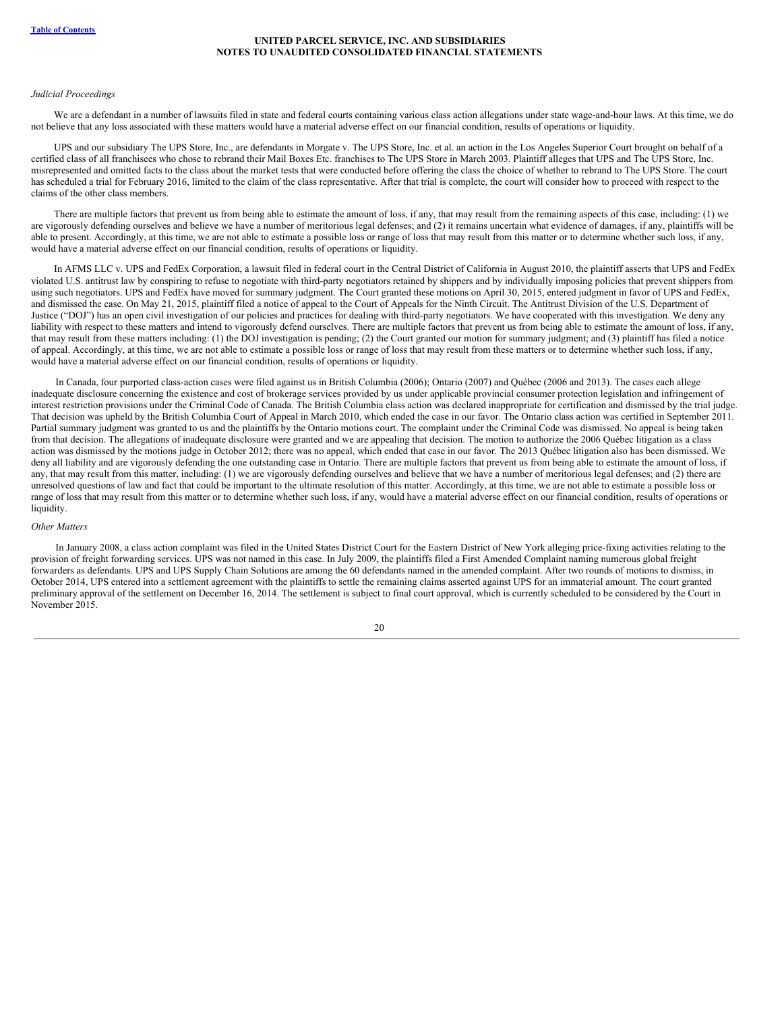#### *Judicial Proceedings*

We are a defendant in a number of lawsuits filed in state and federal courts containing various class action allegations under state wage-and-hour laws. At this time, we do not believe that any loss associated with these matters would have a material adverse effect on our financial condition, results of operations or liquidity.

UPS and our subsidiary The UPS Store, Inc., are defendants in Morgate v. The UPS Store, Inc. et al. an action in the Los Angeles Superior Court brought on behalf of a certified class of all franchisees who chose to rebrand their Mail Boxes Etc. franchises to The UPS Store in March 2003. Plaintiff alleges that UPS and The UPS Store, Inc. misrepresented and omitted facts to the class about the market tests that were conducted before offering the class the choice of whether to rebrand to The UPS Store. The court has scheduled a trial for February 2016, limited to the claim of the class representative. After that trial is complete, the court will consider how to proceed with respect to the claims of the other class members.

There are multiple factors that prevent us from being able to estimate the amount of loss, if any, that may result from the remaining aspects of this case, including: (1) we are vigorously defending ourselves and believe we have a number of meritorious legal defenses; and (2) it remains uncertain what evidence of damages, if any, plaintiffs will be able to present. Accordingly, at this time, we are not able to estimate a possible loss or range of loss that may result from this matter or to determine whether such loss, if any, would have a material adverse effect on our financial condition, results of operations or liquidity.

In AFMS LLC v. UPS and FedEx Corporation, a lawsuit filed in federal court in the Central District of California in August 2010, the plaintiff asserts that UPS and FedEx violated U.S. antitrust law by conspiring to refuse to negotiate with third-party negotiators retained by shippers and by individually imposing policies that prevent shippers from using such negotiators. UPS and FedEx have moved for summary judgment. The Court granted these motions on April 30, 2015, entered judgment in favor of UPS and FedEx, and dismissed the case. On May 21, 2015, plaintiff filed a notice of appeal to the Court of Appeals for the Ninth Circuit. The Antitrust Division of the U.S. Department of Justice ("DOJ") has an open civil investigation of our policies and practices for dealing with third-party negotiators. We have cooperated with this investigation. We deny any liability with respect to these matters and intend to vigorously defend ourselves. There are multiple factors that prevent us from being able to estimate the amount of loss, if any, that may result from these matters including: (1) the DOJ investigation is pending; (2) the Court granted our motion for summary judgment; and (3) plaintiff has filed a notice of appeal. Accordingly, at this time, we are not able to estimate a possible loss or range of loss that may result from these matters or to determine whether such loss, if any, would have a material adverse effect on our financial condition, results of operations or liquidity.

In Canada, four purported class-action cases were filed against us in British Columbia (2006); Ontario (2007) and Québec (2006 and 2013). The cases each allege inadequate disclosure concerning the existence and cost of brokerage services provided by us under applicable provincial consumer protection legislation and infringement of interest restriction provisions under the Criminal Code of Canada. The British Columbia class action was declared inappropriate for certification and dismissed by the trial judge. That decision was upheld by the British Columbia Court of Appeal in March 2010, which ended the case in our favor. The Ontario class action was certified in September 2011. Partial summary judgment was granted to us and the plaintiffs by the Ontario motions court. The complaint under the Criminal Code was dismissed. No appeal is being taken from that decision. The allegations of inadequate disclosure were granted and we are appealing that decision. The motion to authorize the 2006 Québec litigation as a class action was dismissed by the motions judge in October 2012; there was no appeal, which ended that case in our favor. The 2013 Québec litigation also has been dismissed. We deny all liability and are vigorously defending the one outstanding case in Ontario. There are multiple factors that prevent us from being able to estimate the amount of loss, if any, that may result from this matter, including: (1) we are vigorously defending ourselves and believe that we have a number of meritorious legal defenses; and (2) there are unresolved questions of law and fact that could be important to the ultimate resolution of this matter. Accordingly, at this time, we are not able to estimate a possible loss or range of loss that may result from this matter or to determine whether such loss, if any, would have a material adverse effect on our financial condition, results of operations or liquidity.

#### *Other Matters*

In January 2008, a class action complaint was filed in the United States District Court for the Eastern District of New York alleging price-fixing activities relating to the provision of freight forwarding services. UPS was not named in this case. In July 2009, the plaintiffs filed a First Amended Complaint naming numerous global freight forwarders as defendants. UPS and UPS Supply Chain Solutions are among the 60 defendants named in the amended complaint. After two rounds of motions to dismiss, in October 2014, UPS entered into a settlement agreement with the plaintiffs to settle the remaining claims asserted against UPS for an immaterial amount. The court granted preliminary approval of the settlement on December 16, 2014. The settlement is subject to final court approval, which is currently scheduled to be considered by the Court in November 2015.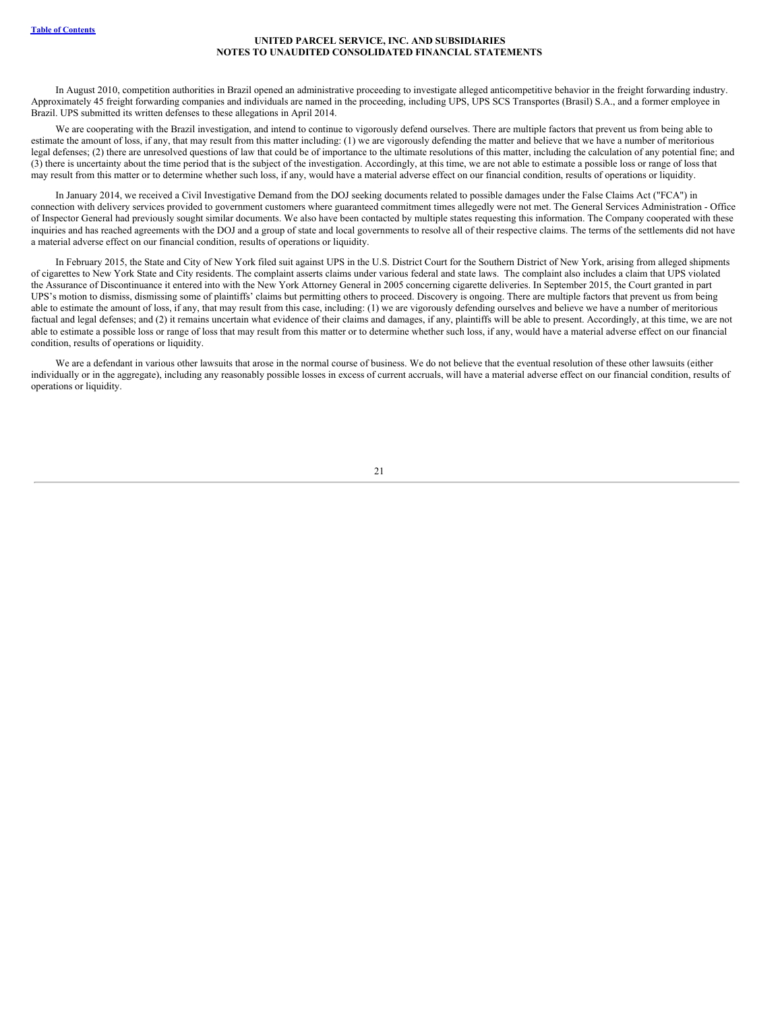In August 2010, competition authorities in Brazil opened an administrative proceeding to investigate alleged anticompetitive behavior in the freight forwarding industry. Approximately 45 freight forwarding companies and individuals are named in the proceeding, including UPS, UPS SCS Transportes (Brasil) S.A., and a former employee in Brazil. UPS submitted its written defenses to these allegations in April 2014.

We are cooperating with the Brazil investigation, and intend to continue to vigorously defend ourselves. There are multiple factors that prevent us from being able to estimate the amount of loss, if any, that may result from this matter including: (1) we are vigorously defending the matter and believe that we have a number of meritorious legal defenses; (2) there are unresolved questions of law that could be of importance to the ultimate resolutions of this matter, including the calculation of any potential fine; and (3) there is uncertainty about the time period that is the subject of the investigation. Accordingly, at this time, we are not able to estimate a possible loss or range of loss that may result from this matter or to determine whether such loss, if any, would have a material adverse effect on our financial condition, results of operations or liquidity.

In January 2014, we received a Civil Investigative Demand from the DOJ seeking documents related to possible damages under the False Claims Act ("FCA") in connection with delivery services provided to government customers where guaranteed commitment times allegedly were not met. The General Services Administration - Office of Inspector General had previously sought similar documents. We also have been contacted by multiple states requesting this information. The Company cooperated with these inquiries and has reached agreements with the DOJ and a group of state and local governments to resolve all of their respective claims. The terms of the settlements did not have a material adverse effect on our financial condition, results of operations or liquidity.

In February 2015, the State and City of New York filed suit against UPS in the U.S. District Court for the Southern District of New York, arising from alleged shipments of cigarettes to New York State and City residents. The complaint asserts claims under various federal and state laws. The complaint also includes a claim that UPS violated the Assurance of Discontinuance it entered into with the New York Attorney General in 2005 concerning cigarette deliveries. In September 2015, the Court granted in part UPS's motion to dismiss, dismissing some of plaintiffs' claims but permitting others to proceed. Discovery is ongoing. There are multiple factors that prevent us from being able to estimate the amount of loss, if any, that may result from this case, including: (1) we are vigorously defending ourselves and believe we have a number of meritorious factual and legal defenses; and (2) it remains uncertain what evidence of their claims and damages, if any, plaintiffs will be able to present. Accordingly, at this time, we are not able to estimate a possible loss or range of loss that may result from this matter or to determine whether such loss, if any, would have a material adverse effect on our financial condition, results of operations or liquidity.

We are a defendant in various other lawsuits that arose in the normal course of business. We do not believe that the eventual resolution of these other lawsuits (either individually or in the aggregate), including any reasonably possible losses in excess of current accruals, will have a material adverse effect on our financial condition, results of operations or liquidity.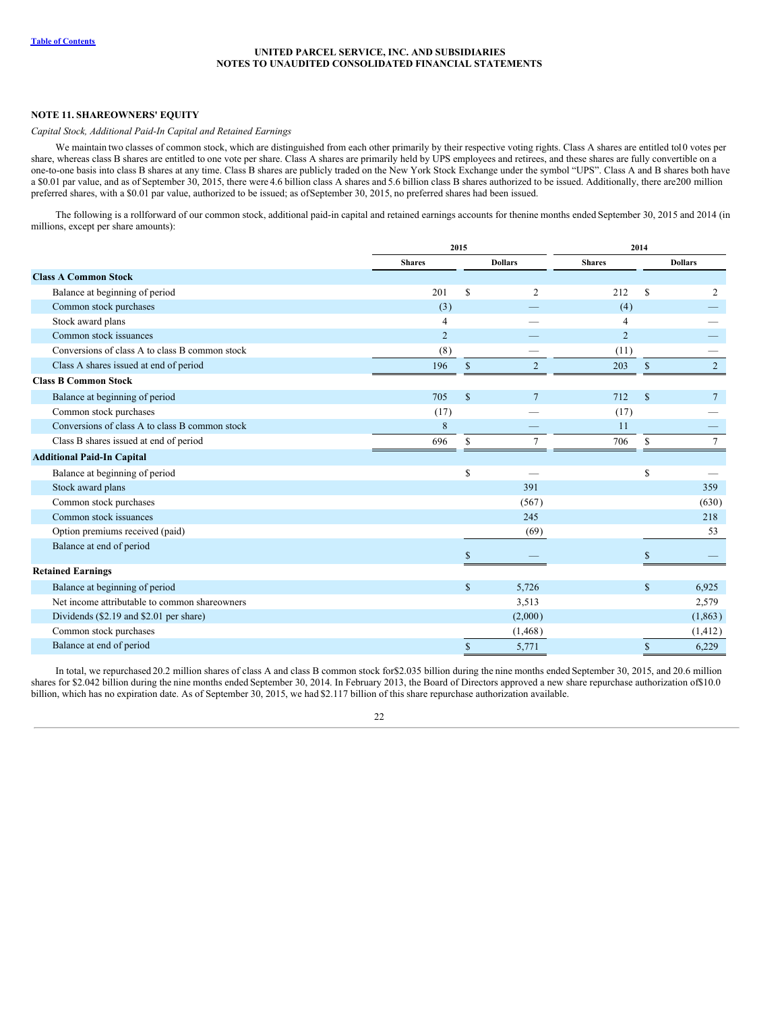### <span id="page-23-0"></span>**NOTE 11. SHAREOWNERS' EQUITY**

#### *Capital Stock, Additional Paid-In Capital and Retained Earnings*

We maintain two classes of common stock, which are distinguished from each other primarily by their respective voting rights. Class A shares are entitled to10 votes per share, whereas class B shares are entitled to one vote per share. Class A shares are primarily held by UPS employees and retirees, and these shares are fully convertible on a one-to-one basis into class B shares at any time. Class B shares are publicly traded on the New York Stock Exchange under the symbol "UPS". Class A and B shares both have a \$0.01 par value, and as of September 30, 2015, there were 4.6 billion class A shares and 5.6 billion class B shares authorized to be issued. Additionally, there are 200 million preferred shares, with a \$0.01 par value, authorized to be issued; as ofSeptember 30, 2015, no preferred shares had been issued.

The following is a rollforward of our common stock, additional paid-in capital and retained earnings accounts for thenine months ended September 30, 2015 and 2014 (in millions, except per share amounts):

|                                                |                | 2015         |                 | 2014           |               |                |  |
|------------------------------------------------|----------------|--------------|-----------------|----------------|---------------|----------------|--|
|                                                | <b>Shares</b>  |              | <b>Dollars</b>  | <b>Shares</b>  |               | <b>Dollars</b> |  |
| <b>Class A Common Stock</b>                    |                |              |                 |                |               |                |  |
| Balance at beginning of period                 | 201            | S            | $\overline{2}$  | 212            | <sup>\$</sup> | 2              |  |
| Common stock purchases                         | (3)            |              |                 | (4)            |               |                |  |
| Stock award plans                              | $\overline{4}$ |              |                 | 4              |               |                |  |
| Common stock issuances                         | $\overline{2}$ |              |                 | $\overline{2}$ |               |                |  |
| Conversions of class A to class B common stock | (8)            |              |                 | (11)           |               |                |  |
| Class A shares issued at end of period         | 196            | $\mathbb{S}$ | 2               | 203            | $\mathbb{S}$  | 2              |  |
| <b>Class B Common Stock</b>                    |                |              |                 |                |               |                |  |
| Balance at beginning of period                 | 705            | $\mathbb{S}$ | $7\phantom{.0}$ | 712            | $\mathbb{S}$  | 7              |  |
| Common stock purchases                         | (17)           |              |                 | (17)           |               |                |  |
| Conversions of class A to class B common stock | 8              |              |                 | 11             |               |                |  |
| Class B shares issued at end of period         | 696            | S.           | $7\phantom{.0}$ | 706            | \$            | $\tau$         |  |
| <b>Additional Paid-In Capital</b>              |                |              |                 |                |               |                |  |
| Balance at beginning of period                 |                | \$           |                 |                | \$            |                |  |
| Stock award plans                              |                |              | 391             |                |               | 359            |  |
| Common stock purchases                         |                |              | (567)           |                |               | (630)          |  |
| Common stock issuances                         |                |              | 245             |                |               | 218            |  |
| Option premiums received (paid)                |                |              | (69)            |                |               | 53             |  |
| Balance at end of period                       |                |              |                 |                |               |                |  |
|                                                |                | <b>S</b>     |                 |                | \$            |                |  |
| <b>Retained Earnings</b>                       |                |              |                 |                |               |                |  |
| Balance at beginning of period                 |                | $\mathbb{S}$ | 5,726           |                | $\mathbb{S}$  | 6,925          |  |
| Net income attributable to common shareowners  |                |              | 3,513           |                |               | 2,579          |  |
| Dividends (\$2.19 and \$2.01 per share)        |                |              | (2,000)         |                |               | (1, 863)       |  |
| Common stock purchases                         |                |              | (1, 468)        |                |               | (1, 412)       |  |
| Balance at end of period                       |                | $\mathbb{S}$ | 5,771           |                | \$            | 6,229          |  |

In total, we repurchased 20.2 million shares of class A and class B common stock for\$2.035 billion during the nine months ended September 30, 2015, and 20.6 million shares for \$2.042 billion during the nine months ended September 30, 2014. In February 2013, the Board of Directors approved a new share repurchase authorization of\$10.0 billion, which has no expiration date. As of September 30, 2015, we had \$2.117 billion of this share repurchase authorization available.

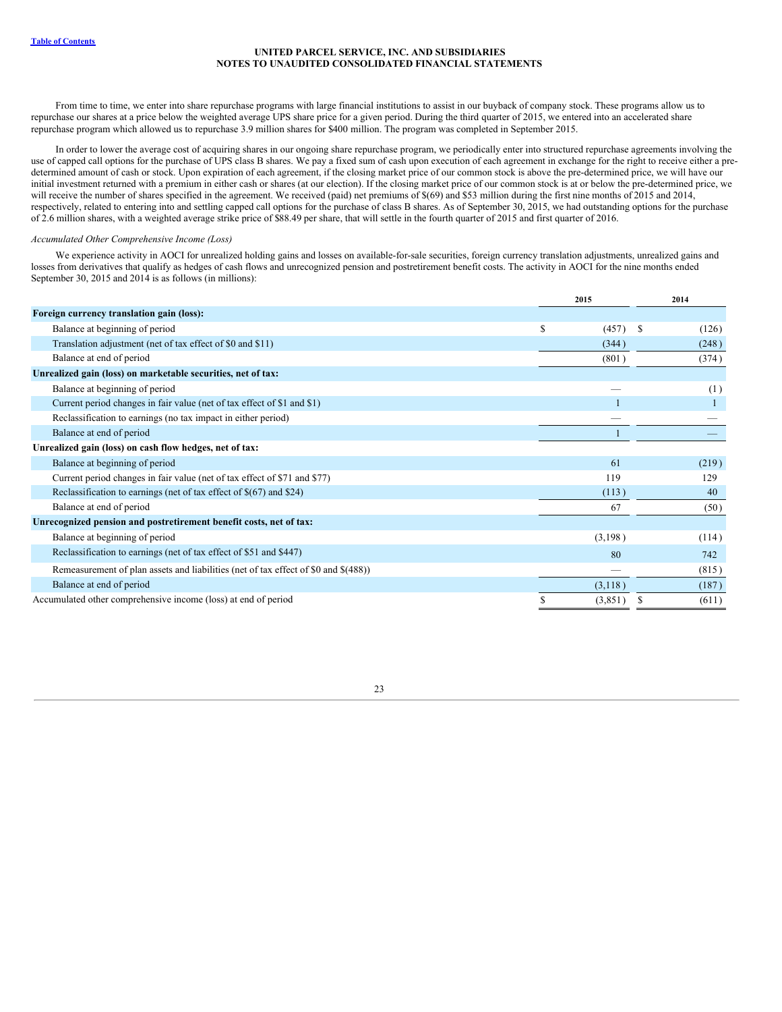From time to time, we enter into share repurchase programs with large financial institutions to assist in our buyback of company stock. These programs allow us to repurchase our shares at a price below the weighted average UPS share price for a given period. During the third quarter of 2015, we entered into an accelerated share repurchase program which allowed us to repurchase 3.9 million shares for \$400 million. The program was completed in September 2015.

In order to lower the average cost of acquiring shares in our ongoing share repurchase program, we periodically enter into structured repurchase agreements involving the use of capped call options for the purchase of UPS class B shares. We pay a fixed sum of cash upon execution of each agreement in exchange for the right to receive either a predetermined amount of cash or stock. Upon expiration of each agreement, if the closing market price of our common stock is above the pre-determined price, we will have our initial investment returned with a premium in either cash or shares (at our election). If the closing market price of our common stock is at or below the pre-determined price, we will receive the number of shares specified in the agreement. We received (paid) net premiums of  $\$(69)$  and  $\$53$  million during the first nine months of 2015 and 2014, respectively, related to entering into and settling capped call options for the purchase of class B shares. As of September 30, 2015, we had outstanding options for the purchase of 2.6 million shares, with a weighted average strike price of \$88.49 per share, that will settle in the fourth quarter of 2015 and first quarter of 2016.

#### *Accumulated Other Comprehensive Income (Loss)*

We experience activity in AOCI for unrealized holding gains and losses on available-for-sale securities, foreign currency translation adjustments, unrealized gains and losses from derivatives that qualify as hedges of cash flows and unrecognized pension and postretirement benefit costs. The activity in AOCI for the nine months ended September 30, 2015 and 2014 is as follows (in millions):

|                                                                                     | 2015 |         |    | 2014  |
|-------------------------------------------------------------------------------------|------|---------|----|-------|
| Foreign currency translation gain (loss):                                           |      |         |    |       |
| Balance at beginning of period                                                      | \$   | (457)   | -S | (126) |
| Translation adjustment (net of tax effect of \$0 and \$11)                          |      | (344)   |    | (248) |
| Balance at end of period                                                            |      | (801)   |    | (374) |
| Unrealized gain (loss) on marketable securities, net of tax:                        |      |         |    |       |
| Balance at beginning of period                                                      |      |         |    | (1)   |
| Current period changes in fair value (net of tax effect of \$1 and \$1)             |      |         |    |       |
| Reclassification to earnings (no tax impact in either period)                       |      |         |    |       |
| Balance at end of period                                                            |      |         |    |       |
| Unrealized gain (loss) on cash flow hedges, net of tax:                             |      |         |    |       |
| Balance at beginning of period                                                      |      | -61     |    | (219) |
| Current period changes in fair value (net of tax effect of \$71 and \$77)           |      | 119     |    | 129   |
| Reclassification to earnings (net of tax effect of $\S(67)$ ) and $\S(24)$          |      | (113)   |    | 40    |
| Balance at end of period                                                            |      | 67      |    | (50)  |
| Unrecognized pension and postretirement benefit costs, net of tax:                  |      |         |    |       |
| Balance at beginning of period                                                      |      | (3,198) |    | (114) |
| Reclassification to earnings (net of tax effect of \$51 and \$447)                  |      | 80      |    | 742   |
| Remeasurement of plan assets and liabilities (net of tax effect of \$0 and \$(488)) |      |         |    | (815) |
| Balance at end of period                                                            |      | (3,118) |    | (187) |
| Accumulated other comprehensive income (loss) at end of period                      |      | (3,851) |    | (611) |

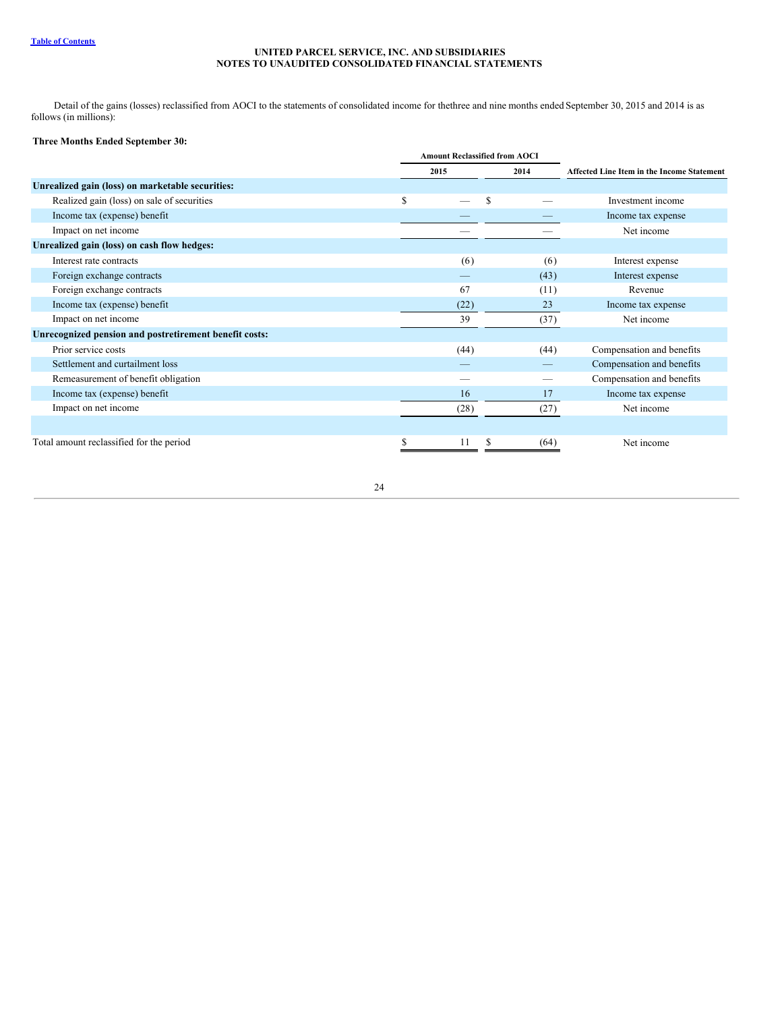Detail of the gains (losses) reclassified from AOCI to the statements of consolidated income for thethree and nine months ended September 30, 2015 and 2014 is as follows (in millions):

# **Three Months Ended September 30:**

|                                                        |   | <b>Amount Reclassified from AOCI</b> |    |      |                                                   |
|--------------------------------------------------------|---|--------------------------------------|----|------|---------------------------------------------------|
|                                                        |   | 2015                                 |    | 2014 | <b>Affected Line Item in the Income Statement</b> |
| Unrealized gain (loss) on marketable securities:       |   |                                      |    |      |                                                   |
| Realized gain (loss) on sale of securities             | S |                                      |    |      | Investment income                                 |
| Income tax (expense) benefit                           |   |                                      |    |      | Income tax expense                                |
| Impact on net income                                   |   |                                      |    |      | Net income                                        |
| Unrealized gain (loss) on cash flow hedges:            |   |                                      |    |      |                                                   |
| Interest rate contracts                                |   | (6)                                  |    | (6)  | Interest expense                                  |
| Foreign exchange contracts                             |   |                                      |    | (43) | Interest expense                                  |
| Foreign exchange contracts                             |   | 67                                   |    | (11) | Revenue                                           |
| Income tax (expense) benefit                           |   | (22)                                 | 23 |      | Income tax expense                                |
| Impact on net income                                   |   | 39                                   |    | (37) | Net income                                        |
| Unrecognized pension and postretirement benefit costs: |   |                                      |    |      |                                                   |
| Prior service costs                                    |   | (44)                                 |    | (44) | Compensation and benefits                         |
| Settlement and curtailment loss                        |   |                                      |    |      | Compensation and benefits                         |
| Remeasurement of benefit obligation                    |   |                                      |    |      | Compensation and benefits                         |
| Income tax (expense) benefit                           |   | 16                                   |    | 17   | Income tax expense                                |
| Impact on net income                                   |   | (28)                                 |    | (27) | Net income                                        |
|                                                        |   |                                      |    |      |                                                   |
| Total amount reclassified for the period               |   | 11                                   |    | (64) | Net income                                        |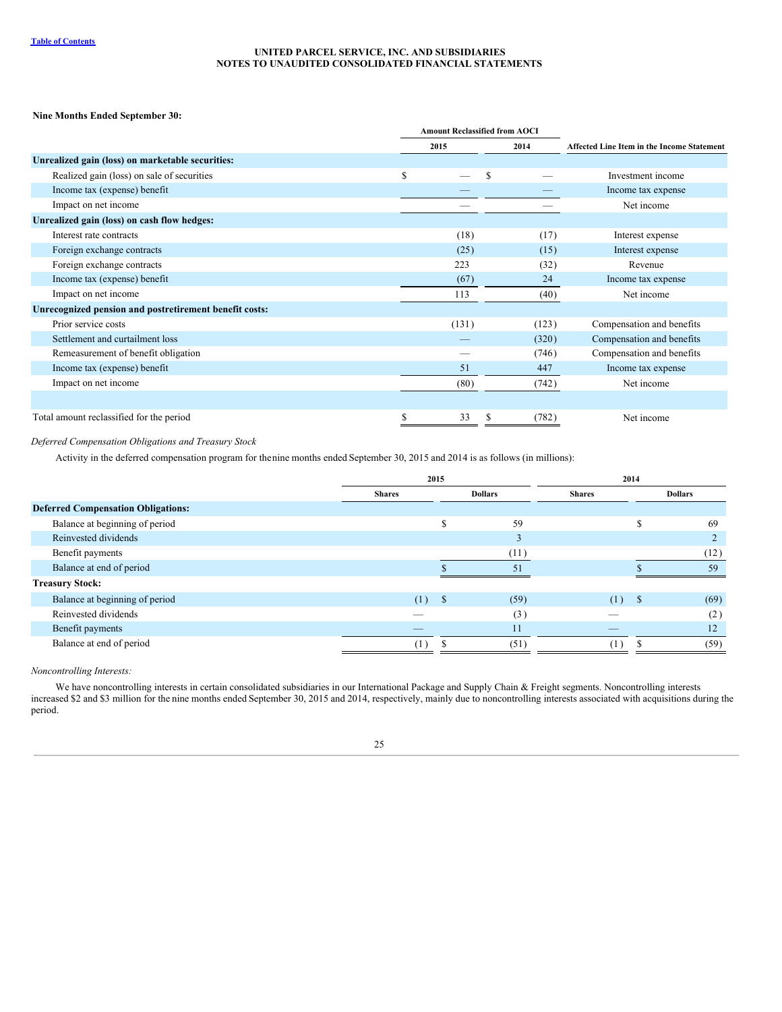### **Nine Months Ended September 30:**

|                                                        |      | <b>Amount Reclassified from AOCI</b> |      |       |                                                   |
|--------------------------------------------------------|------|--------------------------------------|------|-------|---------------------------------------------------|
|                                                        | 2015 |                                      | 2014 |       | <b>Affected Line Item in the Income Statement</b> |
| Unrealized gain (loss) on marketable securities:       |      |                                      |      |       |                                                   |
| Realized gain (loss) on sale of securities             | \$   |                                      | S    |       | Investment income                                 |
| Income tax (expense) benefit                           |      |                                      |      |       | Income tax expense                                |
| Impact on net income                                   |      |                                      |      |       | Net income                                        |
| Unrealized gain (loss) on cash flow hedges:            |      |                                      |      |       |                                                   |
| Interest rate contracts                                |      | (18)                                 |      | (17)  | Interest expense                                  |
| Foreign exchange contracts                             |      | (25)                                 |      | (15)  | Interest expense                                  |
| Foreign exchange contracts                             |      | 223                                  |      | (32)  | Revenue                                           |
| Income tax (expense) benefit                           |      | (67)                                 |      | 24    | Income tax expense                                |
| Impact on net income                                   |      | 113                                  |      | (40)  | Net income                                        |
| Unrecognized pension and postretirement benefit costs: |      |                                      |      |       |                                                   |
| Prior service costs                                    |      | (131)                                |      | (123) | Compensation and benefits                         |
| Settlement and curtailment loss                        |      |                                      |      | (320) | Compensation and benefits                         |
| Remeasurement of benefit obligation                    |      |                                      |      | (746) | Compensation and benefits                         |
| Income tax (expense) benefit                           |      | 51                                   |      | 447   | Income tax expense                                |
| Impact on net income                                   |      | (80)                                 |      | (742) | Net income                                        |
|                                                        |      |                                      |      |       |                                                   |
| Total amount reclassified for the period               |      | 33                                   |      | (782) | Net income                                        |

# *Deferred Compensation Obligations and Treasury Stock*

Activity in the deferred compensation program for thenine months ended September 30, 2015 and 2014 is as follows (in millions):

|                                           |               | 2015           |      | 2014   |    |                |  |
|-------------------------------------------|---------------|----------------|------|--------|----|----------------|--|
|                                           | <b>Shares</b> | <b>Dollars</b> |      | Shares |    | <b>Dollars</b> |  |
| <b>Deferred Compensation Obligations:</b> |               |                |      |        |    |                |  |
| Balance at beginning of period            |               | £.             | 59   |        |    | 69             |  |
| Reinvested dividends                      |               |                | 3    |        |    |                |  |
| Benefit payments                          |               |                | (11) |        |    | (12)           |  |
| Balance at end of period                  |               |                | 51   |        |    | 59             |  |
| <b>Treasury Stock:</b>                    |               |                |      |        |    |                |  |
| Balance at beginning of period            | (1)           | <sup>\$</sup>  | (59) | (1)    | -S | (69)           |  |
| Reinvested dividends                      |               |                | (3)  |        |    | (2)            |  |
| Benefit payments                          |               |                | 11   |        |    | 12             |  |
| Balance at end of period                  | (1)           |                | (51) | (1)    |    | (59)           |  |

*Noncontrolling Interests:*

We have noncontrolling interests in certain consolidated subsidiaries in our International Package and Supply Chain & Freight segments. Noncontrolling interests increased \$2 and \$3 million for the nine months ended September 30, 2015 and 2014, respectively, mainly due to noncontrolling interests associated with acquisitions during the period.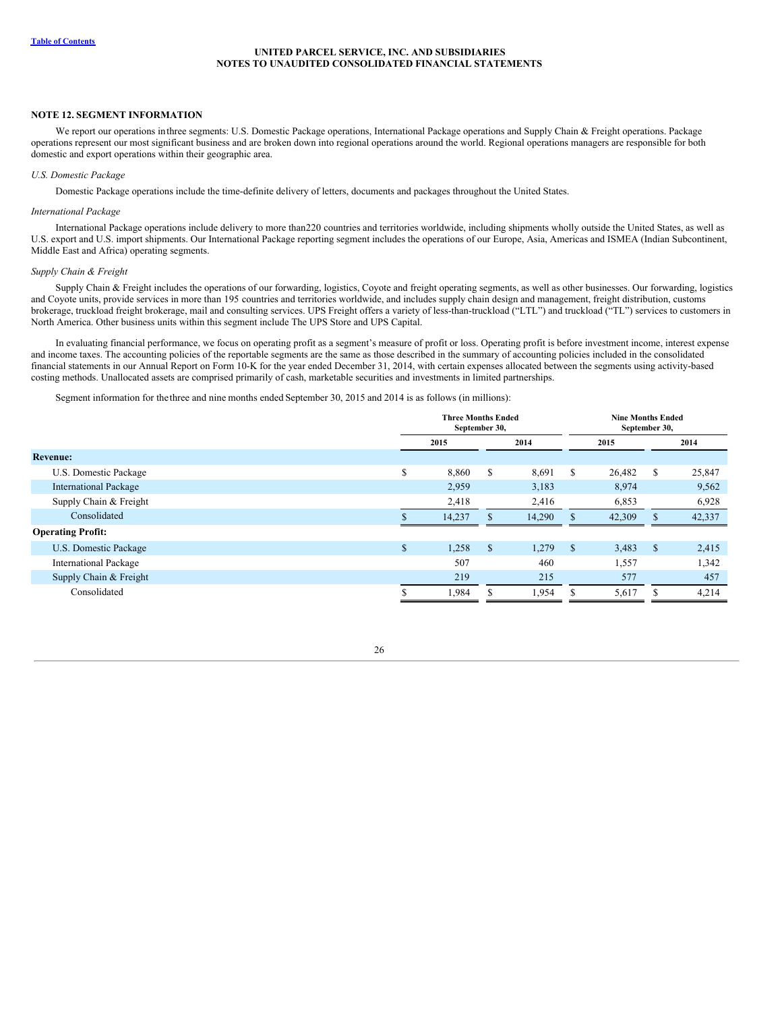#### <span id="page-27-0"></span>**NOTE 12. SEGMENT INFORMATION**

We report our operations in three segments: U.S. Domestic Package operations, International Package operations and Supply Chain & Freight operations. Package operations represent our most significant business and are broken down into regional operations around the world. Regional operations managers are responsible for both domestic and export operations within their geographic area.

#### *U.S. Domestic Package*

Domestic Package operations include the time-definite delivery of letters, documents and packages throughout the United States.

#### *International Package*

International Package operations include delivery to more than220 countries and territories worldwide, including shipments wholly outside the United States, as well as U.S. export and U.S. import shipments. Our International Package reporting segment includes the operations of our Europe, Asia, Americas and ISMEA (Indian Subcontinent, Middle East and Africa) operating segments.

#### *Supply Chain & Freight*

Supply Chain & Freight includes the operations of our forwarding, logistics, Coyote and freight operating segments, as well as other businesses. Our forwarding, logistics and Coyote units, provide services in more than 195 countries and territories worldwide, and includes supply chain design and management, freight distribution, customs brokerage, truckload freight brokerage, mail and consulting services. UPS Freight offers a variety of less-than-truckload ("LTL") and truckload ("TL") services to customers in North America. Other business units within this segment include The UPS Store and UPS Capital.

In evaluating financial performance, we focus on operating profit as a segment's measure of profit or loss. Operating profit is before investment income, interest expense and income taxes. The accounting policies of the reportable segments are the same as those described in the summary of accounting policies included in the consolidated financial statements in our Annual Report on Form 10-K for the year ended December 31, 2014, with certain expenses allocated between the segments using activity-based costing methods. Unallocated assets are comprised primarily of cash, marketable securities and investments in limited partnerships.

Segment information for the three and nine months ended September 30, 2015 and 2014 is as follows (in millions):

|                              | <b>Three Months Ended</b><br>September 30, |        |              |        | <b>Nine Months Ended</b><br>September 30, |        |   |        |
|------------------------------|--------------------------------------------|--------|--------------|--------|-------------------------------------------|--------|---|--------|
|                              |                                            | 2015   |              | 2014   |                                           | 2015   |   | 2014   |
| <b>Revenue:</b>              |                                            |        |              |        |                                           |        |   |        |
| U.S. Domestic Package        | \$                                         | 8,860  | \$           | 8,691  | \$                                        | 26,482 | S | 25,847 |
| <b>International Package</b> |                                            | 2,959  |              | 3,183  |                                           | 8,974  |   | 9,562  |
| Supply Chain & Freight       |                                            | 2,418  |              | 2,416  |                                           | 6,853  |   | 6,928  |
| Consolidated                 |                                            | 14,237 |              | 14,290 |                                           | 42,309 |   | 42,337 |
| <b>Operating Profit:</b>     |                                            |        |              |        |                                           |        |   |        |
| U.S. Domestic Package        | \$                                         | 1,258  | $\mathbb{S}$ | 1,279  | S                                         | 3,483  | S | 2,415  |
| <b>International Package</b> |                                            | 507    |              | 460    |                                           | 1,557  |   | 1,342  |
| Supply Chain & Freight       |                                            | 219    |              | 215    |                                           | 577    |   | 457    |
| Consolidated                 |                                            | 1,984  | \$           | 1,954  |                                           | 5,617  |   | 4,214  |
|                              |                                            |        |              |        |                                           |        |   |        |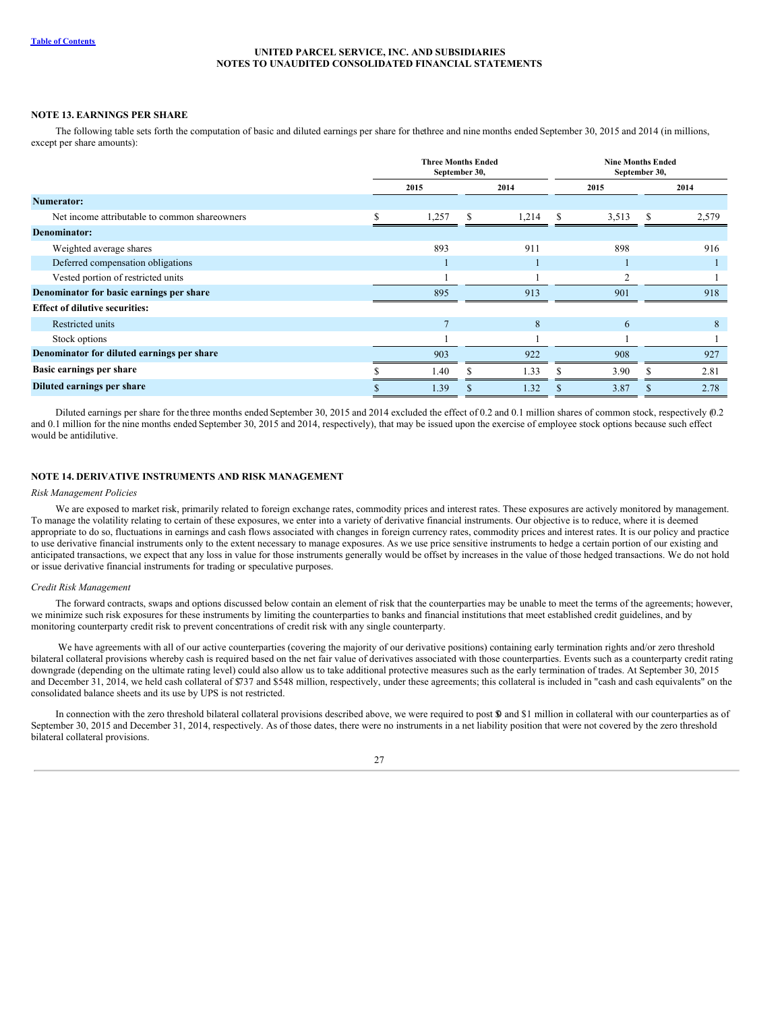### <span id="page-28-0"></span>**NOTE 13. EARNINGS PER SHARE**

The following table sets forth the computation of basic and diluted earnings per share for thethree and nine months ended September 30, 2015 and 2014 (in millions, except per share amounts):

|                                               | <b>Three Months Ended</b><br>September 30, |            |    | <b>Nine Months Ended</b><br>September 30, |    |       |  |
|-----------------------------------------------|--------------------------------------------|------------|----|-------------------------------------------|----|-------|--|
|                                               | 2015                                       | 2014       |    | 2015                                      |    | 2014  |  |
| <b>Numerator:</b>                             |                                            |            |    |                                           |    |       |  |
| Net income attributable to common shareowners | 1,257                                      | S<br>1,214 | S. | 3,513                                     | \$ | 2,579 |  |
| Denominator:                                  |                                            |            |    |                                           |    |       |  |
| Weighted average shares                       | 893                                        | 911        |    | 898                                       |    | 916   |  |
| Deferred compensation obligations             |                                            |            |    |                                           |    |       |  |
| Vested portion of restricted units            |                                            |            |    | $\overline{2}$                            |    |       |  |
| Denominator for basic earnings per share      | 895                                        | 913        |    | 901                                       |    | 918   |  |
| <b>Effect of dilutive securities:</b>         |                                            |            |    |                                           |    |       |  |
| Restricted units                              | $\overline{7}$                             |            | 8  | 6                                         |    | 8     |  |
| Stock options                                 |                                            |            |    |                                           |    |       |  |
| Denominator for diluted earnings per share    | 903                                        | 922        |    | 908                                       |    | 927   |  |
| Basic earnings per share                      | 1.40                                       | 1.33       |    | 3.90                                      |    | 2.81  |  |
| Diluted earnings per share                    | 1.39                                       | 1.32       |    | 3.87                                      |    | 2.78  |  |

Diluted earnings per share for the three months ended September 30, 2015 and 2014 excluded the effect of 0.2 and 0.1 million shares of common stock, respectively (0.2 and 0.1 million for the nine months ended September 30, 2015 and 2014, respectively), that may be issued upon the exercise of employee stock options because such effect would be antidilutive.

### <span id="page-28-1"></span>**NOTE 14. DERIVATIVE INSTRUMENTS AND RISK MANAGEMENT**

### *Risk Management Policies*

We are exposed to market risk, primarily related to foreign exchange rates, commodity prices and interest rates. These exposures are actively monitored by management. To manage the volatility relating to certain of these exposures, we enter into a variety of derivative financial instruments. Our objective is to reduce, where it is deemed appropriate to do so, fluctuations in earnings and cash flows associated with changes in foreign currency rates, commodity prices and interest rates. It is our policy and practice to use derivative financial instruments only to the extent necessary to manage exposures. As we use price sensitive instruments to hedge a certain portion of our existing and anticipated transactions, we expect that any loss in value for those instruments generally would be offset by increases in the value of those hedged transactions. We do not hold or issue derivative financial instruments for trading or speculative purposes.

#### *Credit Risk Management*

The forward contracts, swaps and options discussed below contain an element of risk that the counterparties may be unable to meet the terms of the agreements; however, we minimize such risk exposures for these instruments by limiting the counterparties to banks and financial institutions that meet established credit guidelines, and by monitoring counterparty credit risk to prevent concentrations of credit risk with any single counterparty.

We have agreements with all of our active counterparties (covering the majority of our derivative positions) containing early termination rights and/or zero threshold bilateral collateral provisions whereby cash is required based on the net fair value of derivatives associated with those counterparties. Events such as a counterparty credit rating downgrade (depending on the ultimate rating level) could also allow us to take additional protective measures such as the early termination of trades. At September 30, 2015 and December 31, 2014, we held cash collateral of \$737 and \$548 million, respectively, under these agreements; this collateral is included in "cash and cash equivalents" on the consolidated balance sheets and its use by UPS is not restricted.

In connection with the zero threshold bilateral collateral provisions described above, we were required to post \$0 and \$1 million in collateral with our counterparties as of September 30, 2015 and December 31, 2014, respectively. As of those dates, there were no instruments in a net liability position that were not covered by the zero threshold bilateral collateral provisions.

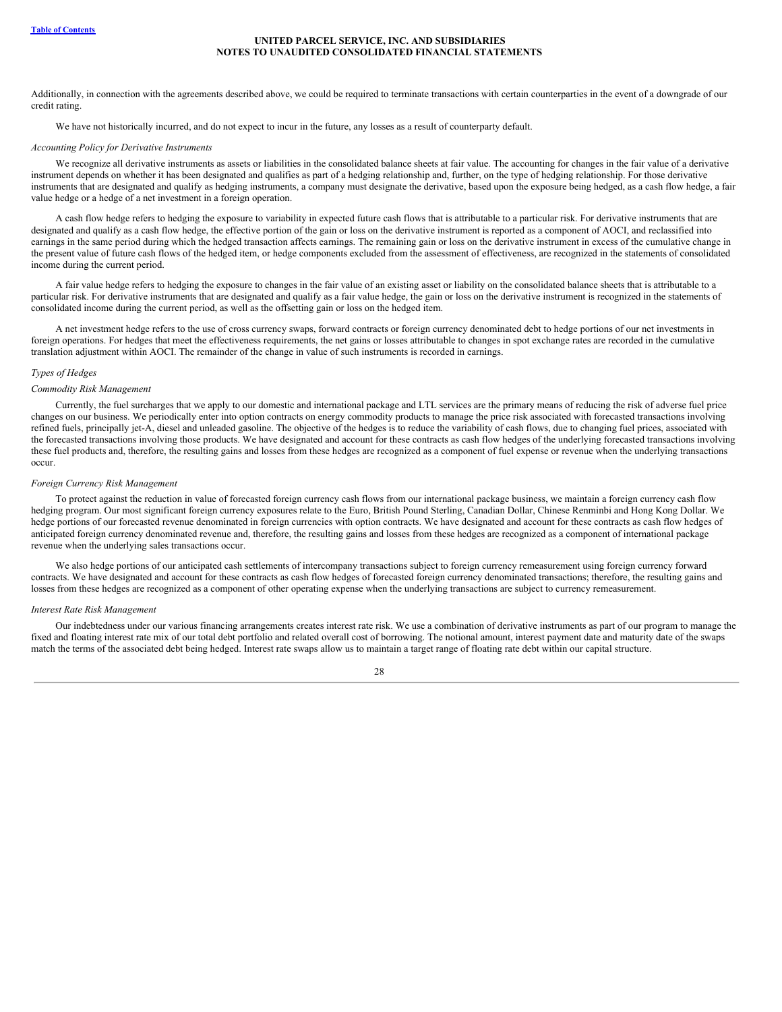Additionally, in connection with the agreements described above, we could be required to terminate transactions with certain counterparties in the event of a downgrade of our credit rating.

We have not historically incurred, and do not expect to incur in the future, any losses as a result of counterparty default.

#### *Accounting Policy for Derivative Instruments*

We recognize all derivative instruments as assets or liabilities in the consolidated balance sheets at fair value. The accounting for changes in the fair value of a derivative instrument depends on whether it has been designated and qualifies as part of a hedging relationship and, further, on the type of hedging relationship. For those derivative instruments that are designated and qualify as hedging instruments, a company must designate the derivative, based upon the exposure being hedged, as a cash flow hedge, a fair value hedge or a hedge of a net investment in a foreign operation.

A cash flow hedge refers to hedging the exposure to variability in expected future cash flows that is attributable to a particular risk. For derivative instruments that are designated and qualify as a cash flow hedge, the effective portion of the gain or loss on the derivative instrument is reported as a component of AOCI, and reclassified into earnings in the same period during which the hedged transaction affects earnings. The remaining gain or loss on the derivative instrument in excess of the cumulative change in the present value of future cash flows of the hedged item, or hedge components excluded from the assessment of effectiveness, are recognized in the statements of consolidated income during the current period.

A fair value hedge refers to hedging the exposure to changes in the fair value of an existing asset or liability on the consolidated balance sheets that is attributable to a particular risk. For derivative instruments that are designated and qualify as a fair value hedge, the gain or loss on the derivative instrument is recognized in the statements of consolidated income during the current period, as well as the offsetting gain or loss on the hedged item.

A net investment hedge refers to the use of cross currency swaps, forward contracts or foreign currency denominated debt to hedge portions of our net investments in foreign operations. For hedges that meet the effectiveness requirements, the net gains or losses attributable to changes in spot exchange rates are recorded in the cumulative translation adjustment within AOCI. The remainder of the change in value of such instruments is recorded in earnings.

#### *Types of Hedges*

### *Commodity Risk Management*

Currently, the fuel surcharges that we apply to our domestic and international package and LTL services are the primary means of reducing the risk of adverse fuel price changes on our business. We periodically enter into option contracts on energy commodity products to manage the price risk associated with forecasted transactions involving refined fuels, principally jet-A, diesel and unleaded gasoline. The objective of the hedges is to reduce the variability of cash flows, due to changing fuel prices, associated with the forecasted transactions involving those products. We have designated and account for these contracts as cash flow hedges of the underlying forecasted transactions involving these fuel products and, therefore, the resulting gains and losses from these hedges are recognized as a component of fuel expense or revenue when the underlying transactions occur.

#### *Foreign Currency Risk Management*

To protect against the reduction in value of forecasted foreign currency cash flows from our international package business, we maintain a foreign currency cash flow hedging program. Our most significant foreign currency exposures relate to the Euro, British Pound Sterling, Canadian Dollar, Chinese Renminbi and Hong Kong Dollar. We hedge portions of our forecasted revenue denominated in foreign currencies with option contracts. We have designated and account for these contracts as cash flow hedges of anticipated foreign currency denominated revenue and, therefore, the resulting gains and losses from these hedges are recognized as a component of international package revenue when the underlying sales transactions occur.

We also hedge portions of our anticipated cash settlements of intercompany transactions subject to foreign currency remeasurement using foreign currency forward contracts. We have designated and account for these contracts as cash flow hedges of forecasted foreign currency denominated transactions; therefore, the resulting gains and losses from these hedges are recognized as a component of other operating expense when the underlying transactions are subject to currency remeasurement.

#### *Interest Rate Risk Management*

Our indebtedness under our various financing arrangements creates interest rate risk. We use a combination of derivative instruments as part of our program to manage the fixed and floating interest rate mix of our total debt portfolio and related overall cost of borrowing. The notional amount, interest payment date and maturity date of the swaps match the terms of the associated debt being hedged. Interest rate swaps allow us to maintain a target range of floating rate debt within our capital structure.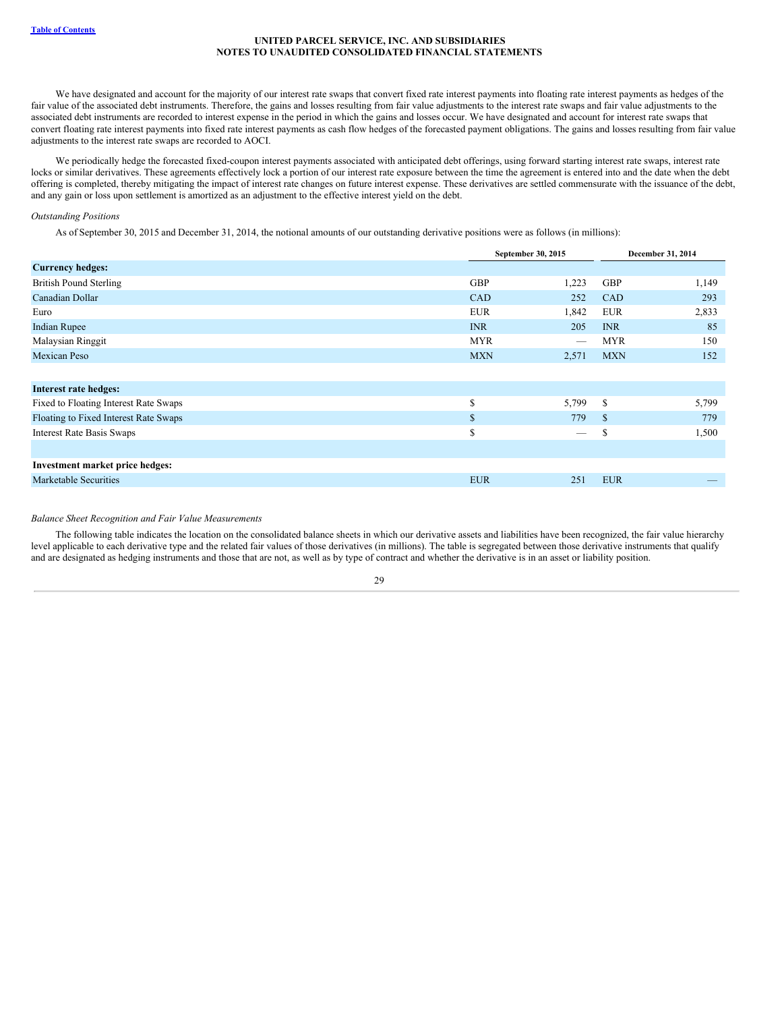We have designated and account for the majority of our interest rate swaps that convert fixed rate interest payments into floating rate interest payments as hedges of the fair value of the associated debt instruments. Therefore, the gains and losses resulting from fair value adjustments to the interest rate swaps and fair value adjustments to the associated debt instruments are recorded to interest expense in the period in which the gains and losses occur. We have designated and account for interest rate swaps that convert floating rate interest payments into fixed rate interest payments as cash flow hedges of the forecasted payment obligations. The gains and losses resulting from fair value adjustments to the interest rate swaps are recorded to AOCI.

We periodically hedge the forecasted fixed-coupon interest payments associated with anticipated debt offerings, using forward starting interest rate swaps, interest rate locks or similar derivatives. These agreements effectively lock a portion of our interest rate exposure between the time the agreement is entered into and the date when the debt offering is completed, thereby mitigating the impact of interest rate changes on future interest expense. These derivatives are settled commensurate with the issuance of the debt, and any gain or loss upon settlement is amortized as an adjustment to the effective interest yield on the debt.

### *Outstanding Positions*

As of September 30, 2015 and December 31, 2014, the notional amounts of our outstanding derivative positions were as follows (in millions):

|                                       |               | September 30, 2015 |               | December 31, 2014 |  |
|---------------------------------------|---------------|--------------------|---------------|-------------------|--|
| <b>Currency hedges:</b>               |               |                    |               |                   |  |
| <b>British Pound Sterling</b>         | <b>GBP</b>    | 1,223              | <b>GBP</b>    | 1,149             |  |
| Canadian Dollar                       | CAD           | 252                | CAD           | 293               |  |
| Euro                                  | <b>EUR</b>    | 1,842              | <b>EUR</b>    | 2,833             |  |
| <b>Indian Rupee</b>                   | <b>INR</b>    | 205                | <b>INR</b>    | 85                |  |
| Malaysian Ringgit                     | <b>MYR</b>    | -                  | <b>MYR</b>    | 150               |  |
| <b>Mexican Peso</b>                   | <b>MXN</b>    | 2,571              | <b>MXN</b>    | 152               |  |
|                                       |               |                    |               |                   |  |
| Interest rate hedges:                 |               |                    |               |                   |  |
| Fixed to Floating Interest Rate Swaps | S             | 5,799              | \$            | 5,799             |  |
| Floating to Fixed Interest Rate Swaps | $\mathbb{S}$  | 779                | <sup>\$</sup> | 779               |  |
| <b>Interest Rate Basis Swaps</b>      | <sup>\$</sup> |                    | S.            | 1,500             |  |
|                                       |               |                    |               |                   |  |
| Investment market price hedges:       |               |                    |               |                   |  |
| Marketable Securities                 | <b>EUR</b>    | 251                | <b>EUR</b>    |                   |  |
|                                       |               |                    |               |                   |  |

#### *Balance Sheet Recognition and Fair Value Measurements*

The following table indicates the location on the consolidated balance sheets in which our derivative assets and liabilities have been recognized, the fair value hierarchy level applicable to each derivative type and the related fair values of those derivatives (in millions). The table is segregated between those derivative instruments that qualify and are designated as hedging instruments and those that are not, as well as by type of contract and whether the derivative is in an asset or liability position.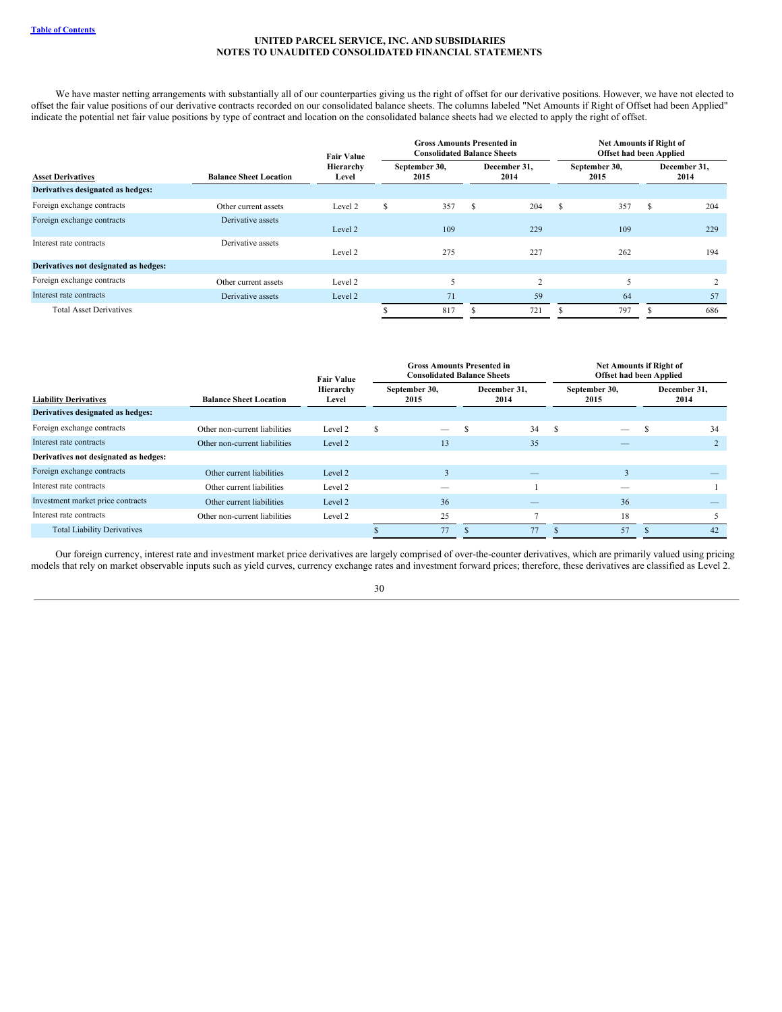We have master netting arrangements with substantially all of our counterparties giving us the right of offset for our derivative positions. However, we have not elected to offset the fair value positions of our derivative contracts recorded on our consolidated balance sheets. The columns labeled "Net Amounts if Right of Offset had been Applied" indicate the potential net fair value positions by type of contract and location on the consolidated balance sheets had we elected to apply the right of offset.

|                                       |                               | <b>Fair Value</b>  | <b>Gross Amounts Presented in</b><br><b>Consolidated Balance Sheets</b> |                                               |   |                       | <b>Net Amounts if Right of</b><br><b>Offset had been Applied</b> |                      |   |     |
|---------------------------------------|-------------------------------|--------------------|-------------------------------------------------------------------------|-----------------------------------------------|---|-----------------------|------------------------------------------------------------------|----------------------|---|-----|
| <b>Asset Derivatives</b>              | <b>Balance Sheet Location</b> | Hierarchy<br>Level |                                                                         | September 30,<br>December 31.<br>2015<br>2014 |   | September 30,<br>2015 |                                                                  | December 31,<br>2014 |   |     |
| Derivatives designated as hedges:     |                               |                    |                                                                         |                                               |   |                       |                                                                  |                      |   |     |
| Foreign exchange contracts            | Other current assets          | Level 2            | S                                                                       | 357                                           | S | 204                   | S                                                                | 357                  | S | 204 |
| Foreign exchange contracts            | Derivative assets             | Level 2            |                                                                         | 109                                           |   | 229                   |                                                                  | 109                  |   | 229 |
| Interest rate contracts               | Derivative assets             | Level 2            |                                                                         | 275                                           |   | 227                   |                                                                  | 262                  |   | 194 |
| Derivatives not designated as hedges: |                               |                    |                                                                         |                                               |   |                       |                                                                  |                      |   |     |
| Foreign exchange contracts            | Other current assets          | Level 2            |                                                                         | 5                                             |   | $\overline{c}$        |                                                                  | 5                    |   |     |
| Interest rate contracts               | Derivative assets             | Level 2            |                                                                         | 71                                            |   | 59                    |                                                                  | 64                   |   | 57  |
| <b>Total Asset Derivatives</b>        |                               |                    |                                                                         | 817                                           |   | 721                   |                                                                  | 797                  |   | 686 |

|                               |                    |                                               |                   |                       | <b>Net Amounts if Right of</b><br><b>Offset had been Applied</b>        |    |                      |    |
|-------------------------------|--------------------|-----------------------------------------------|-------------------|-----------------------|-------------------------------------------------------------------------|----|----------------------|----|
| <b>Balance Sheet Location</b> | Hierarchy<br>Level | September 30,<br>December 31,<br>2015<br>2014 |                   | September 30,<br>2015 |                                                                         |    | December 31,<br>2014 |    |
|                               |                    |                                               |                   |                       |                                                                         |    |                      |    |
| Other non-current liabilities | Level <sub>2</sub> |                                               | $\qquad \qquad -$ | 34                    |                                                                         |    |                      | 34 |
| Other non-current liabilities | Level 2            |                                               | 13                | 35                    |                                                                         |    |                      |    |
|                               |                    |                                               |                   |                       |                                                                         |    |                      |    |
| Other current liabilities     | Level 2            |                                               | 3                 |                       |                                                                         | 3  |                      |    |
| Other current liabilities     | Level 2            |                                               |                   |                       |                                                                         |    |                      |    |
| Other current liabilities     | Level 2            |                                               | 36                |                       |                                                                         | 36 |                      |    |
| Other non-current liabilities | Level 2            |                                               | 25                |                       |                                                                         | 18 |                      |    |
|                               |                    |                                               | 77                | 77                    |                                                                         | 57 |                      | 42 |
|                               |                    | <b>Fair Value</b>                             |                   |                       | <b>Gross Amounts Presented in</b><br><b>Consolidated Balance Sheets</b> |    |                      |    |

Our foreign currency, interest rate and investment market price derivatives are largely comprised of over-the-counter derivatives, which are primarily valued using pricing models that rely on market observable inputs such as yield curves, currency exchange rates and investment forward prices; therefore, these derivatives are classified as Level 2.

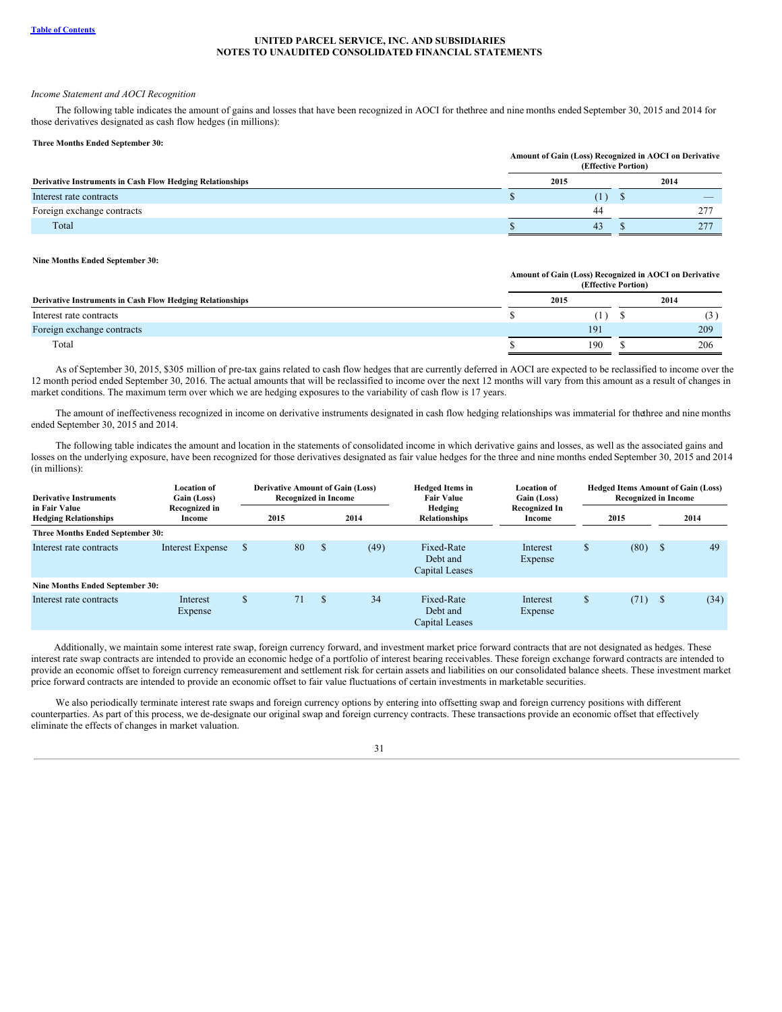#### *Income Statement and AOCI Recognition*

The following table indicates the amount of gains and losses that have been recognized in AOCI for thethree and nine months ended September 30, 2015 and 2014 for those derivatives designated as cash flow hedges (in millions):

| Three Months Ended September 30: |  |  |
|----------------------------------|--|--|
|----------------------------------|--|--|

| Amount of Gain (Loss) Recognized in AOCI on Derivative<br>(Effective Portion) |  |  |  |  |  |  |  |  |
|-------------------------------------------------------------------------------|--|--|--|--|--|--|--|--|
| 2014                                                                          |  |  |  |  |  |  |  |  |
|                                                                               |  |  |  |  |  |  |  |  |
| 277                                                                           |  |  |  |  |  |  |  |  |
| 277                                                                           |  |  |  |  |  |  |  |  |
|                                                                               |  |  |  |  |  |  |  |  |

#### **Nine Months Ended September 30:**

|                                                           | (Effective Portion) |  |                  |  |  |  |  |  |  |
|-----------------------------------------------------------|---------------------|--|------------------|--|--|--|--|--|--|
| Derivative Instruments in Cash Flow Hedging Relationships | 2015                |  |                  |  |  |  |  |  |  |
| Interest rate contracts                                   |                     |  | $\left(3\right)$ |  |  |  |  |  |  |
| Foreign exchange contracts                                | 191                 |  | 209              |  |  |  |  |  |  |
| Total                                                     | 190                 |  | 206              |  |  |  |  |  |  |

**Amount of Gain (Loss) Recognized in AOCI on Derivative**

As of September 30, 2015, \$305 million of pre-tax gains related to cash flow hedges that are currently deferred in AOCI are expected to be reclassified to income over the 12 month period ended September 30, 2016. The actual amounts that will be reclassified to income over the next 12 months will vary from this amount as a result of changes in market conditions. The maximum term over which we are hedging exposures to the variability of cash flow is 17 years.

The amount of ineffectiveness recognized in income on derivative instruments designated in cash flow hedging relationships was immaterial for thethree and nine months ended September 30, 2015 and 2014.

The following table indicates the amount and location in the statements of consolidated income in which derivative gains and losses, as well as the associated gains and losses on the underlying exposure, have been recognized for those derivatives designated as fair value hedges for the three and nine months ended September 30, 2015 and 2014 (in millions):

| <b>Derivative Instruments</b>                 | <b>Location of</b><br>Gain (Loss) | <b>Derivative Amount of Gain (Loss)</b><br><b>Recognized in Income</b> |      |   |      | <b>Hedged Items in</b><br><b>Fair Value</b> | Location of<br>Gain (Loss) | <b>Hedged Items Amount of Gain (Loss)</b><br><b>Recognized in Income</b> |           |      |      |
|-----------------------------------------------|-----------------------------------|------------------------------------------------------------------------|------|---|------|---------------------------------------------|----------------------------|--------------------------------------------------------------------------|-----------|------|------|
| in Fair Value<br><b>Hedging Relationships</b> | Recognized in<br>Income           |                                                                        | 2015 |   | 2014 | Hedging<br><b>Relationships</b>             | Recognized In<br>Income    | 2015                                                                     |           | 2014 |      |
| <b>Three Months Ended September 30:</b>       |                                   |                                                                        |      |   |      |                                             |                            |                                                                          |           |      |      |
| Interest rate contracts                       | Interest Expense                  | <sup>8</sup>                                                           | 80   | S | (49) | Fixed-Rate<br>Debt and<br>Capital Leases    | Interest<br>Expense        | ъ                                                                        | $(80)$ \$ |      | 49   |
| <b>Nine Months Ended September 30:</b>        |                                   |                                                                        |      |   |      |                                             |                            |                                                                          |           |      |      |
| Interest rate contracts                       | Interest<br>Expense               | \$                                                                     | 71   | S | 34   | Fixed-Rate<br>Debt and<br>Capital Leases    | Interest<br>Expense        | $\mathbf S$                                                              | $(71)$ \$ |      | (34) |

Additionally, we maintain some interest rate swap, foreign currency forward, and investment market price forward contracts that are not designated as hedges. These interest rate swap contracts are intended to provide an economic hedge of a portfolio of interest bearing receivables. These foreign exchange forward contracts are intended to provide an economic offset to foreign currency remeasurement and settlement risk for certain assets and liabilities on our consolidated balance sheets. These investment market price forward contracts are intended to provide an economic offset to fair value fluctuations of certain investments in marketable securities.

We also periodically terminate interest rate swaps and foreign currency options by entering into offsetting swap and foreign currency positions with different counterparties. As part of this process, we de-designate our original swap and foreign currency contracts. These transactions provide an economic offset that effectively eliminate the effects of changes in market valuation.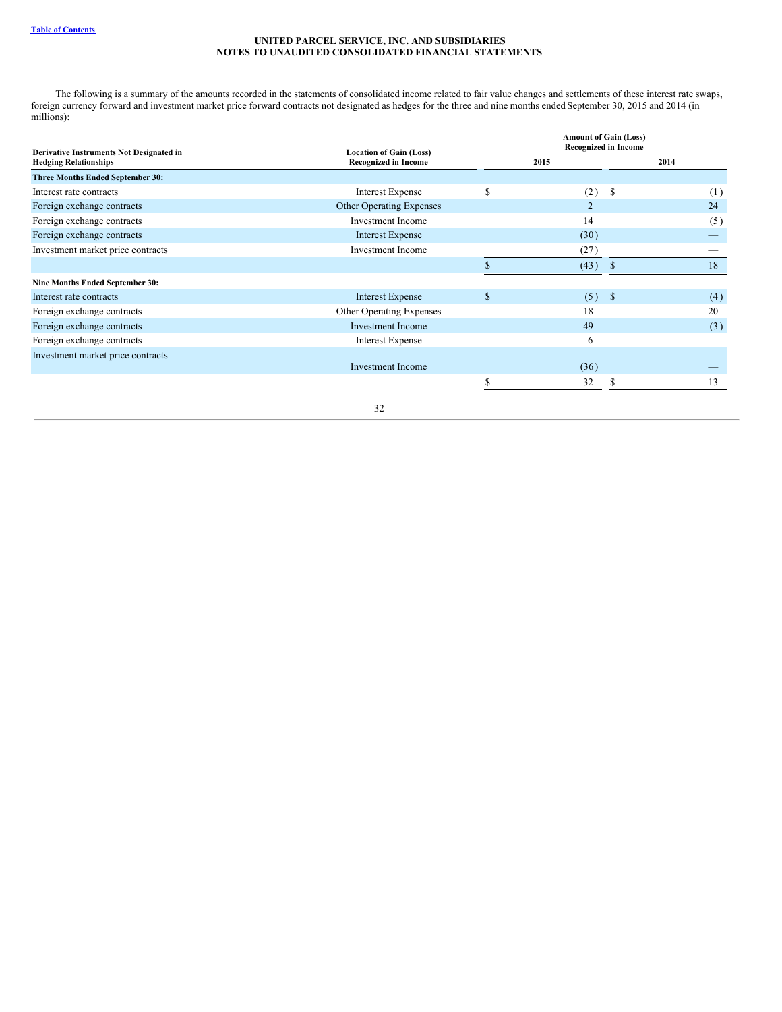The following is a summary of the amounts recorded in the statements of consolidated income related to fair value changes and settlements of these interest rate swaps, foreign currency forward and investment market price forward contracts not designated as hedges for the three and nine months ended September 30, 2015 and 2014 (in millions):

| Derivative Instruments Not Designated in | <b>Location of Gain (Loss)</b>  | <b>Amount of Gain (Loss)</b><br><b>Recognized in Income</b> |                |               |     |  |  |
|------------------------------------------|---------------------------------|-------------------------------------------------------------|----------------|---------------|-----|--|--|
| <b>Hedging Relationships</b>             | <b>Recognized in Income</b>     |                                                             | 2015           | 2014          |     |  |  |
| <b>Three Months Ended September 30:</b>  |                                 |                                                             |                |               |     |  |  |
| Interest rate contracts                  | <b>Interest Expense</b>         | \$                                                          | (2)            | \$            | (1) |  |  |
| Foreign exchange contracts               | <b>Other Operating Expenses</b> |                                                             | $\overline{2}$ |               | 24  |  |  |
| Foreign exchange contracts               | <b>Investment Income</b>        |                                                             | 14             |               | (5) |  |  |
| Foreign exchange contracts               | <b>Interest Expense</b>         |                                                             | (30)           |               |     |  |  |
| Investment market price contracts        | <b>Investment Income</b>        |                                                             | (27)           |               |     |  |  |
|                                          |                                 |                                                             | (43)           |               | 18  |  |  |
| Nine Months Ended September 30:          |                                 |                                                             |                |               |     |  |  |
| Interest rate contracts                  | Interest Expense                | \$                                                          | (5)            | <sup>\$</sup> | (4) |  |  |
| Foreign exchange contracts               | <b>Other Operating Expenses</b> |                                                             | 18             |               | 20  |  |  |
| Foreign exchange contracts               | <b>Investment Income</b>        |                                                             | 49             |               | (3) |  |  |
| Foreign exchange contracts               | <b>Interest Expense</b>         |                                                             | 6              |               |     |  |  |
| Investment market price contracts        |                                 |                                                             |                |               |     |  |  |
|                                          | <b>Investment Income</b>        |                                                             | (36)           |               |     |  |  |
|                                          |                                 |                                                             | 32             |               | 13  |  |  |
|                                          |                                 |                                                             |                |               |     |  |  |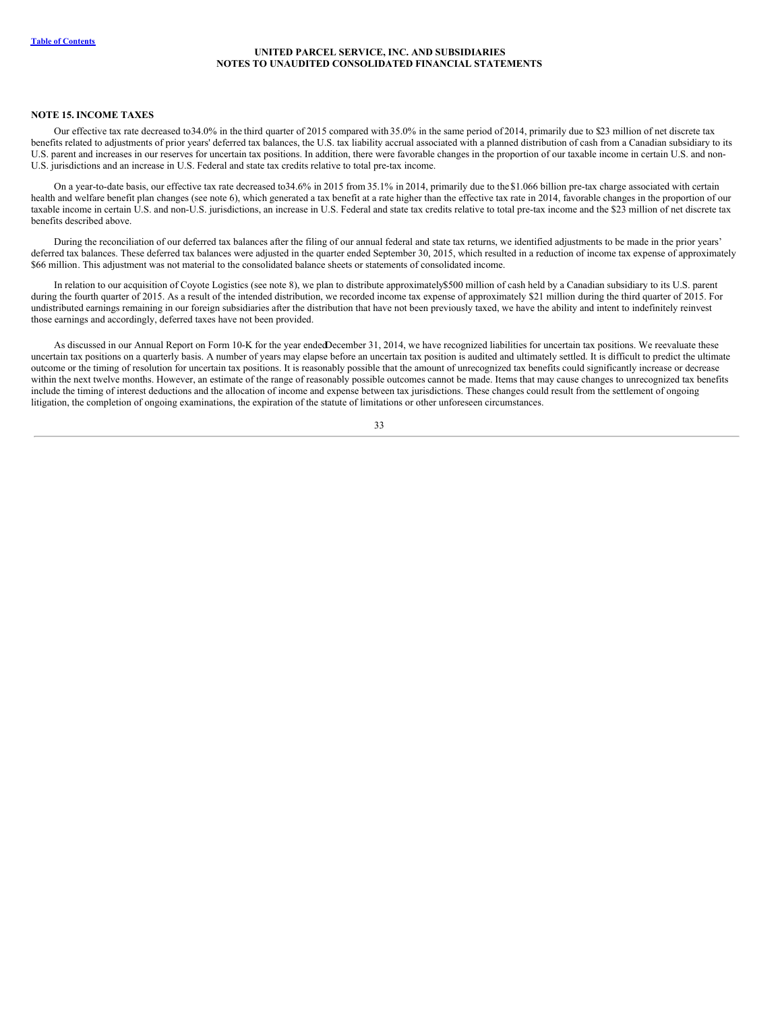#### <span id="page-34-0"></span>**NOTE 15. INCOME TAXES**

Our effective tax rate decreased to 34.0% in the third quarter of 2015 compared with 35.0% in the same period of 2014, primarily due to \$23 million of net discrete tax benefits related to adjustments of prior years' deferred tax balances, the U.S. tax liability accrual associated with a planned distribution of cash from a Canadian subsidiary to its U.S. parent and increases in our reserves for uncertain tax positions. In addition, there were favorable changes in the proportion of our taxable income in certain U.S. and non-U.S. jurisdictions and an increase in U.S. Federal and state tax credits relative to total pre-tax income.

On a year-to-date basis, our effective tax rate decreased to34.6% in 2015 from 35.1% in 2014, primarily due to the \$1.066 billion pre-tax charge associated with certain health and welfare benefit plan changes (see note 6), which generated a tax benefit at a rate higher than the effective tax rate in 2014, favorable changes in the proportion of our taxable income in certain U.S. and non-U.S. jurisdictions, an increase in U.S. Federal and state tax credits relative to total pre-tax income and the \$23 million of net discrete tax benefits described above.

During the reconciliation of our deferred tax balances after the filing of our annual federal and state tax returns, we identified adjustments to be made in the prior years' deferred tax balances. These deferred tax balances were adjusted in the quarter ended September 30, 2015, which resulted in a reduction of income tax expense of approximately \$66 million. This adjustment was not material to the consolidated balance sheets or statements of consolidated income.

In relation to our acquisition of Coyote Logistics (see note 8), we plan to distribute approximately\$500 million of cash held by a Canadian subsidiary to its U.S. parent during the fourth quarter of 2015. As a result of the intended distribution, we recorded income tax expense of approximately \$21 million during the third quarter of 2015. For undistributed earnings remaining in our foreign subsidiaries after the distribution that have not been previously taxed, we have the ability and intent to indefinitely reinvest those earnings and accordingly, deferred taxes have not been provided.

As discussed in our Annual Report on Form 10-K for the year endedDecember 31, 2014, we have recognized liabilities for uncertain tax positions. We reevaluate these uncertain tax positions on a quarterly basis. A number of years may elapse before an uncertain tax position is audited and ultimately settled. It is difficult to predict the ultimate outcome or the timing of resolution for uncertain tax positions. It is reasonably possible that the amount of unrecognized tax benefits could significantly increase or decrease within the next twelve months. However, an estimate of the range of reasonably possible outcomes cannot be made. Items that may cause changes to unrecognized tax benefits include the timing of interest deductions and the allocation of income and expense between tax jurisdictions. These changes could result from the settlement of ongoing litigation, the completion of ongoing examinations, the expiration of the statute of limitations or other unforeseen circumstances.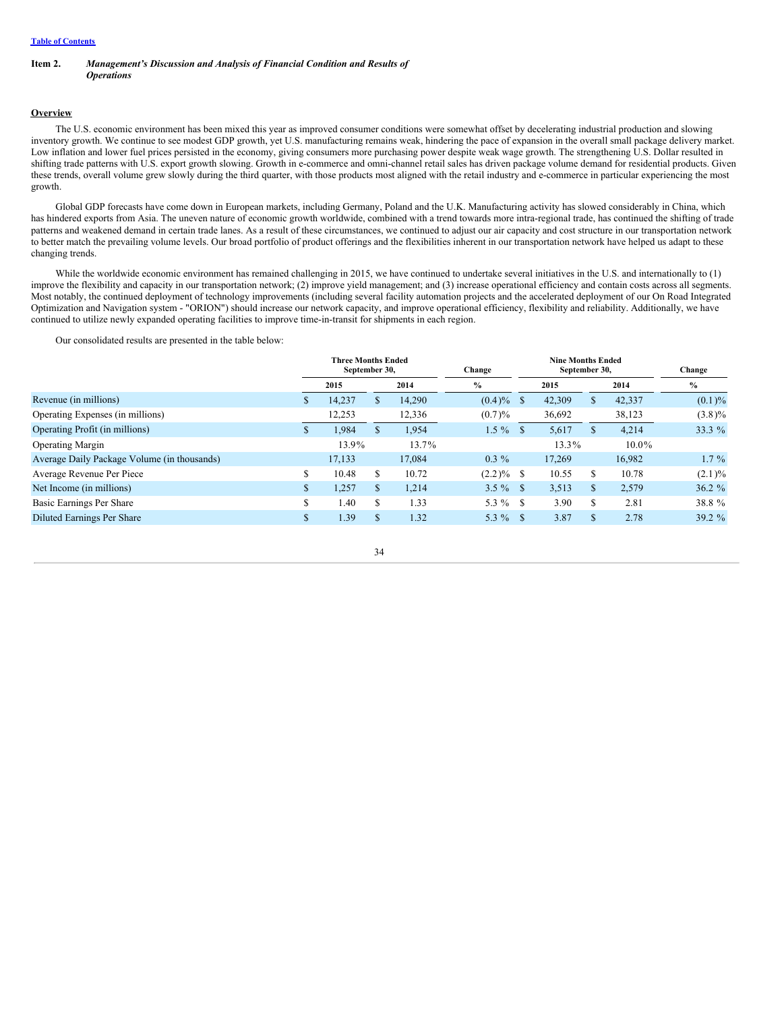<span id="page-35-0"></span>**Item 2.** *Management's Discussion and Analysis of Financial Condition and Results of Operations*

#### <span id="page-35-1"></span>**Overview**

The U.S. economic environment has been mixed this year as improved consumer conditions were somewhat offset by decelerating industrial production and slowing inventory growth. We continue to see modest GDP growth, yet U.S. manufacturing remains weak, hindering the pace of expansion in the overall small package delivery market. Low inflation and lower fuel prices persisted in the economy, giving consumers more purchasing power despite weak wage growth. The strengthening U.S. Dollar resulted in shifting trade patterns with U.S. export growth slowing. Growth in e-commerce and omni-channel retail sales has driven package volume demand for residential products. Given these trends, overall volume grew slowly during the third quarter, with those products most aligned with the retail industry and e-commerce in particular experiencing the most growth.

Global GDP forecasts have come down in European markets, including Germany, Poland and the U.K. Manufacturing activity has slowed considerably in China, which has hindered exports from Asia. The uneven nature of economic growth worldwide, combined with a trend towards more intra-regional trade, has continued the shifting of trade patterns and weakened demand in certain trade lanes. As a result of these circumstances, we continued to adjust our air capacity and cost structure in our transportation network to better match the prevailing volume levels. Our broad portfolio of product offerings and the flexibilities inherent in our transportation network have helped us adapt to these changing trends.

While the worldwide economic environment has remained challenging in 2015, we have continued to undertake several initiatives in the U.S. and internationally to (1) improve the flexibility and capacity in our transportation network; (2) improve yield management; and (3) increase operational efficiency and contain costs across all segments. Most notably, the continued deployment of technology improvements (including several facility automation projects and the accelerated deployment of our On Road Integrated Optimization and Navigation system - "ORION") should increase our network capacity, and improve operational efficiency, flexibility and reliability. Additionally, we have continued to utilize newly expanded operating facilities to improve time-in-transit for shipments in each region.

Our consolidated results are presented in the table below:

|                                             | <b>Three Months Ended</b><br>September 30, |        |          | Change |              | <b>Nine Months Ended</b><br>September 30, | Change   |     |          |               |
|---------------------------------------------|--------------------------------------------|--------|----------|--------|--------------|-------------------------------------------|----------|-----|----------|---------------|
|                                             |                                            | 2015   |          | 2014   | $\%$         |                                           | 2015     |     | 2014     | $\frac{6}{9}$ |
| Revenue (in millions)                       |                                            | 14,237 | аĐ.      | 14,290 | $(0.4)\%$    | -S                                        | 42,309   | \$  | 42,337   | $(0.1) \%$    |
| Operating Expenses (in millions)            |                                            | 12,253 |          | 12,336 | $(0.7) \%$   |                                           | 36,692   |     | 38,123   | $(3.8)\%$     |
| Operating Profit (in millions)              |                                            | 1.984  | ЭĐ.      | 1,954  | $1.5\%$      | -S                                        | 5,617    | \$. | 4.214    | 33.3 %        |
| <b>Operating Margin</b>                     |                                            | 13.9%  |          | 13.7%  |              |                                           | $13.3\%$ |     | $10.0\%$ |               |
| Average Daily Package Volume (in thousands) |                                            | 17,133 |          | 17,084 | $0.3\%$      |                                           | 17,269   |     | 16,982   | $1.7\%$       |
| Average Revenue Per Piece                   |                                            | 10.48  | S        | 10.72  | $(2.2)\%$ \$ |                                           | 10.55    | S   | 10.78    | $(2.1)\%$     |
| Net Income (in millions)                    | $\mathcal{P}$                              | 1,257  | S.       | 1,214  | $3.5 \%$ \$  |                                           | 3,513    | \$  | 2,579    | $36.2 \%$     |
| Basic Earnings Per Share                    | S                                          | 1.40   | S        | 1.33   | $5.3 \%$ \$  |                                           | 3.90     | S   | 2.81     | 38.8 %        |
| Diluted Earnings Per Share                  | \$                                         | 1.39   | ጦ<br>ЭĐ. | 1.32   | 5.3 $%$ \$   |                                           | 3.87     | \$  | 2.78     | 39.2 $%$      |

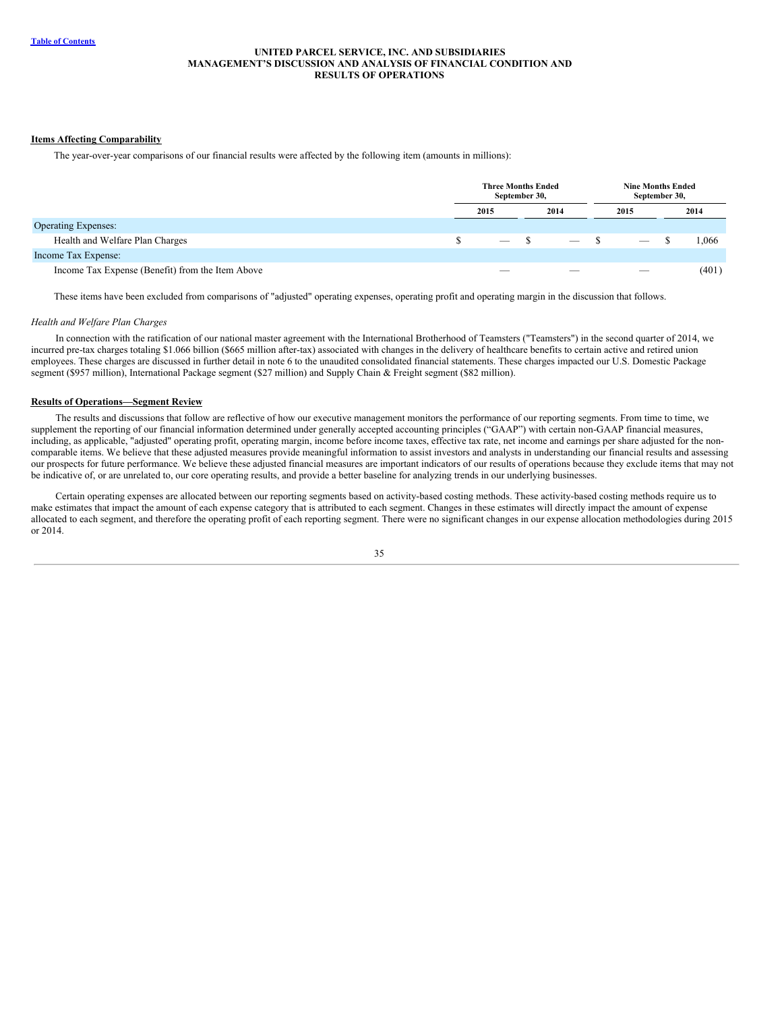### <span id="page-36-0"></span>**Items Affecting Comparability**

The year-over-year comparisons of our financial results were affected by the following item (amounts in millions):

|                                                  | <b>Three Months Ended</b><br>September 30, |        |        | <b>Nine Months Ended</b><br>September 30, |                          |  |       |
|--------------------------------------------------|--------------------------------------------|--------|--------|-------------------------------------------|--------------------------|--|-------|
|                                                  | 2015                                       |        |        | 2015                                      |                          |  | 2014  |
| <b>Operating Expenses:</b>                       |                                            |        |        |                                           |                          |  |       |
| Health and Welfare Plan Charges                  |                                            | $-$ \$ | $-$ \$ |                                           | $\overline{\phantom{a}}$ |  | 1.066 |
| Income Tax Expense:                              |                                            |        |        |                                           |                          |  |       |
| Income Tax Expense (Benefit) from the Item Above |                                            |        |        |                                           |                          |  | (401) |

These items have been excluded from comparisons of "adjusted" operating expenses, operating profit and operating margin in the discussion that follows.

#### *Health and Welfare Plan Charges*

In connection with the ratification of our national master agreement with the International Brotherhood of Teamsters ("Teamsters") in the second quarter of 2014, we incurred pre-tax charges totaling \$1.066 billion (\$665 million after-tax) associated with changes in the delivery of healthcare benefits to certain active and retired union employees. These charges are discussed in further detail in note 6 to the unaudited consolidated financial statements. These charges impacted our U.S. Domestic Package segment (\$957 million), International Package segment (\$27 million) and Supply Chain & Freight segment (\$82 million).

#### <span id="page-36-1"></span>**Results of Operations—Segment Review**

The results and discussions that follow are reflective of how our executive management monitors the performance of our reporting segments. From time to time, we supplement the reporting of our financial information determined under generally accepted accounting principles ("GAAP") with certain non-GAAP financial measures, including, as applicable, "adjusted" operating profit, operating margin, income before income taxes, effective tax rate, net income and earnings per share adjusted for the noncomparable items. We believe that these adjusted measures provide meaningful information to assist investors and analysts in understanding our financial results and assessing our prospects for future performance. We believe these adjusted financial measures are important indicators of our results of operations because they exclude items that may not be indicative of, or are unrelated to, our core operating results, and provide a better baseline for analyzing trends in our underlying businesses.

Certain operating expenses are allocated between our reporting segments based on activity-based costing methods. These activity-based costing methods require us to make estimates that impact the amount of each expense category that is attributed to each segment. Changes in these estimates will directly impact the amount of expense allocated to each segment, and therefore the operating profit of each reporting segment. There were no significant changes in our expense allocation methodologies during 2015 or 2014.

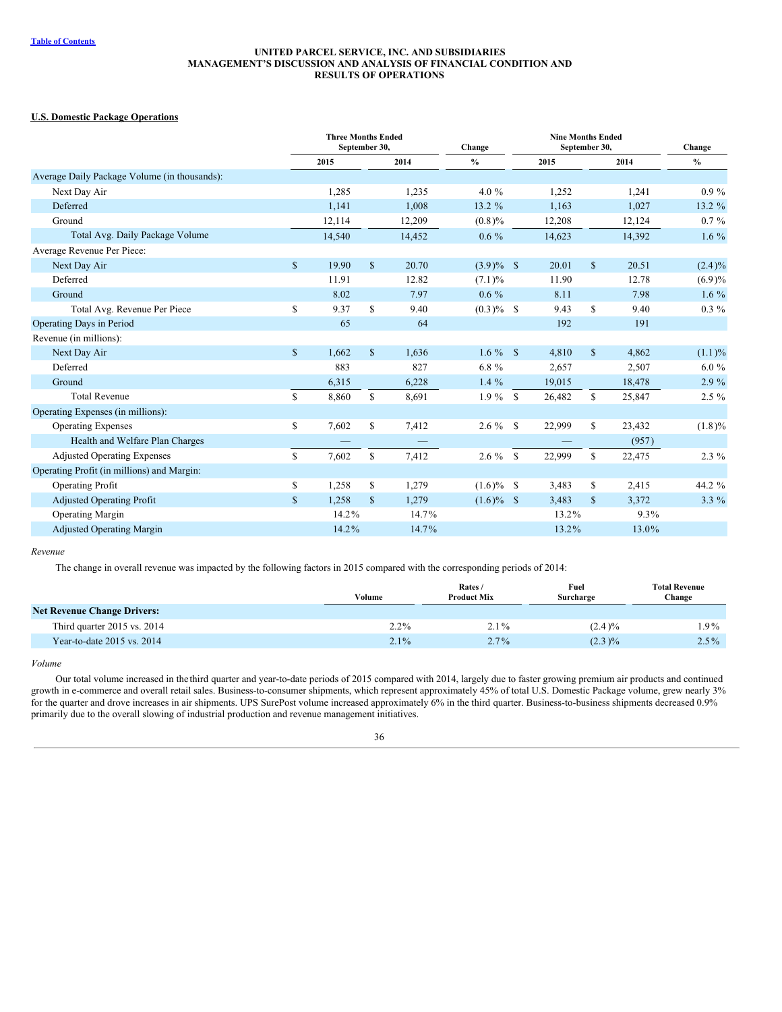### <span id="page-37-0"></span>**U.S. Domestic Package Operations**

|                                              |               | <b>Three Months Ended</b><br>September 30, |               | Change |              | <b>Nine Months Ended</b><br>September 30, | Change |              |        |           |
|----------------------------------------------|---------------|--------------------------------------------|---------------|--------|--------------|-------------------------------------------|--------|--------------|--------|-----------|
|                                              |               | 2015                                       |               | 2014   | $\%$         |                                           | 2015   |              | 2014   | $\%$      |
| Average Daily Package Volume (in thousands): |               |                                            |               |        |              |                                           |        |              |        |           |
| Next Day Air                                 |               | 1,285                                      |               | 1,235  | 4.0 $\%$     |                                           | 1,252  |              | 1,241  | $0.9\%$   |
| Deferred                                     |               | 1,141                                      |               | 1,008  | 13.2 %       |                                           | 1,163  |              | 1,027  | 13.2 %    |
| Ground                                       |               | 12,114                                     |               | 12,209 | $(0.8)\%$    |                                           | 12,208 |              | 12,124 | $0.7\%$   |
| Total Avg. Daily Package Volume              |               | 14,540                                     |               | 14,452 | $0.6\%$      |                                           | 14,623 |              | 14,392 | $1.6\%$   |
| Average Revenue Per Piece:                   |               |                                            |               |        |              |                                           |        |              |        |           |
| Next Day Air                                 | $\mathbb{S}$  | 19.90                                      | $\mathbb{S}$  | 20.70  | $(3.9)\%$ \$ |                                           | 20.01  | $\mathbb{S}$ | 20.51  | $(2.4)\%$ |
| Deferred                                     |               | 11.91                                      |               | 12.82  | (7.1)%       |                                           | 11.90  |              | 12.78  | $(6.9)\%$ |
| Ground                                       |               | 8.02                                       |               | 7.97   | $0.6\%$      |                                           | 8.11   |              | 7.98   | $1.6\%$   |
| Total Avg. Revenue Per Piece                 | \$            | 9.37                                       | \$            | 9.40   | $(0.3)\%$ \$ |                                           | 9.43   | \$           | 9.40   | $0.3\%$   |
| Operating Days in Period                     |               | 65                                         |               | 64     |              |                                           | 192    |              | 191    |           |
| Revenue (in millions):                       |               |                                            |               |        |              |                                           |        |              |        |           |
| Next Day Air                                 | $\mathbb{S}$  | 1,662                                      | $\mathbb{S}$  | 1,636  | $1.6 \%$ \$  |                                           | 4,810  | \$           | 4,862  | (1.1)%    |
| Deferred                                     |               | 883                                        |               | 827    | 6.8 $%$      |                                           | 2,657  |              | 2,507  | 6.0 $%$   |
| Ground                                       |               | 6,315                                      |               | 6,228  | $1.4\%$      |                                           | 19,015 |              | 18,478 | $2.9\%$   |
| <b>Total Revenue</b>                         | $\mathbf S$   | 8,860                                      | <sup>\$</sup> | 8,691  | $1.9\%$ \$   |                                           | 26,482 | $\mathbb{S}$ | 25,847 | $2.5\%$   |
| Operating Expenses (in millions):            |               |                                            |               |        |              |                                           |        |              |        |           |
| <b>Operating Expenses</b>                    | $\mathbb{S}$  | 7,602                                      | \$            | 7,412  | $2.6 \%$ \$  |                                           | 22,999 | \$           | 23,432 | $(1.8)\%$ |
| Health and Welfare Plan Charges              |               |                                            |               |        |              |                                           |        |              | (957)  |           |
| <b>Adjusted Operating Expenses</b>           | \$            | 7,602                                      | \$            | 7,412  | $2.6\%$      | $\mathbb{S}$                              | 22,999 | \$           | 22,475 | $2.3\%$   |
| Operating Profit (in millions) and Margin:   |               |                                            |               |        |              |                                           |        |              |        |           |
| <b>Operating Profit</b>                      | \$            | 1,258                                      | \$            | 1,279  | $(1.6)\%$ \$ |                                           | 3,483  | \$           | 2,415  | 44.2 %    |
| <b>Adjusted Operating Profit</b>             | $\mathsf{\$}$ | 1,258                                      | $\mathbb{S}$  | 1,279  | $(1.6)\%$ \$ |                                           | 3,483  | \$           | 3,372  | $3.3\%$   |
| <b>Operating Margin</b>                      |               | 14.2%                                      |               | 14.7%  |              |                                           | 13.2%  |              | 9.3%   |           |
| <b>Adjusted Operating Margin</b>             |               | 14.2%                                      |               | 14.7%  |              |                                           | 13.2%  |              | 13.0%  |           |
|                                              |               |                                            |               |        |              |                                           |        |              |        |           |

*Revenue*

The change in overall revenue was impacted by the following factors in 2015 compared with the corresponding periods of 2014:

|                                    | Volume  | Rates/<br><b>Product Mix</b> | Fuel<br>Surcharge | <b>Total Revenue</b><br>Change |
|------------------------------------|---------|------------------------------|-------------------|--------------------------------|
| <b>Net Revenue Change Drivers:</b> |         |                              |                   |                                |
| Third quarter $2015$ vs. $2014$    | $2.2\%$ | $2.1\%$                      | $(2.4)\%$         | $.9\%$                         |
| Year-to-date $2015$ vs. $2014$     | $2.1\%$ | $2.7\%$                      | $(2.3)\%$         | $2.5\%$                        |

*Volume*

Our total volume increased in the third quarter and year-to-date periods of 2015 compared with 2014, largely due to faster growing premium air products and continued growth in e-commerce and overall retail sales. Business-to-consumer shipments, which represent approximately 45% of total U.S. Domestic Package volume, grew nearly 3% for the quarter and drove increases in air shipments. UPS SurePost volume increased approximately 6% in the third quarter. Business-to-business shipments decreased 0.9% primarily due to the overall slowing of industrial production and revenue management initiatives.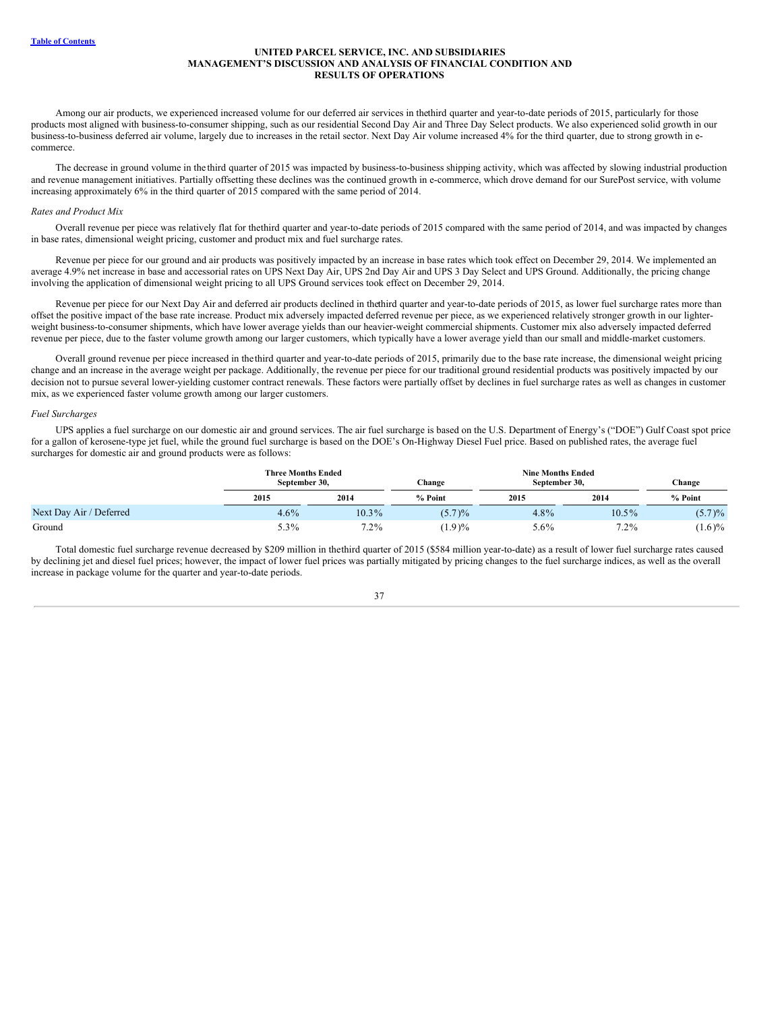Among our air products, we experienced increased volume for our deferred air services in thethird quarter and year-to-date periods of 2015, particularly for those products most aligned with business-to-consumer shipping, such as our residential Second Day Air and Three Day Select products. We also experienced solid growth in our business-to-business deferred air volume, largely due to increases in the retail sector. Next Day Air volume increased 4% for the third quarter, due to strong growth in ecommerce.

The decrease in ground volume in the third quarter of 2015 was impacted by business-to-business shipping activity, which was affected by slowing industrial production and revenue management initiatives. Partially offsetting these declines was the continued growth in e-commerce, which drove demand for our SurePost service, with volume increasing approximately 6% in the third quarter of 2015 compared with the same period of 2014.

#### *Rates and Product Mix*

Overall revenue per piece was relatively flat for thethird quarter and year-to-date periods of 2015 compared with the same period of 2014, and was impacted by changes in base rates, dimensional weight pricing, customer and product mix and fuel surcharge rates.

Revenue per piece for our ground and air products was positively impacted by an increase in base rates which took effect on December 29, 2014. We implemented an average 4.9% net increase in base and accessorial rates on UPS Next Day Air, UPS 2nd Day Air and UPS 3 Day Select and UPS Ground. Additionally, the pricing change involving the application of dimensional weight pricing to all UPS Ground services took effect on December 29, 2014.

Revenue per piece for our Next Day Air and deferred air products declined in thethird quarter and year-to-date periods of 2015, as lower fuel surcharge rates more than offset the positive impact of the base rate increase. Product mix adversely impacted deferred revenue per piece, as we experienced relatively stronger growth in our lighterweight business-to-consumer shipments, which have lower average yields than our heavier-weight commercial shipments. Customer mix also adversely impacted deferred revenue per piece, due to the faster volume growth among our larger customers, which typically have a lower average yield than our small and middle-market customers.

Overall ground revenue per piece increased in thethird quarter and year-to-date periods of 2015, primarily due to the base rate increase, the dimensional weight pricing change and an increase in the average weight per package. Additionally, the revenue per piece for our traditional ground residential products was positively impacted by our decision not to pursue several lower-yielding customer contract renewals. These factors were partially offset by declines in fuel surcharge rates as well as changes in customer mix, as we experienced faster volume growth among our larger customers.

#### *Fuel Surcharges*

UPS applies a fuel surcharge on our domestic air and ground services. The air fuel surcharge is based on the U.S. Department of Energy's ("DOE") Gulf Coast spot price for a gallon of kerosene-type jet fuel, while the ground fuel surcharge is based on the DOE's On-Highway Diesel Fuel price. Based on published rates, the average fuel surcharges for domestic air and ground products were as follows:

|                         | <b>Three Months Ended</b><br>September 30. |          | Change    | <b>Nine Months Ended</b><br>September 30. |          | <b>Change</b> |
|-------------------------|--------------------------------------------|----------|-----------|-------------------------------------------|----------|---------------|
|                         | 2015                                       | 2014     | % Point   | 2015                                      | 2014     | % Point       |
| Next Day Air / Deferred | $4.6\%$                                    | $10.3\%$ | $(5.7)\%$ | $4.8\%$                                   | $10.5\%$ | $(5.7)\%$     |
| Ground                  | 5.3%                                       | $7.2\%$  | $(1.9)\%$ | 5.6%                                      | $7.2\%$  | $(1.6)\%$     |

Total domestic fuel surcharge revenue decreased by \$209 million in thethird quarter of 2015 (\$584 million year-to-date) as a result of lower fuel surcharge rates caused by declining jet and diesel fuel prices; however, the impact of lower fuel prices was partially mitigated by pricing changes to the fuel surcharge indices, as well as the overall increase in package volume for the quarter and year-to-date periods.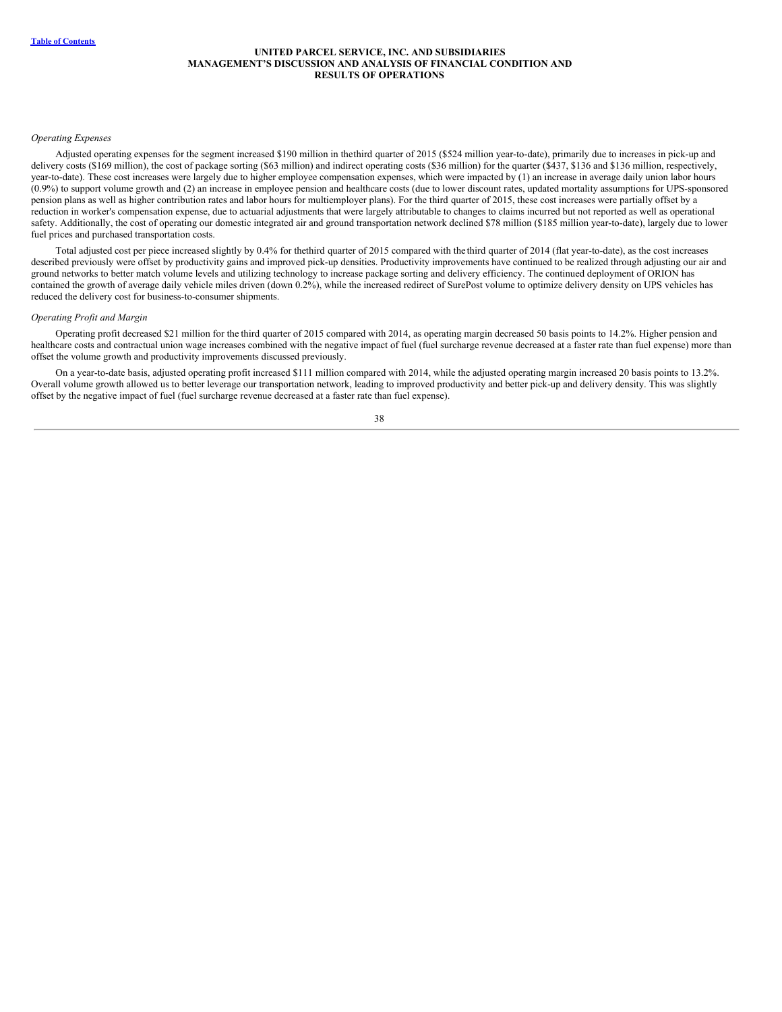### *Operating Expenses*

Adjusted operating expenses for the segment increased \$190 million in thethird quarter of 2015 (\$524 million year-to-date), primarily due to increases in pick-up and delivery costs (\$169 million), the cost of package sorting (\$63 million) and indirect operating costs (\$36 million) for the quarter (\$437, \$136 and \$136 million, respectively, year-to-date). These cost increases were largely due to higher employee compensation expenses, which were impacted by (1) an increase in average daily union labor hours (0.9%) to support volume growth and (2) an increase in employee pension and healthcare costs (due to lower discount rates, updated mortality assumptions for UPS-sponsored pension plans as well as higher contribution rates and labor hours for multiemployer plans). For the third quarter of 2015, these cost increases were partially offset by a reduction in worker's compensation expense, due to actuarial adjustments that were largely attributable to changes to claims incurred but not reported as well as operational safety. Additionally, the cost of operating our domestic integrated air and ground transportation network declined \$78 million (\$185 million year-to-date), largely due to lower fuel prices and purchased transportation costs.

Total adjusted cost per piece increased slightly by 0.4% for thethird quarter of 2015 compared with the third quarter of 2014 (flat year-to-date), as the cost increases described previously were offset by productivity gains and improved pick-up densities. Productivity improvements have continued to be realized through adjusting our air and ground networks to better match volume levels and utilizing technology to increase package sorting and delivery efficiency. The continued deployment of ORION has contained the growth of average daily vehicle miles driven (down 0.2%), while the increased redirect of SurePost volume to optimize delivery density on UPS vehicles has reduced the delivery cost for business-to-consumer shipments.

#### *Operating Profit and Margin*

Operating profit decreased \$21 million for the third quarter of 2015 compared with 2014, as operating margin decreased 50 basis points to 14.2%. Higher pension and healthcare costs and contractual union wage increases combined with the negative impact of fuel (fuel surcharge revenue decreased at a faster rate than fuel expense) more than offset the volume growth and productivity improvements discussed previously.

On a year-to-date basis, adjusted operating profit increased \$111 million compared with 2014, while the adjusted operating margin increased 20 basis points to 13.2%. Overall volume growth allowed us to better leverage our transportation network, leading to improved productivity and better pick-up and delivery density. This was slightly offset by the negative impact of fuel (fuel surcharge revenue decreased at a faster rate than fuel expense).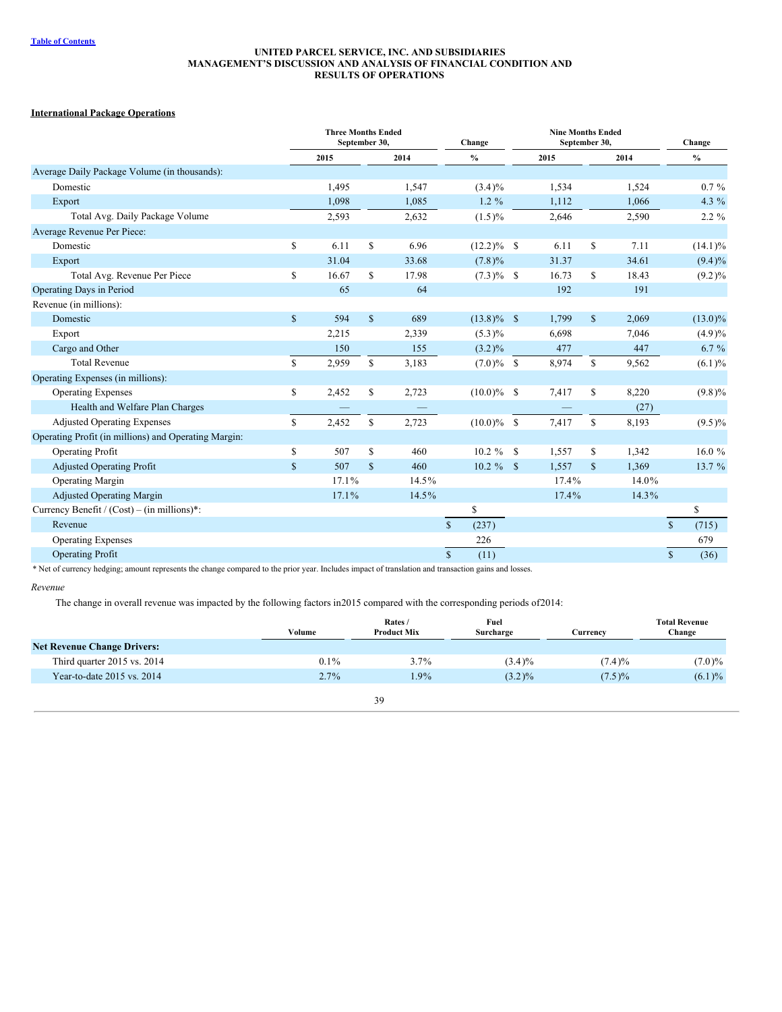# <span id="page-40-0"></span>**International Package Operations**

|                                                      |              | <b>Three Months Ended</b> | September 30, |       | Change       |               |    | <b>Nine Months Ended</b><br>September 30, |              |       |              | Change     |  |
|------------------------------------------------------|--------------|---------------------------|---------------|-------|--------------|---------------|----|-------------------------------------------|--------------|-------|--------------|------------|--|
|                                                      |              | 2015                      |               | 2014  |              | $\frac{0}{0}$ |    | 2015                                      |              | 2014  |              | $\%$       |  |
| Average Daily Package Volume (in thousands):         |              |                           |               |       |              |               |    |                                           |              |       |              |            |  |
| Domestic                                             |              | 1,495                     |               | 1,547 |              | $(3.4)\%$     |    | 1,534                                     |              | 1,524 |              | $0.7\%$    |  |
| Export                                               |              | 1,098                     |               | 1,085 |              | $1.2\%$       |    | 1,112                                     |              | 1,066 |              | 4.3 $%$    |  |
| Total Avg. Daily Package Volume                      |              | 2,593                     |               | 2,632 |              | $(1.5)\%$     |    | 2,646                                     |              | 2,590 |              | $2.2\%$    |  |
| Average Revenue Per Piece:                           |              |                           |               |       |              |               |    |                                           |              |       |              |            |  |
| Domestic                                             | \$           | 6.11                      | \$            | 6.96  |              | $(12.2)\%$ \$ |    | 6.11                                      | \$           | 7.11  |              | $(14.1)\%$ |  |
| Export                                               |              | 31.04                     |               | 33.68 |              | $(7.8)\%$     |    | 31.37                                     |              | 34.61 |              | $(9.4)\%$  |  |
| Total Avg. Revenue Per Piece                         | \$           | 16.67                     | \$            | 17.98 |              | $(7.3)\%$ \$  |    | 16.73                                     | \$           | 18.43 |              | $(9.2)\%$  |  |
| Operating Days in Period                             |              | 65                        |               | 64    |              |               |    | 192                                       |              | 191   |              |            |  |
| Revenue (in millions):                               |              |                           |               |       |              |               |    |                                           |              |       |              |            |  |
| Domestic                                             | $\mathbb{S}$ | 594                       | $\mathsf{\$}$ | 689   |              | $(13.8)\%$ \$ |    | 1,799                                     | $\mathbb{S}$ | 2,069 |              | $(13.0)\%$ |  |
| Export                                               |              | 2,215                     |               | 2,339 |              | $(5.3)\%$     |    | 6,698                                     |              | 7,046 |              | $(4.9)\%$  |  |
| Cargo and Other                                      |              | 150                       |               | 155   |              | $(3.2)\%$     |    | 477                                       |              | 447   |              | $6.7\%$    |  |
| <b>Total Revenue</b>                                 | \$           | 2,959                     | \$            | 3,183 |              | $(7.0)\%$ \$  |    | 8,974                                     | \$           | 9,562 |              | $(6.1)\%$  |  |
| Operating Expenses (in millions):                    |              |                           |               |       |              |               |    |                                           |              |       |              |            |  |
| <b>Operating Expenses</b>                            | \$           | 2,452                     | \$            | 2,723 |              | $(10.0)\%$ \$ |    | 7,417                                     | \$           | 8,220 |              | $(9.8)\%$  |  |
| Health and Welfare Plan Charges                      |              |                           |               |       |              |               |    |                                           |              | (27)  |              |            |  |
| <b>Adjusted Operating Expenses</b>                   | \$           | 2,452                     | $\mathbb{S}$  | 2,723 |              | $(10.0)\%$ \$ |    | 7,417                                     | \$           | 8,193 |              | $(9.5)\%$  |  |
| Operating Profit (in millions) and Operating Margin: |              |                           |               |       |              |               |    |                                           |              |       |              |            |  |
| <b>Operating Profit</b>                              | \$           | 507                       | \$            | 460   |              | $10.2 \%$     | -S | 1,557                                     | \$           | 1,342 |              | 16.0 %     |  |
| <b>Adjusted Operating Profit</b>                     | $\mathbb{S}$ | 507                       | $\mathbb{S}$  | 460   |              | $10.2 \%$ \$  |    | 1,557                                     | $\mathbb{S}$ | 1,369 |              | 13.7%      |  |
| <b>Operating Margin</b>                              |              | 17.1%                     |               | 14.5% |              |               |    | 17.4%                                     |              | 14.0% |              |            |  |
| <b>Adjusted Operating Margin</b>                     |              | 17.1%                     |               | 14.5% |              |               |    | 17.4%                                     |              | 14.3% |              |            |  |
| Currency Benefit / $(Cost) - (in$ millions)*:        |              |                           |               |       |              | \$            |    |                                           |              |       |              | \$         |  |
| Revenue                                              |              |                           |               |       | $\mathbb{S}$ | (237)         |    |                                           |              |       | S            | (715)      |  |
| <b>Operating Expenses</b>                            |              |                           |               |       |              | 226           |    |                                           |              |       |              | 679        |  |
| <b>Operating Profit</b>                              |              |                           |               |       | $\mathbf S$  | (11)          |    |                                           |              |       | $\mathbb{S}$ | (36)       |  |

\* Net of currency hedging; amount represents the change compared to the prior year. Includes impact of translation and transaction gains and losses.

*Revenue*

The change in overall revenue was impacted by the following factors in2015 compared with the corresponding periods of2014:

|                                    | Volume  | Rates<br><b>Product Mix</b> | Fuel<br>Surcharge | Currency  | <b>Total Revenue</b><br>Change |
|------------------------------------|---------|-----------------------------|-------------------|-----------|--------------------------------|
| <b>Net Revenue Change Drivers:</b> |         |                             |                   |           |                                |
| Third quarter $2015$ vs. $2014$    | $0.1\%$ | $3.7\%$                     | $(3.4)\%$         | $(7.4)\%$ | $(7.0)\%$                      |
| Year-to-date 2015 vs. 2014         | $2.7\%$ | $1.9\%$                     | $(3.2)\%$         | $(7.5)\%$ | $(6.1)\%$                      |
|                                    |         | 39                          |                   |           |                                |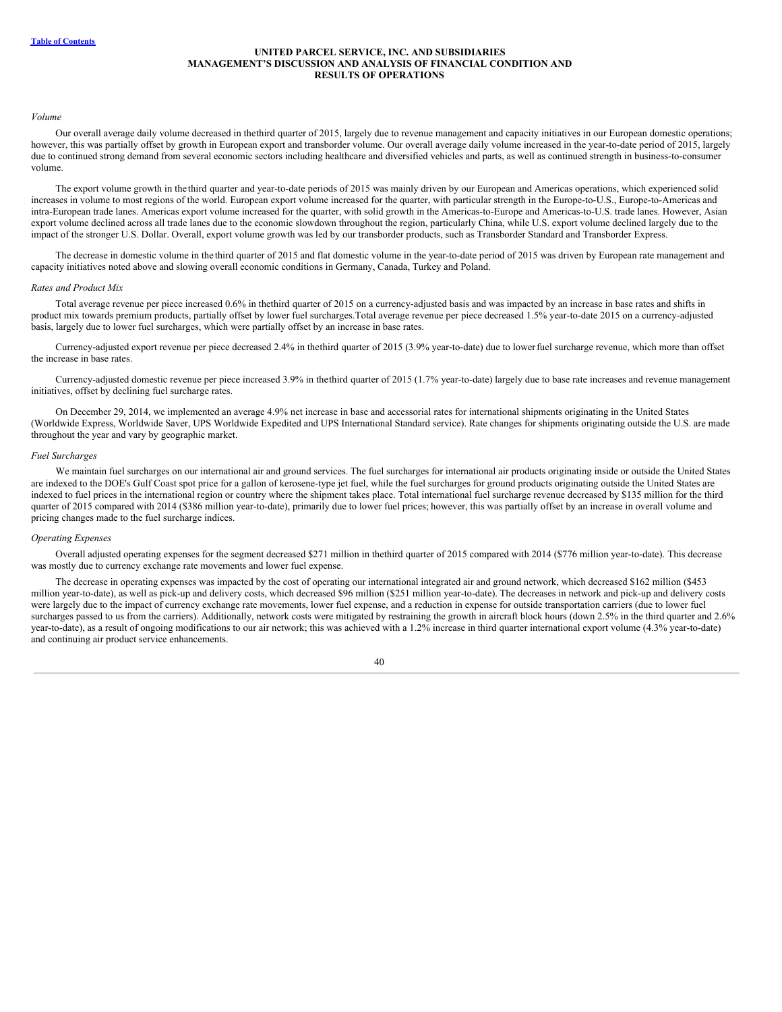### *Volume*

Our overall average daily volume decreased in thethird quarter of 2015, largely due to revenue management and capacity initiatives in our European domestic operations; however, this was partially offset by growth in European export and transborder volume. Our overall average daily volume increased in the year-to-date period of 2015, largely due to continued strong demand from several economic sectors including healthcare and diversified vehicles and parts, as well as continued strength in business-to-consumer volume.

The export volume growth in the third quarter and year-to-date periods of 2015 was mainly driven by our European and Americas operations, which experienced solid increases in volume to most regions of the world. European export volume increased for the quarter, with particular strength in the Europe-to-U.S., Europe-to-Americas and intra-European trade lanes. Americas export volume increased for the quarter, with solid growth in the Americas-to-Europe and Americas-to-U.S. trade lanes. However, Asian export volume declined across all trade lanes due to the economic slowdown throughout the region, particularly China, while U.S. export volume declined largely due to the impact of the stronger U.S. Dollar. Overall, export volume growth was led by our transborder products, such as Transborder Standard and Transborder Express.

The decrease in domestic volume in the third quarter of 2015 and flat domestic volume in the year-to-date period of 2015 was driven by European rate management and capacity initiatives noted above and slowing overall economic conditions in Germany, Canada, Turkey and Poland.

#### *Rates and Product Mix*

Total average revenue per piece increased 0.6% in thethird quarter of 2015 on a currency-adjusted basis and was impacted by an increase in base rates and shifts in product mix towards premium products, partially offset by lower fuel surcharges.Total average revenue per piece decreased 1.5% year-to-date 2015 on a currency-adjusted basis, largely due to lower fuel surcharges, which were partially offset by an increase in base rates.

Currency-adjusted export revenue per piece decreased 2.4% in thethird quarter of 2015 (3.9% year-to-date) due to lowerfuel surcharge revenue, which more than offset the increase in base rates.

Currency-adjusted domestic revenue per piece increased 3.9% in thethird quarter of 2015 (1.7% year-to-date) largely due to base rate increases and revenue management initiatives, offset by declining fuel surcharge rates.

On December 29, 2014, we implemented an average 4.9% net increase in base and accessorial rates for international shipments originating in the United States (Worldwide Express, Worldwide Saver, UPS Worldwide Expedited and UPS International Standard service). Rate changes for shipments originating outside the U.S. are made throughout the year and vary by geographic market.

#### *Fuel Surcharges*

We maintain fuel surcharges on our international air and ground services. The fuel surcharges for international air products originating inside or outside the United States are indexed to the DOE's Gulf Coast spot price for a gallon of kerosene-type jet fuel, while the fuel surcharges for ground products originating outside the United States are indexed to fuel prices in the international region or country where the shipment takes place. Total international fuel surcharge revenue decreased by \$135 million for the third quarter of 2015 compared with 2014 (\$386 million year-to-date), primarily due to lower fuel prices; however, this was partially offset by an increase in overall volume and pricing changes made to the fuel surcharge indices.

#### *Operating Expenses*

Overall adjusted operating expenses for the segment decreased \$271 million in thethird quarter of 2015 compared with 2014 (\$776 million year-to-date). This decrease was mostly due to currency exchange rate movements and lower fuel expense.

The decrease in operating expenses was impacted by the cost of operating our international integrated air and ground network, which decreased \$162 million (\$453 million year-to-date), as well as pick-up and delivery costs, which decreased \$96 million (\$251 million year-to-date). The decreases in network and pick-up and delivery costs were largely due to the impact of currency exchange rate movements, lower fuel expense, and a reduction in expense for outside transportation carriers (due to lower fuel surcharges passed to us from the carriers). Additionally, network costs were mitigated by restraining the growth in aircraft block hours (down 2.5% in the third quarter and 2.6% year-to-date), as a result of ongoing modifications to our air network; this was achieved with a 1.2% increase in third quarter international export volume (4.3% year-to-date) and continuing air product service enhancements.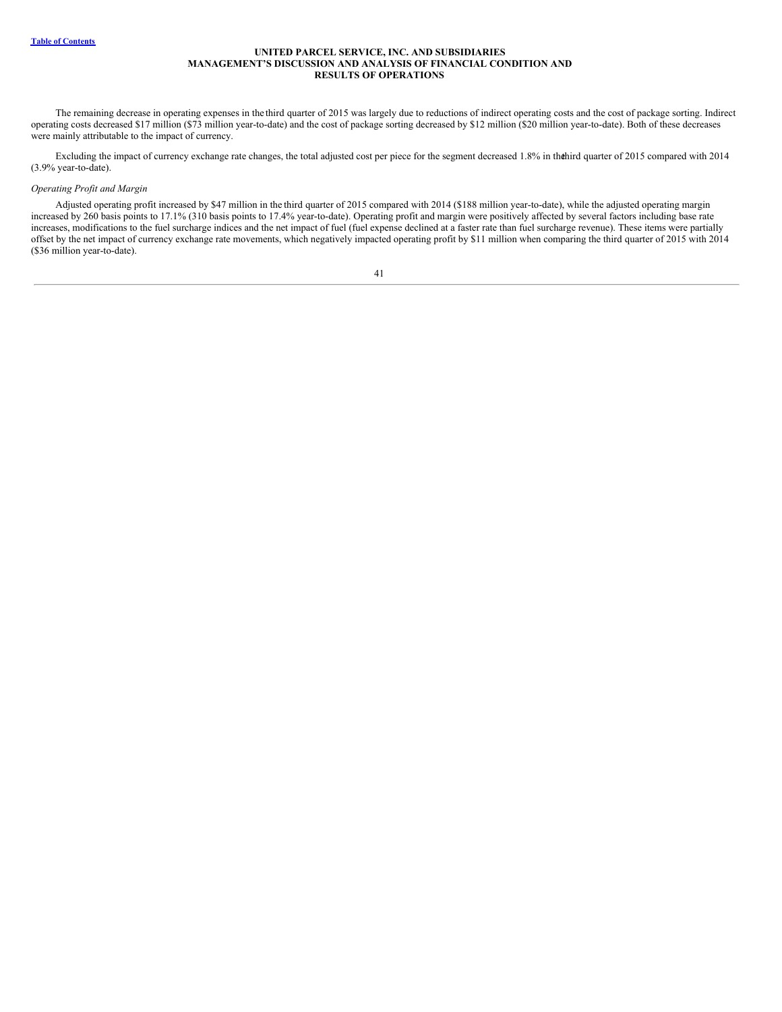The remaining decrease in operating expenses in the third quarter of 2015 was largely due to reductions of indirect operating costs and the cost of package sorting. Indirect operating costs decreased \$17 million (\$73 million year-to-date) and the cost of package sorting decreased by \$12 million (\$20 million year-to-date). Both of these decreases were mainly attributable to the impact of currency.

Excluding the impact of currency exchange rate changes, the total adjusted cost per piece for the segment decreased 1.8% in thethird quarter of 2015 compared with 2014 (3.9% year-to-date).

### *Operating Profit and Margin*

Adjusted operating profit increased by \$47 million in the third quarter of 2015 compared with 2014 (\$188 million year-to-date), while the adjusted operating margin increased by 260 basis points to 17.1% (310 basis points to 17.4% year-to-date). Operating profit and margin were positively affected by several factors including base rate increases, modifications to the fuel surcharge indices and the net impact of fuel (fuel expense declined at a faster rate than fuel surcharge revenue). These items were partially offset by the net impact of currency exchange rate movements, which negatively impacted operating profit by \$11 million when comparing the third quarter of 2015 with 2014 (\$36 million year-to-date).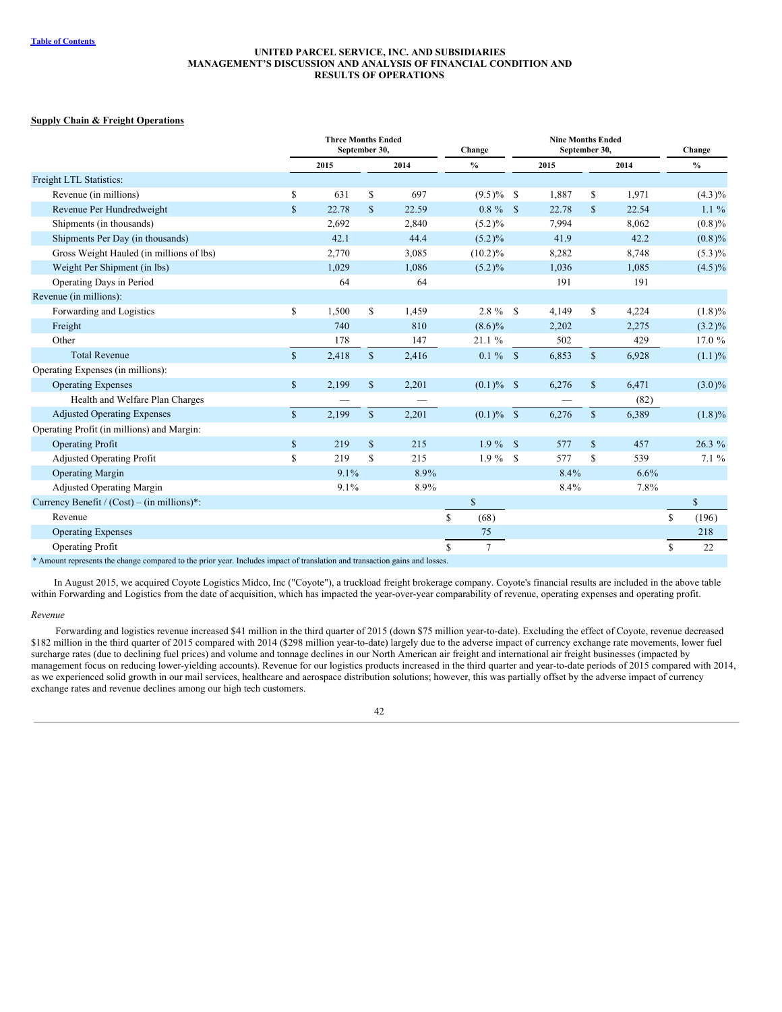### <span id="page-43-0"></span>**Supply Chain & Freight Operations**

|                                               |              | <b>Three Months Ended</b><br>September 30, |              |       |              | Change         | <b>Nine Months Ended</b><br>September 30, |       |              |       | Change        |
|-----------------------------------------------|--------------|--------------------------------------------|--------------|-------|--------------|----------------|-------------------------------------------|-------|--------------|-------|---------------|
|                                               |              | 2015                                       |              | 2014  |              | $\%$           | 2015                                      |       | 2014         |       | $\frac{0}{0}$ |
| Freight LTL Statistics:                       |              |                                            |              |       |              |                |                                           |       |              |       |               |
| Revenue (in millions)                         | \$           | 631                                        | \$           | 697   |              | $(9.5)\%$ \$   |                                           | 1,887 | \$           | 1,971 | $(4.3)\%$     |
| Revenue Per Hundredweight                     | $\mathbb{S}$ | 22.78                                      | $\mathbb{S}$ | 22.59 |              | $0.8 \%$ \$    |                                           | 22.78 | $\mathbb{S}$ | 22.54 | $1.1\%$       |
| Shipments (in thousands)                      |              | 2,692                                      |              | 2,840 |              | $(5.2)\%$      |                                           | 7,994 |              | 8,062 | $(0.8)\%$     |
| Shipments Per Day (in thousands)              |              | 42.1                                       |              | 44.4  |              | $(5.2)\%$      |                                           | 41.9  |              | 42.2  | $(0.8)\%$     |
| Gross Weight Hauled (in millions of lbs)      |              | 2,770                                      |              | 3,085 |              | $(10.2)\%$     |                                           | 8,282 |              | 8,748 | $(5.3)\%$     |
| Weight Per Shipment (in lbs)                  |              | 1,029                                      |              | 1,086 |              | $(5.2)\%$      |                                           | 1,036 |              | 1,085 | $(4.5)\%$     |
| Operating Days in Period                      |              | 64                                         |              | 64    |              |                |                                           | 191   |              | 191   |               |
| Revenue (in millions):                        |              |                                            |              |       |              |                |                                           |       |              |       |               |
| Forwarding and Logistics                      | \$           | 1,500                                      | \$           | 1,459 |              | $2.8 \%$ \$    |                                           | 4,149 | $\mathbb{S}$ | 4,224 | $(1.8)\%$     |
| Freight                                       |              | 740                                        |              | 810   |              | $(8.6)\%$      |                                           | 2,202 |              | 2,275 | $(3.2)\%$     |
| Other                                         |              | 178                                        |              | 147   |              | 21.1%          |                                           | 502   |              | 429   | 17.0 %        |
| <b>Total Revenue</b>                          | $\mathbb{S}$ | 2,418                                      | $\mathbb{S}$ | 2,416 |              | $0.1 \%$ \$    |                                           | 6,853 | $\mathbb{S}$ | 6,928 | $(1.1)\%$     |
| Operating Expenses (in millions):             |              |                                            |              |       |              |                |                                           |       |              |       |               |
| <b>Operating Expenses</b>                     | \$           | 2,199                                      | \$           | 2,201 |              | $(0.1)\%$ \$   |                                           | 6,276 | \$           | 6,471 | $(3.0)\%$     |
| Health and Welfare Plan Charges               |              |                                            |              |       |              |                |                                           |       |              | (82)  |               |
| <b>Adjusted Operating Expenses</b>            | $\mathbb{S}$ | 2,199                                      | $\mathbb{S}$ | 2,201 |              | $(0.1)\%$ \$   |                                           | 6,276 | $\mathbb{S}$ | 6,389 | $(1.8)\%$     |
| Operating Profit (in millions) and Margin:    |              |                                            |              |       |              |                |                                           |       |              |       |               |
| <b>Operating Profit</b>                       | $\mathbb{S}$ | 219                                        | $\mathbb{S}$ | 215   |              | $1.9\%$ \$     |                                           | 577   | $\mathbb{S}$ | 457   | 26.3 %        |
| Adjusted Operating Profit                     | \$           | 219                                        | $\mathbb{S}$ | 215   |              | $1.9 \%$ \$    |                                           | 577   | \$           | 539   | $7.1\%$       |
| <b>Operating Margin</b>                       |              | 9.1%                                       |              | 8.9%  |              |                |                                           | 8.4%  |              | 6.6%  |               |
| <b>Adjusted Operating Margin</b>              |              | 9.1%                                       |              | 8.9%  |              |                |                                           | 8.4%  |              | 7.8%  |               |
| Currency Benefit / $(Cost) - (in$ millions)*: |              |                                            |              |       |              | $\mathbb{S}$   |                                           |       |              |       | $\mathbb{S}$  |
| Revenue                                       |              |                                            |              |       | S            | (68)           |                                           |       |              |       | \$<br>(196)   |
| <b>Operating Expenses</b>                     |              |                                            |              |       |              | 75             |                                           |       |              |       | 218           |
| Operating Profit                              |              |                                            |              |       | $\mathbb{S}$ | $\overline{7}$ |                                           |       |              |       | \$<br>22      |
|                                               |              |                                            |              |       |              |                |                                           |       |              |       |               |

\* Amount represents the change compared to the prior year. Includes impact of translation and transaction gains and losses.

In August 2015, we acquired Coyote Logistics Midco, Inc ("Coyote"), a truckload freight brokerage company. Coyote's financial results are included in the above table within Forwarding and Logistics from the date of acquisition, which has impacted the year-over-year comparability of revenue, operating expenses and operating profit.

#### *Revenue*

Forwarding and logistics revenue increased \$41 million in the third quarter of 2015 (down \$75 million year-to-date). Excluding the effect of Coyote, revenue decreased \$182 million in the third quarter of 2015 compared with 2014 (\$298 million year-to-date) largely due to the adverse impact of currency exchange rate movements, lower fuel surcharge rates (due to declining fuel prices) and volume and tonnage declines in our North American air freight and international air freight businesses (impacted by management focus on reducing lower-yielding accounts). Revenue for our logistics products increased in the third quarter and year-to-date periods of 2015 compared with 2014, as we experienced solid growth in our mail services, healthcare and aerospace distribution solutions; however, this was partially offset by the adverse impact of currency exchange rates and revenue declines among our high tech customers.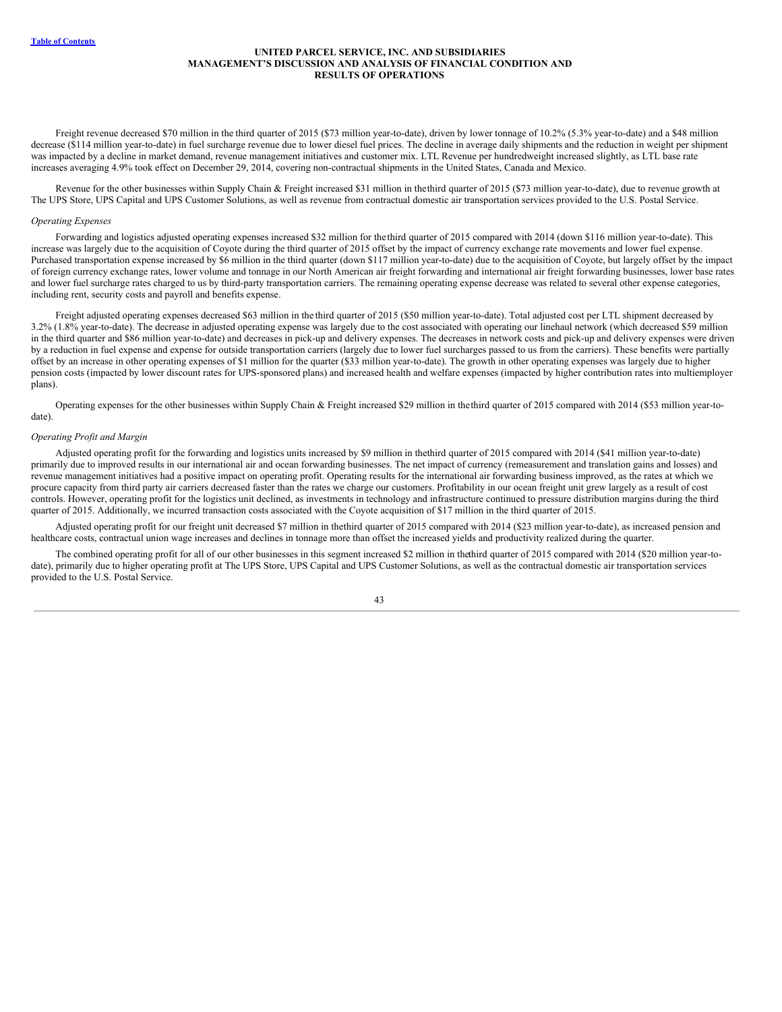Freight revenue decreased \$70 million in the third quarter of 2015 (\$73 million year-to-date), driven by lower tonnage of 10.2% (5.3% year-to-date) and a \$48 million decrease (\$114 million year-to-date) in fuel surcharge revenue due to lower diesel fuel prices. The decline in average daily shipments and the reduction in weight per shipment was impacted by a decline in market demand, revenue management initiatives and customer mix. LTL Revenue per hundredweight increased slightly, as LTL base rate increases averaging 4.9% took effect on December 29, 2014, covering non-contractual shipments in the United States, Canada and Mexico.

Revenue for the other businesses within Supply Chain & Freight increased \$31 million in thethird quarter of 2015 (\$73 million year-to-date), due to revenue growth at The UPS Store, UPS Capital and UPS Customer Solutions, as well as revenue from contractual domestic air transportation services provided to the U.S. Postal Service.

#### *Operating Expenses*

Forwarding and logistics adjusted operating expenses increased \$32 million for the third quarter of 2015 compared with 2014 (down \$116 million year-to-date). This increase was largely due to the acquisition of Coyote during the third quarter of 2015 offset by the impact of currency exchange rate movements and lower fuel expense. Purchased transportation expense increased by \$6 million in the third quarter (down \$117 million year-to-date) due to the acquisition of Coyote, but largely offset by the impact of foreign currency exchange rates, lower volume and tonnage in our North American air freight forwarding and international air freight forwarding businesses, lower base rates and lower fuel surcharge rates charged to us by third-party transportation carriers. The remaining operating expense decrease was related to several other expense categories, including rent, security costs and payroll and benefits expense.

Freight adjusted operating expenses decreased \$63 million in the third quarter of 2015 (\$50 million year-to-date). Total adjusted cost per LTL shipment decreased by 3.2% (1.8% year-to-date). The decrease in adjusted operating expense was largely due to the cost associated with operating our linehaul network (which decreased \$59 million in the third quarter and \$86 million year-to-date) and decreases in pick-up and delivery expenses. The decreases in network costs and pick-up and delivery expenses were driven by a reduction in fuel expense and expense for outside transportation carriers (largely due to lower fuel surcharges passed to us from the carriers). These benefits were partially offset by an increase in other operating expenses of \$1 million for the quarter (\$33 million year-to-date). The growth in other operating expenses was largely due to higher pension costs (impacted by lower discount rates for UPS-sponsored plans) and increased health and welfare expenses (impacted by higher contribution rates into multiemployer plans).

Operating expenses for the other businesses within Supply Chain & Freight increased \$29 million in thethird quarter of 2015 compared with 2014 (\$53 million year-todate).

#### *Operating Profit and Margin*

Adjusted operating profit for the forwarding and logistics units increased by \$9 million in thethird quarter of 2015 compared with 2014 (\$41 million year-to-date) primarily due to improved results in our international air and ocean forwarding businesses. The net impact of currency (remeasurement and translation gains and losses) and revenue management initiatives had a positive impact on operating profit. Operating results for the international air forwarding business improved, as the rates at which we procure capacity from third party air carriers decreased faster than the rates we charge our customers. Profitability in our ocean freight unit grew largely as a result of cost controls. However, operating profit for the logistics unit declined, as investments in technology and infrastructure continued to pressure distribution margins during the third quarter of 2015. Additionally, we incurred transaction costs associated with the Coyote acquisition of \$17 million in the third quarter of 2015.

Adjusted operating profit for our freight unit decreased \$7 million in thethird quarter of 2015 compared with 2014 (\$23 million year-to-date), as increased pension and healthcare costs, contractual union wage increases and declines in tonnage more than offset the increased yields and productivity realized during the quarter.

The combined operating profit for all of our other businesses in this segment increased \$2 million in the third quarter of 2015 compared with 2014 (\$20 million year-todate), primarily due to higher operating profit at The UPS Store, UPS Capital and UPS Customer Solutions, as well as the contractual domestic air transportation services provided to the U.S. Postal Service.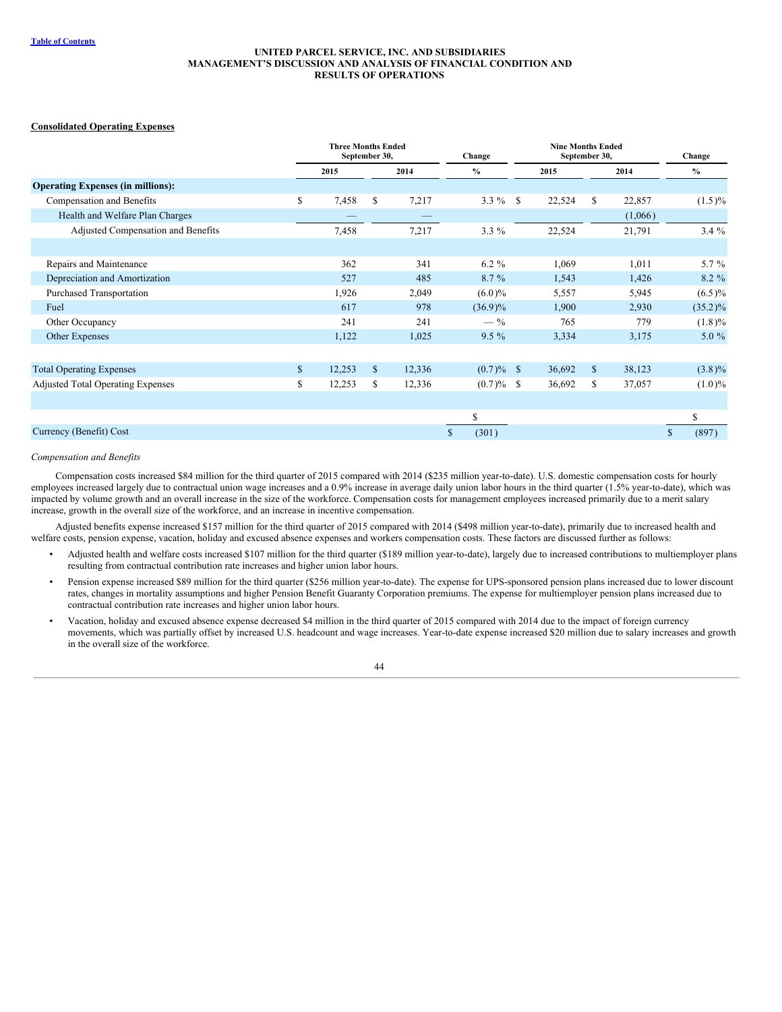### <span id="page-45-0"></span>**Consolidated Operating Expenses**

|                                          |               | <b>Three Months Ended</b> | September 30, |        |              | Change          |      |        |              | <b>Nine Months Ended</b><br>September 30, |              | Change        |
|------------------------------------------|---------------|---------------------------|---------------|--------|--------------|-----------------|------|--------|--------------|-------------------------------------------|--------------|---------------|
|                                          |               | 2015                      |               | 2014   |              | $\frac{0}{0}$   | 2015 |        | 2014         |                                           |              | $\frac{0}{0}$ |
| <b>Operating Expenses (in millions):</b> |               |                           |               |        |              |                 |      |        |              |                                           |              |               |
| Compensation and Benefits                | <sup>\$</sup> | 7,458                     | -S            | 7,217  |              | $3.3 \%$ \$     |      | 22,524 | S            | 22,857                                    |              | $(1.5)\%$     |
| Health and Welfare Plan Charges          |               |                           |               |        |              |                 |      |        |              | (1,066)                                   |              |               |
| Adjusted Compensation and Benefits       |               | 7,458                     |               | 7,217  |              | $3.3\%$         |      | 22,524 |              | 21,791                                    |              | $3.4\%$       |
|                                          |               |                           |               |        |              |                 |      |        |              |                                           |              |               |
| Repairs and Maintenance                  |               | 362                       |               | 341    |              | 6.2 $%$         |      | 1,069  |              | 1,011                                     |              | 5.7 $%$       |
| Depreciation and Amortization            |               | 527                       |               | 485    |              | $8.7\%$         |      | 1,543  |              | 1,426                                     |              | 8.2 %         |
| <b>Purchased Transportation</b>          |               | 1,926                     |               | 2,049  |              | $(6.0)\%$       |      | 5,557  |              | 5,945                                     |              | $(6.5)\%$     |
| Fuel                                     |               | 617                       |               | 978    |              | $(36.9)\%$      |      | 1,900  |              | 2,930                                     |              | $(35.2)\%$    |
| Other Occupancy                          |               | 241                       |               | 241    |              | $- \frac{9}{6}$ |      | 765    |              | 779                                       |              | $(1.8)\%$     |
| Other Expenses                           |               | 1,122                     |               | 1,025  |              | $9.5\%$         |      | 3,334  |              | 3,175                                     |              | $5.0\%$       |
|                                          |               |                           |               |        |              |                 |      |        |              |                                           |              |               |
| <b>Total Operating Expenses</b>          | $\mathbb{S}$  | 12,253                    | $\mathbb{S}$  | 12,336 |              | $(0.7)\%$ \$    |      | 36,692 | $\mathbb{S}$ | 38,123                                    |              | $(3.8)\%$     |
| <b>Adjusted Total Operating Expenses</b> | \$            | 12,253                    | \$            | 12,336 |              | $(0.7)\%$ \$    |      | 36,692 | \$           | 37,057                                    |              | $(1.0)\%$     |
|                                          |               |                           |               |        |              |                 |      |        |              |                                           |              |               |
|                                          |               |                           |               |        |              | S               |      |        |              |                                           |              | \$            |
| Currency (Benefit) Cost                  |               |                           |               |        | $\mathbb{S}$ | (301)           |      |        |              |                                           | $\mathbb{S}$ | (897)         |

# *Compensation and Benefits*

Compensation costs increased \$84 million for the third quarter of 2015 compared with 2014 (\$235 million year-to-date). U.S. domestic compensation costs for hourly employees increased largely due to contractual union wage increases and a 0.9% increase in average daily union labor hours in the third quarter (1.5% year-to-date), which was impacted by volume growth and an overall increase in the size of the workforce. Compensation costs for management employees increased primarily due to a merit salary increase, growth in the overall size of the workforce, and an increase in incentive compensation.

Adjusted benefits expense increased \$157 million for the third quarter of 2015 compared with 2014 (\$498 million year-to-date), primarily due to increased health and welfare costs, pension expense, vacation, holiday and excused absence expenses and workers compensation costs. These factors are discussed further as follows:

- Adjusted health and welfare costs increased \$107 million for the third quarter (\$189 million year-to-date), largely due to increased contributions to multiemployer plans resulting from contractual contribution rate increases and higher union labor hours.
- Pension expense increased \$89 million for the third quarter (\$256 million year-to-date). The expense for UPS-sponsored pension plans increased due to lower discount rates, changes in mortality assumptions and higher Pension Benefit Guaranty Corporation premiums. The expense for multiemployer pension plans increased due to contractual contribution rate increases and higher union labor hours.
- Vacation, holiday and excused absence expense decreased \$4 million in the third quarter of 2015 compared with 2014 due to the impact of foreign currency movements, which was partially offset by increased U.S. headcount and wage increases. Year-to-date expense increased \$20 million due to salary increases and growth in the overall size of the workforce.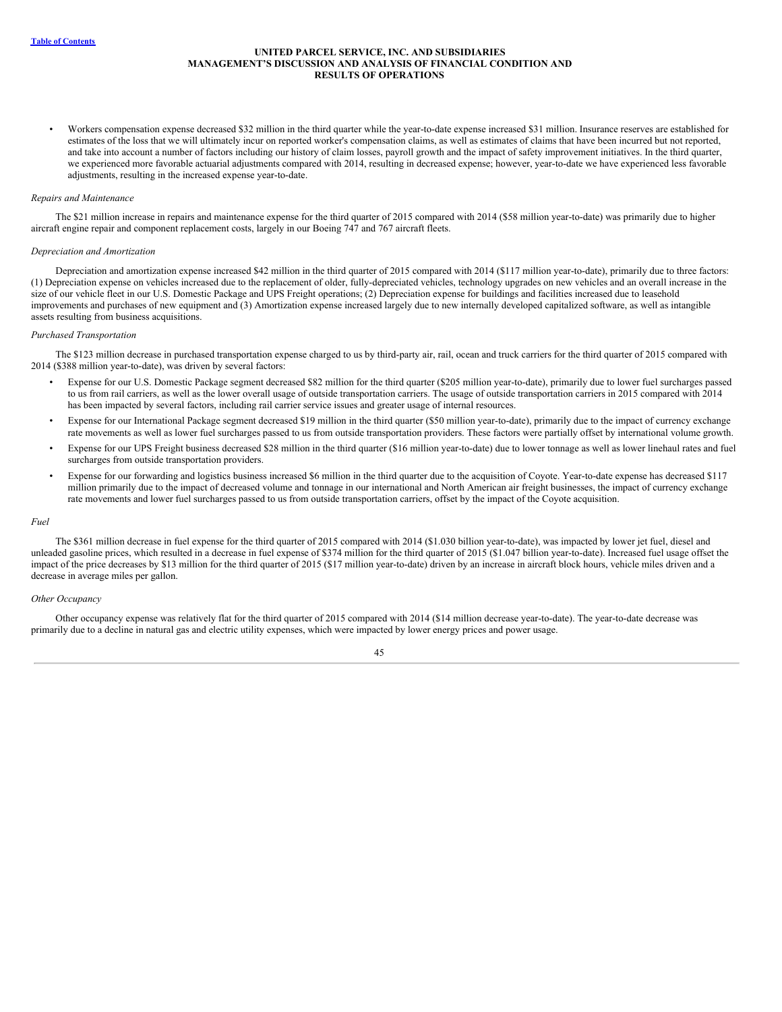• Workers compensation expense decreased \$32 million in the third quarter while the year-to-date expense increased \$31 million. Insurance reserves are established for estimates of the loss that we will ultimately incur on reported worker's compensation claims, as well as estimates of claims that have been incurred but not reported, and take into account a number of factors including our history of claim losses, payroll growth and the impact of safety improvement initiatives. In the third quarter, we experienced more favorable actuarial adjustments compared with 2014, resulting in decreased expense; however, year-to-date we have experienced less favorable adjustments, resulting in the increased expense year-to-date.

#### *Repairs and Maintenance*

The \$21 million increase in repairs and maintenance expense for the third quarter of 2015 compared with 2014 (\$58 million year-to-date) was primarily due to higher aircraft engine repair and component replacement costs, largely in our Boeing 747 and 767 aircraft fleets.

#### *Depreciation and Amortization*

Depreciation and amortization expense increased \$42 million in the third quarter of 2015 compared with 2014 (\$117 million year-to-date), primarily due to three factors: (1) Depreciation expense on vehicles increased due to the replacement of older, fully-depreciated vehicles, technology upgrades on new vehicles and an overall increase in the size of our vehicle fleet in our U.S. Domestic Package and UPS Freight operations; (2) Depreciation expense for buildings and facilities increased due to leasehold improvements and purchases of new equipment and (3) Amortization expense increased largely due to new internally developed capitalized software, as well as intangible assets resulting from business acquisitions.

#### *Purchased Transportation*

The \$123 million decrease in purchased transportation expense charged to us by third-party air, rail, ocean and truck carriers for the third quarter of 2015 compared with 2014 (\$388 million year-to-date), was driven by several factors:

- Expense for our U.S. Domestic Package segment decreased \$82 million for the third quarter (\$205 million year-to-date), primarily due to lower fuel surcharges passed to us from rail carriers, as well as the lower overall usage of outside transportation carriers. The usage of outside transportation carriers in 2015 compared with 2014 has been impacted by several factors, including rail carrier service issues and greater usage of internal resources.
- Expense for our International Package segment decreased \$19 million in the third quarter (\$50 million year-to-date), primarily due to the impact of currency exchange rate movements as well as lower fuel surcharges passed to us from outside transportation providers. These factors were partially offset by international volume growth.
- Expense for our UPS Freight business decreased \$28 million in the third quarter (\$16 million year-to-date) due to lower tonnage as well as lower linehaul rates and fuel surcharges from outside transportation providers.
- Expense for our forwarding and logistics business increased \$6 million in the third quarter due to the acquisition of Coyote. Year-to-date expense has decreased \$117 million primarily due to the impact of decreased volume and tonnage in our international and North American air freight businesses, the impact of currency exchange rate movements and lower fuel surcharges passed to us from outside transportation carriers, offset by the impact of the Coyote acquisition.

#### *Fuel*

The \$361 million decrease in fuel expense for the third quarter of 2015 compared with 2014 (\$1.030 billion year-to-date), was impacted by lower jet fuel, diesel and unleaded gasoline prices, which resulted in a decrease in fuel expense of \$374 million for the third quarter of 2015 (\$1.047 billion year-to-date). Increased fuel usage offset the impact of the price decreases by \$13 million for the third quarter of 2015 (\$17 million year-to-date) driven by an increase in aircraft block hours, vehicle miles driven and a decrease in average miles per gallon.

#### *Other Occupancy*

Other occupancy expense was relatively flat for the third quarter of 2015 compared with 2014 (\$14 million decrease year-to-date). The year-to-date decrease was primarily due to a decline in natural gas and electric utility expenses, which were impacted by lower energy prices and power usage.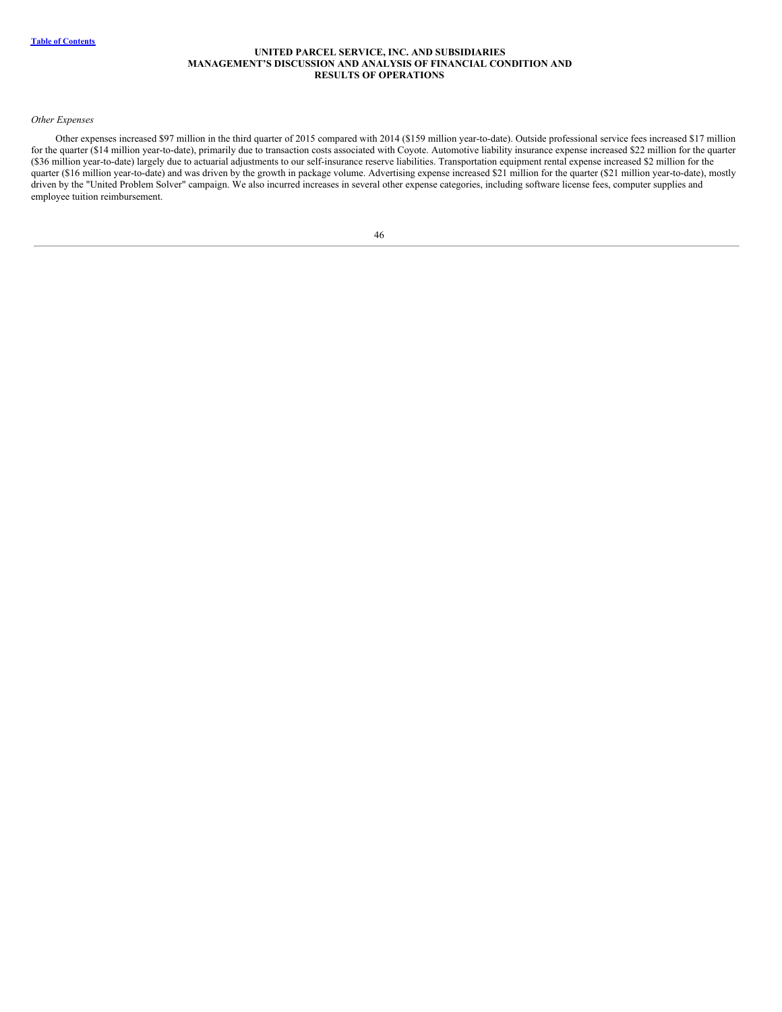# *Other Expenses*

Other expenses increased \$97 million in the third quarter of 2015 compared with 2014 (\$159 million year-to-date). Outside professional service fees increased \$17 million for the quarter (\$14 million year-to-date), primarily due to transaction costs associated with Coyote. Automotive liability insurance expense increased \$22 million for the quarter (\$36 million year-to-date) largely due to actuarial adjustments to our self-insurance reserve liabilities. Transportation equipment rental expense increased \$2 million for the quarter (\$16 million year-to-date) and was driven by the growth in package volume. Advertising expense increased \$21 million for the quarter (\$21 million year-to-date), mostly driven by the "United Problem Solver" campaign. We also incurred increases in several other expense categories, including software license fees, computer supplies and employee tuition reimbursement.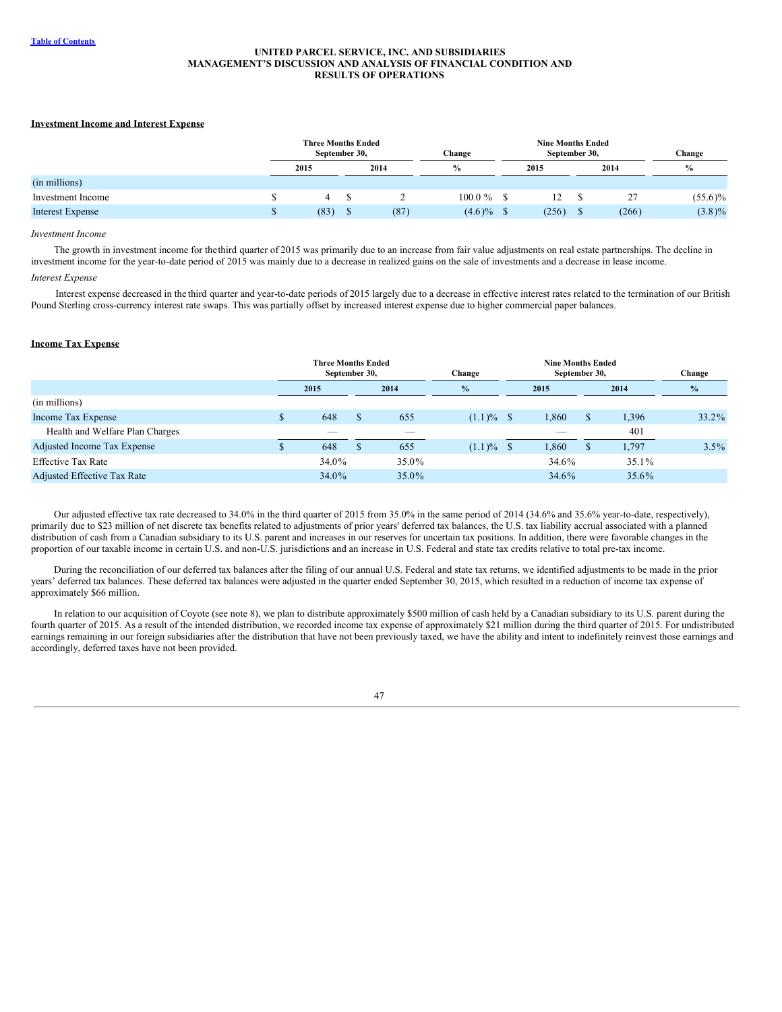### <span id="page-48-0"></span>**Investment Income and Interest Expense**

|                         | <b>Three Months Ended</b><br>September 30, |      | Change        |  | <b>Nine Months Ended</b><br>September 30, | Change |       |               |
|-------------------------|--------------------------------------------|------|---------------|--|-------------------------------------------|--------|-------|---------------|
|                         | 2015                                       | 2014 | $\frac{0}{0}$ |  | 2015                                      |        | 2014  | $\frac{6}{9}$ |
| (in millions)           |                                            |      |               |  |                                           |        |       |               |
| Investment Income       | 4                                          |      | $100.0\%$ \$  |  | 12                                        |        | 27    | $(55.6)\%$    |
| <b>Interest Expense</b> | (83)                                       | (87) | $(4.6)\%$ \$  |  | (256)                                     |        | (266) | $(3.8)\%$     |

#### *Investment Income*

The growth in investment income for thethird quarter of 2015 was primarily due to an increase from fair value adjustments on real estate partnerships. The decline in investment income for the year-to-date period of 2015 was mainly due to a decrease in realized gains on the sale of investments and a decrease in lease income.

#### *Interest Expense*

<span id="page-48-1"></span>Interest expense decreased in the third quarter and year-to-date periods of 2015 largely due to a decrease in effective interest rates related to the termination of our British Pound Sterling cross-currency interest rate swaps. This was partially offset by increased interest expense due to higher commercial paper balances.

### **Income Tax Expense**

|                                    | <b>Three Months Ended</b><br>September 30, |   | Change        | <b>Nine Months Ended</b><br>September 30, |      |       |      |               |         |
|------------------------------------|--------------------------------------------|---|---------------|-------------------------------------------|------|-------|------|---------------|---------|
|                                    | 2014<br>2015                               |   | $\frac{0}{0}$ |                                           | 2015 |       | 2014 | $\frac{6}{9}$ |         |
| (in millions)                      |                                            |   |               |                                           |      |       |      |               |         |
| Income Tax Expense                 | 648                                        | ъ | 655           | $(1.1)\%$ \$                              |      | 1,860 | S    | 1,396         | 33.2%   |
| Health and Welfare Plan Charges    |                                            |   |               |                                           |      |       |      | 401           |         |
| Adjusted Income Tax Expense        | 648                                        | æ | 655           | $(1.1)\%$ \$                              |      | 1,860 |      | 1,797         | $3.5\%$ |
| <b>Effective Tax Rate</b>          | 34.0%                                      |   | 35.0%         |                                           |      | 34.6% |      | $35.1\%$      |         |
| <b>Adjusted Effective Tax Rate</b> | 34.0%                                      |   | 35.0%         |                                           |      | 34.6% |      | 35.6%         |         |

Our adjusted effective tax rate decreased to 34.0% in the third quarter of 2015 from 35.0% in the same period of 2014 (34.6% and 35.6% year-to-date, respectively), primarily due to \$23 million of net discrete tax benefits related to adjustments of prior years' deferred tax balances, the U.S. tax liability accrual associated with a planned distribution of cash from a Canadian subsidiary to its U.S. parent and increases in our reserves for uncertain tax positions. In addition, there were favorable changes in the proportion of our taxable income in certain U.S. and non-U.S. jurisdictions and an increase in U.S. Federal and state tax credits relative to total pre-tax income.

During the reconciliation of our deferred tax balances after the filing of our annual U.S. Federal and state tax returns, we identified adjustments to be made in the prior years' deferred tax balances. These deferred tax balances were adjusted in the quarter ended September 30, 2015, which resulted in a reduction of income tax expense of approximately \$66 million.

In relation to our acquisition of Coyote (see note 8), we plan to distribute approximately \$500 million of cash held by a Canadian subsidiary to its U.S. parent during the fourth quarter of 2015. As a result of the intended distribution, we recorded income tax expense of approximately \$21 million during the third quarter of 2015. For undistributed earnings remaining in our foreign subsidiaries after the distribution that have not been previously taxed, we have the ability and intent to indefinitely reinvest those earnings and accordingly, deferred taxes have not been provided.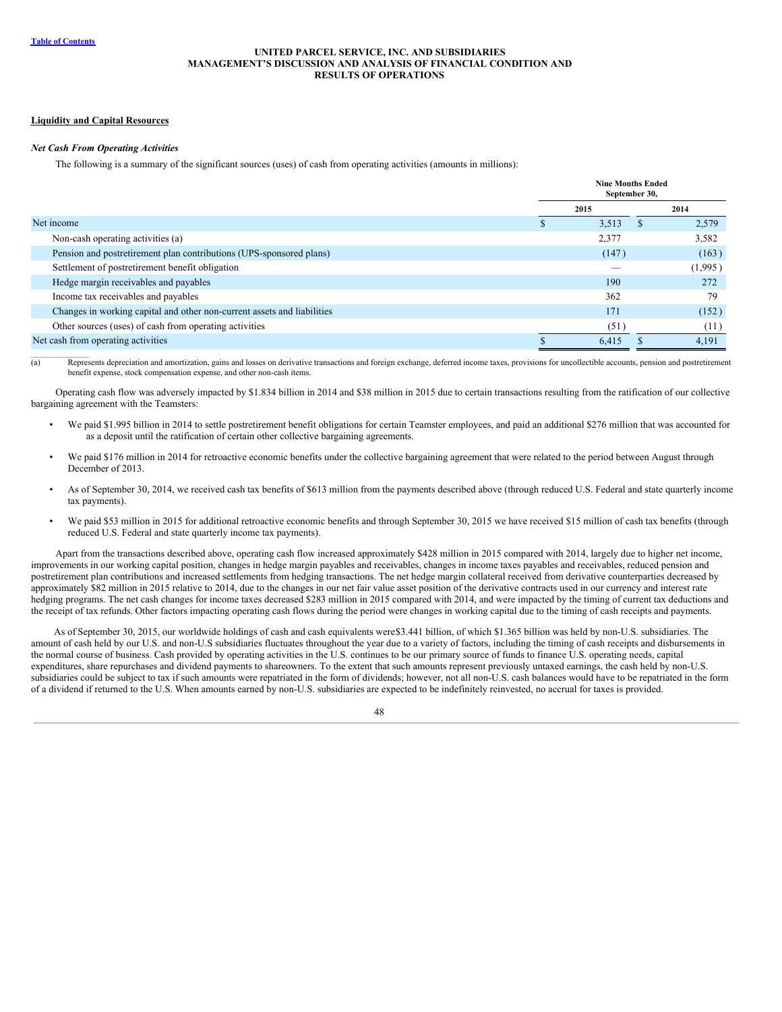# <span id="page-49-1"></span><span id="page-49-0"></span>**Liquidity and Capital Resources**

### *Net Cash From Operating Activities*

The following is a summary of the significant sources (uses) of cash from operating activities (amounts in millions):

|                                                                         |    | <b>Nine Months Ended</b> |   |         |
|-------------------------------------------------------------------------|----|--------------------------|---|---------|
|                                                                         |    | 2015                     |   | 2014    |
| Net income                                                              | ۰D | 3,513                    | S | 2,579   |
| Non-cash operating activities (a)                                       |    | 2,377                    |   | 3,582   |
| Pension and postretirement plan contributions (UPS-sponsored plans)     |    | (147)                    |   | (163)   |
| Settlement of postretirement benefit obligation                         |    |                          |   | (1,995) |
| Hedge margin receivables and payables                                   |    | 190                      |   | 272     |
| Income tax receivables and payables                                     |    | 362                      |   | 79      |
| Changes in working capital and other non-current assets and liabilities |    | 171                      |   | (152)   |
| Other sources (uses) of cash from operating activities                  |    | (51)                     |   | (11)    |
| Net cash from operating activities                                      |    | 6,415                    |   | 4,191   |

\_\_\_\_\_\_\_\_\_\_\_\_\_\_\_\_\_\_\_ (a) Represents depreciation and amortization, gains and losses on derivative transactions and foreign exchange, deferred income taxes, provisions for uncollectible accounts, pension and postretirement benefit expense, stock compensation expense, and other non-cash items.

Operating cash flow was adversely impacted by \$1.834 billion in 2014 and \$38 million in 2015 due to certain transactions resulting from the ratification of our collective bargaining agreement with the Teamsters:

- We paid \$1.995 billion in 2014 to settle postretirement benefit obligations for certain Teamster employees, and paid an additional \$276 million that was accounted for as a deposit until the ratification of certain other collective bargaining agreements.
- We paid \$176 million in 2014 for retroactive economic benefits under the collective bargaining agreement that were related to the period between August through December of 2013.
- As of September 30, 2014, we received cash tax benefits of \$613 million from the payments described above (through reduced U.S. Federal and state quarterly income tax payments).
- We paid \$53 million in 2015 for additional retroactive economic benefits and through September 30, 2015 we have received \$15 million of cash tax benefits (through reduced U.S. Federal and state quarterly income tax payments).

Apart from the transactions described above, operating cash flow increased approximately \$428 million in 2015 compared with 2014, largely due to higher net income, improvements in our working capital position, changes in hedge margin payables and receivables, changes in income taxes payables and receivables, reduced pension and postretirement plan contributions and increased settlements from hedging transactions. The net hedge margin collateral received from derivative counterparties decreased by approximately \$82 million in 2015 relative to 2014, due to the changes in our net fair value asset position of the derivative contracts used in our currency and interest rate hedging programs. The net cash changes for income taxes decreased \$283 million in 2015 compared with 2014, and were impacted by the timing of current tax deductions and the receipt of tax refunds. Other factors impacting operating cash flows during the period were changes in working capital due to the timing of cash receipts and payments.

As of September 30, 2015, our worldwide holdings of cash and cash equivalents were\$3.441 billion, of which \$1.365 billion was held by non-U.S. subsidiaries. The amount of cash held by our U.S. and non-U.S subsidiaries fluctuates throughout the year due to a variety of factors, including the timing of cash receipts and disbursements in the normal course of business. Cash provided by operating activities in the U.S. continues to be our primary source of funds to finance U.S. operating needs, capital expenditures, share repurchases and dividend payments to shareowners. To the extent that such amounts represent previously untaxed earnings, the cash held by non-U.S. subsidiaries could be subject to tax if such amounts were repatriated in the form of dividends; however, not all non-U.S. cash balances would have to be repatriated in the form of a dividend if returned to the U.S. When amounts earned by non-U.S. subsidiaries are expected to be indefinitely reinvested, no accrual for taxes is provided.

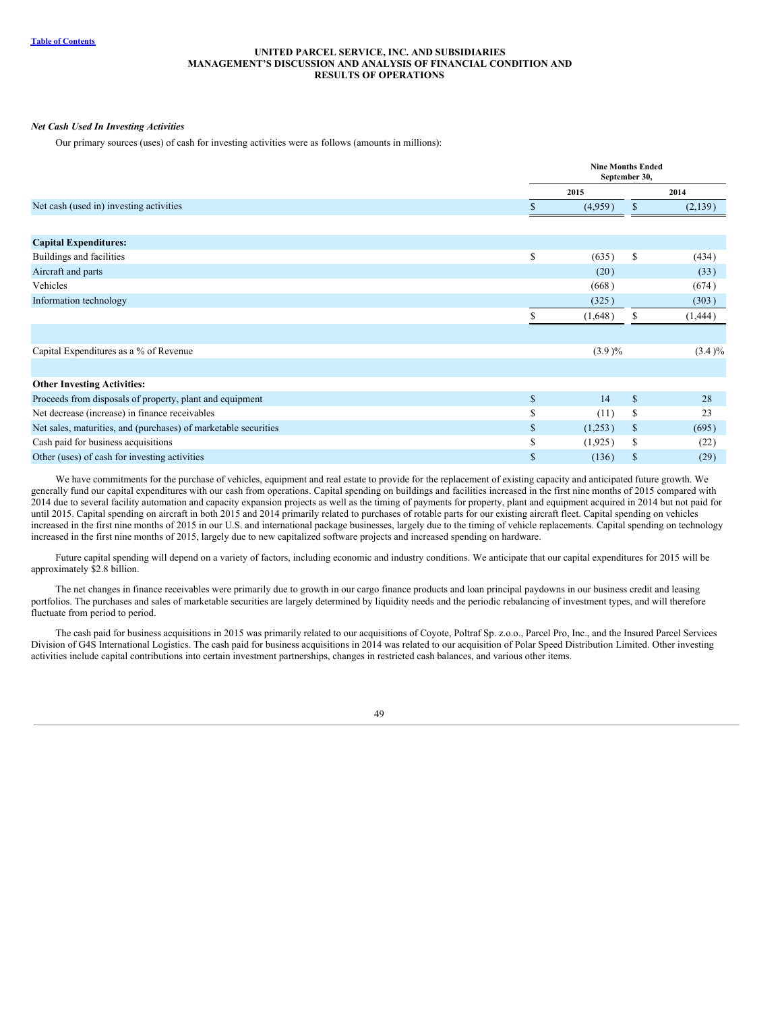#### <span id="page-50-0"></span>*Net Cash Used In Investing Activities*

Our primary sources (uses) of cash for investing activities were as follows (amounts in millions):

|                                                                 |              | <b>Nine Months Ended</b><br>September 30, |               |           |  |  |  |
|-----------------------------------------------------------------|--------------|-------------------------------------------|---------------|-----------|--|--|--|
|                                                                 |              | 2015                                      |               |           |  |  |  |
| Net cash (used in) investing activities                         |              | (4,959)                                   | <sup>\$</sup> | (2,139)   |  |  |  |
|                                                                 |              |                                           |               |           |  |  |  |
| <b>Capital Expenditures:</b>                                    |              |                                           |               |           |  |  |  |
| Buildings and facilities                                        | \$           | (635)                                     | \$            | (434)     |  |  |  |
| Aircraft and parts                                              |              | (20)                                      |               | (33)      |  |  |  |
| Vehicles                                                        |              | (668)                                     |               | (674)     |  |  |  |
| Information technology                                          |              | (325)                                     |               | (303)     |  |  |  |
|                                                                 | S            | (1,648)                                   | £.            | (1, 444)  |  |  |  |
|                                                                 |              |                                           |               |           |  |  |  |
| Capital Expenditures as a % of Revenue                          |              | $(3.9)\%$                                 |               | $(3.4)\%$ |  |  |  |
|                                                                 |              |                                           |               |           |  |  |  |
| <b>Other Investing Activities:</b>                              |              |                                           |               |           |  |  |  |
| Proceeds from disposals of property, plant and equipment        | $\mathbb{S}$ | 14                                        | $\mathbb{S}$  | 28        |  |  |  |
| Net decrease (increase) in finance receivables                  | \$           | (11)                                      | \$            | 23        |  |  |  |
| Net sales, maturities, and (purchases) of marketable securities | \$           | (1,253)                                   | \$            | (695)     |  |  |  |
| Cash paid for business acquisitions                             | S            | (1,925)                                   | S             | (22)      |  |  |  |
| Other (uses) of cash for investing activities                   | S            | (136)                                     | \$            | (29)      |  |  |  |

We have commitments for the purchase of vehicles, equipment and real estate to provide for the replacement of existing capacity and anticipated future growth. We generally fund our capital expenditures with our cash from operations. Capital spending on buildings and facilities increased in the first nine months of 2015 compared with 2014 due to several facility automation and capacity expansion projects as well as the timing of payments for property, plant and equipment acquired in 2014 but not paid for until 2015. Capital spending on aircraft in both 2015 and 2014 primarily related to purchases of rotable parts for our existing aircraft fleet. Capital spending on vehicles increased in the first nine months of 2015 in our U.S. and international package businesses, largely due to the timing of vehicle replacements. Capital spending on technology increased in the first nine months of 2015, largely due to new capitalized software projects and increased spending on hardware.

Future capital spending will depend on a variety of factors, including economic and industry conditions. We anticipate that our capital expenditures for 2015 will be approximately \$2.8 billion.

The net changes in finance receivables were primarily due to growth in our cargo finance products and loan principal paydowns in our business credit and leasing portfolios. The purchases and sales of marketable securities are largely determined by liquidity needs and the periodic rebalancing of investment types, and will therefore fluctuate from period to period.

The cash paid for business acquisitions in 2015 was primarily related to our acquisitions of Coyote, Poltraf Sp. z.o.o., Parcel Pro, Inc., and the Insured Parcel Services Division of G4S International Logistics. The cash paid for business acquisitions in 2014 was related to our acquisition of Polar Speed Distribution Limited. Other investing activities include capital contributions into certain investment partnerships, changes in restricted cash balances, and various other items.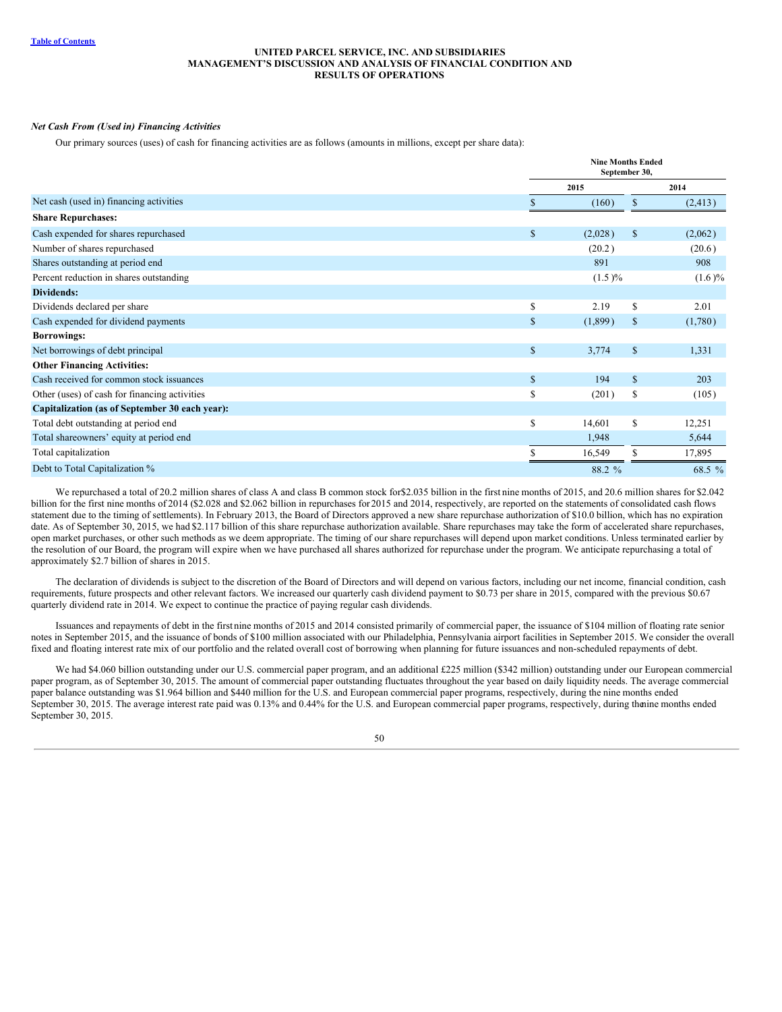### <span id="page-51-0"></span>*Net Cash From (Used in) Financing Activities*

Our primary sources (uses) of cash for financing activities are as follows (amounts in millions, except per share data):

|                                                |              | <b>Nine Months Ended</b><br>September 30, |               |           |  |  |  |  |
|------------------------------------------------|--------------|-------------------------------------------|---------------|-----------|--|--|--|--|
|                                                |              | 2015                                      |               |           |  |  |  |  |
| Net cash (used in) financing activities        |              | (160)                                     | $\mathbb{S}$  | (2, 413)  |  |  |  |  |
| <b>Share Repurchases:</b>                      |              |                                           |               |           |  |  |  |  |
| Cash expended for shares repurchased           | $\mathbf S$  | (2,028)                                   | <sup>\$</sup> | (2,062)   |  |  |  |  |
| Number of shares repurchased                   |              | (20.2)                                    |               | (20.6)    |  |  |  |  |
| Shares outstanding at period end               |              | 891                                       |               | 908       |  |  |  |  |
| Percent reduction in shares outstanding        |              | $(1.5)\%$                                 |               | $(1.6)\%$ |  |  |  |  |
| <b>Dividends:</b>                              |              |                                           |               |           |  |  |  |  |
| Dividends declared per share                   | S            | 2.19                                      | <sup>\$</sup> | 2.01      |  |  |  |  |
| Cash expended for dividend payments            | $\mathbb{S}$ | (1,899)                                   | \$            | (1,780)   |  |  |  |  |
| <b>Borrowings:</b>                             |              |                                           |               |           |  |  |  |  |
| Net borrowings of debt principal               | $\mathbb{S}$ | 3,774                                     | \$            | 1,331     |  |  |  |  |
| <b>Other Financing Activities:</b>             |              |                                           |               |           |  |  |  |  |
| Cash received for common stock issuances       | $\mathbb{S}$ | 194                                       | $\mathbb{S}$  | 203       |  |  |  |  |
| Other (uses) of cash for financing activities  | S            | (201)                                     | S             | (105)     |  |  |  |  |
| Capitalization (as of September 30 each year): |              |                                           |               |           |  |  |  |  |
| Total debt outstanding at period end           | S            | 14,601                                    | <sup>\$</sup> | 12,251    |  |  |  |  |
| Total shareowners' equity at period end        |              | 1,948                                     |               | 5,644     |  |  |  |  |
| Total capitalization                           |              | 16,549                                    | S             | 17,895    |  |  |  |  |
| Debt to Total Capitalization %                 |              | 88.2 %                                    |               | 68.5 %    |  |  |  |  |

We repurchased a total of 20.2 million shares of class A and class B common stock for \$2.035 billion in the first nine months of 2015, and 20.6 million shares for \$2.042 billion for the first nine months of 2014 (\$2.028 and \$2.062 billion in repurchases for 2015 and 2014, respectively, are reported on the statements of consolidated cash flows statement due to the timing of settlements). In February 2013, the Board of Directors approved a new share repurchase authorization of \$10.0 billion, which has no expiration date. As of September 30, 2015, we had \$2.117 billion of this share repurchase authorization available. Share repurchases may take the form of accelerated share repurchases, open market purchases, or other such methods as we deem appropriate. The timing of our share repurchases will depend upon market conditions. Unless terminated earlier by the resolution of our Board, the program will expire when we have purchased all shares authorized for repurchase under the program. We anticipate repurchasing a total of approximately \$2.7 billion of shares in 2015.

The declaration of dividends is subject to the discretion of the Board of Directors and will depend on various factors, including our net income, financial condition, cash requirements, future prospects and other relevant factors. We increased our quarterly cash dividend payment to \$0.73 per share in 2015, compared with the previous \$0.67 quarterly dividend rate in 2014. We expect to continue the practice of paying regular cash dividends.

Issuances and repayments of debt in the first nine months of 2015 and 2014 consisted primarily of commercial paper, the issuance of \$104 million of floating rate senior notes in September 2015, and the issuance of bonds of \$100 million associated with our Philadelphia, Pennsylvania airport facilities in September 2015. We consider the overall fixed and floating interest rate mix of our portfolio and the related overall cost of borrowing when planning for future issuances and non-scheduled repayments of debt.

We had \$4.060 billion outstanding under our U.S. commercial paper program, and an additional £225 million (\$342 million) outstanding under our European commercial paper program, as of September 30, 2015. The amount of commercial paper outstanding fluctuates throughout the year based on daily liquidity needs. The average commercial paper balance outstanding was \$1.964 billion and \$440 million for the U.S. and European commercial paper programs, respectively, during the nine months ended September 30, 2015. The average interest rate paid was 0.13% and 0.44% for the U.S. and European commercial paper programs, respectively, during thenine months ended September 30, 2015.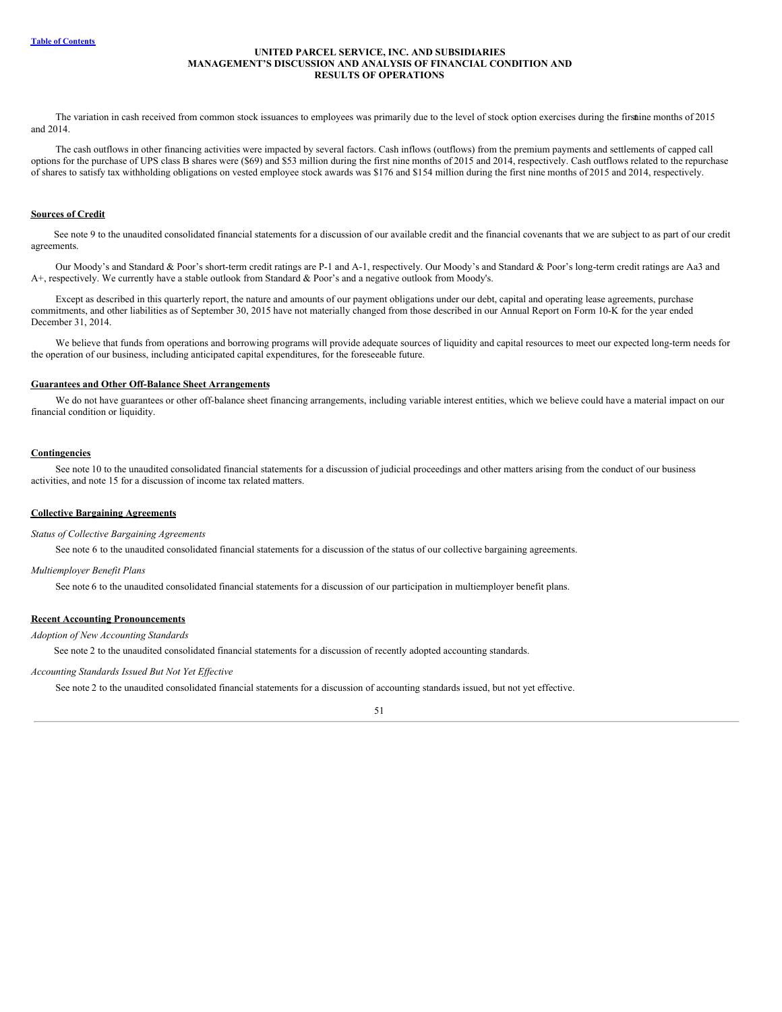The variation in cash received from common stock issuances to employees was primarily due to the level of stock option exercises during the firstine months of 2015 and 2014.

<span id="page-52-0"></span>The cash outflows in other financing activities were impacted by several factors. Cash inflows (outflows) from the premium payments and settlements of capped call options for the purchase of UPS class B shares were (\$69) and \$53 million during the first nine months of 2015 and 2014, respectively. Cash outflows related to the repurchase of shares to satisfy tax withholding obligations on vested employee stock awards was \$176 and \$154 million during the first nine months of 2015 and 2014, respectively.

#### **Sources of Credit**

See note 9 to the unaudited consolidated financial statements for a discussion of our available credit and the financial covenants that we are subject to as part of our credit agreements.

Our Moody's and Standard & Poor's short-term credit ratings are P-1 and A-1, respectively. Our Moody's and Standard & Poor's long-term credit ratings are Aa3 and A+, respectively. We currently have a stable outlook from Standard & Poor's and a negative outlook from Moody's.

Except as described in this quarterly report, the nature and amounts of our payment obligations under our debt, capital and operating lease agreements, purchase commitments, and other liabilities as of September 30, 2015 have not materially changed from those described in our Annual Report on Form 10-K for the year ended December 31, 2014.

We believe that funds from operations and borrowing programs will provide adequate sources of liquidity and capital resources to meet our expected long-term needs for the operation of our business, including anticipated capital expenditures, for the foreseeable future.

### **Guarantees and Other Off-Balance Sheet Arrangements**

<span id="page-52-1"></span>We do not have guarantees or other off-balance sheet financing arrangements, including variable interest entities, which we believe could have a material impact on our financial condition or liquidity.

#### **Contingencies**

<span id="page-52-2"></span>See note 10 to the unaudited consolidated financial statements for a discussion of judicial proceedings and other matters arising from the conduct of our business activities, and note 15 for a discussion of income tax related matters.

#### **Collective Bargaining Agreements**

#### *Status of Collective Bargaining Agreements*

See note 6 to the unaudited consolidated financial statements for a discussion of the status of our collective bargaining agreements.

#### *Multiemployer Benefit Plans*

<span id="page-52-3"></span>See note 6 to the unaudited consolidated financial statements for a discussion of our participation in multiemployer benefit plans.

### **Recent Accounting Pronouncements**

#### *Adoption of New Accounting Standards*

See note 2 to the unaudited consolidated financial statements for a discussion of recently adopted accounting standards.

### *Accounting Standards Issued But Not Yet Ef ective*

See note 2 to the unaudited consolidated financial statements for a discussion of accounting standards issued, but not yet effective.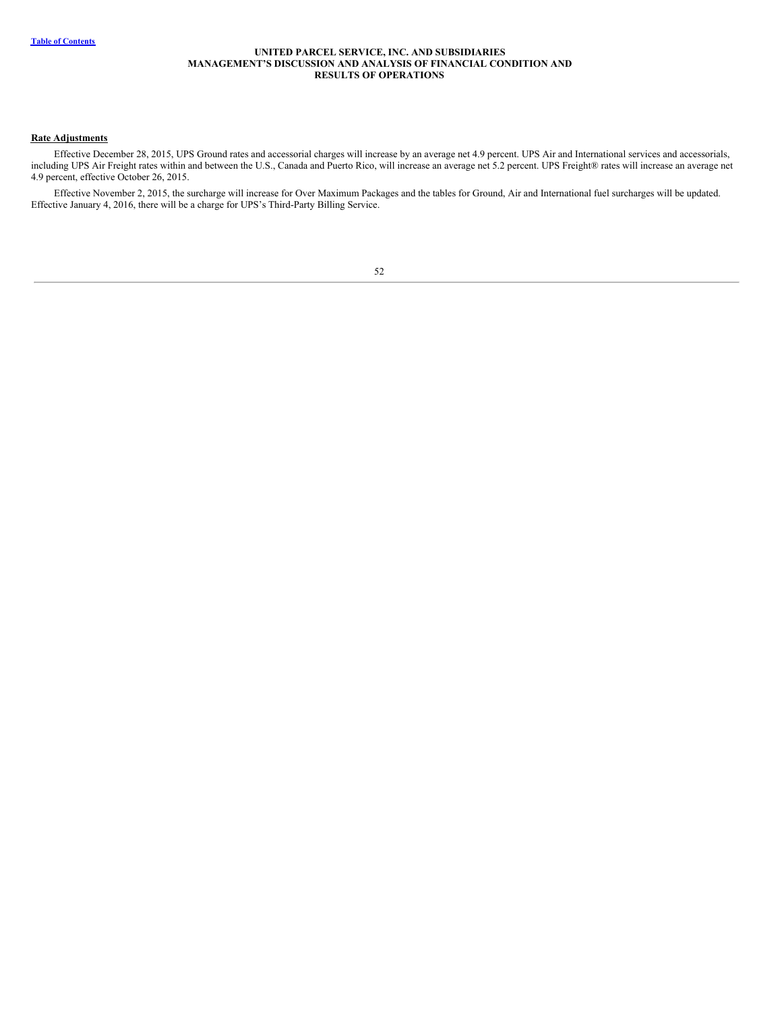### <span id="page-53-0"></span>**Rate Adjustments**

Effective December 28, 2015, UPS Ground rates and accessorial charges will increase by an average net 4.9 percent. UPS Air and International services and accessorials, including UPS Air Freight rates within and between the U.S., Canada and Puerto Rico, will increase an average net 5.2 percent. UPS Freight® rates will increase an average net 4.9 percent, effective October 26, 2015.

Effective November 2, 2015, the surcharge will increase for Over Maximum Packages and the tables for Ground, Air and International fuel surcharges will be updated. Effective January 4, 2016, there will be a charge for UPS's Third-Party Billing Service.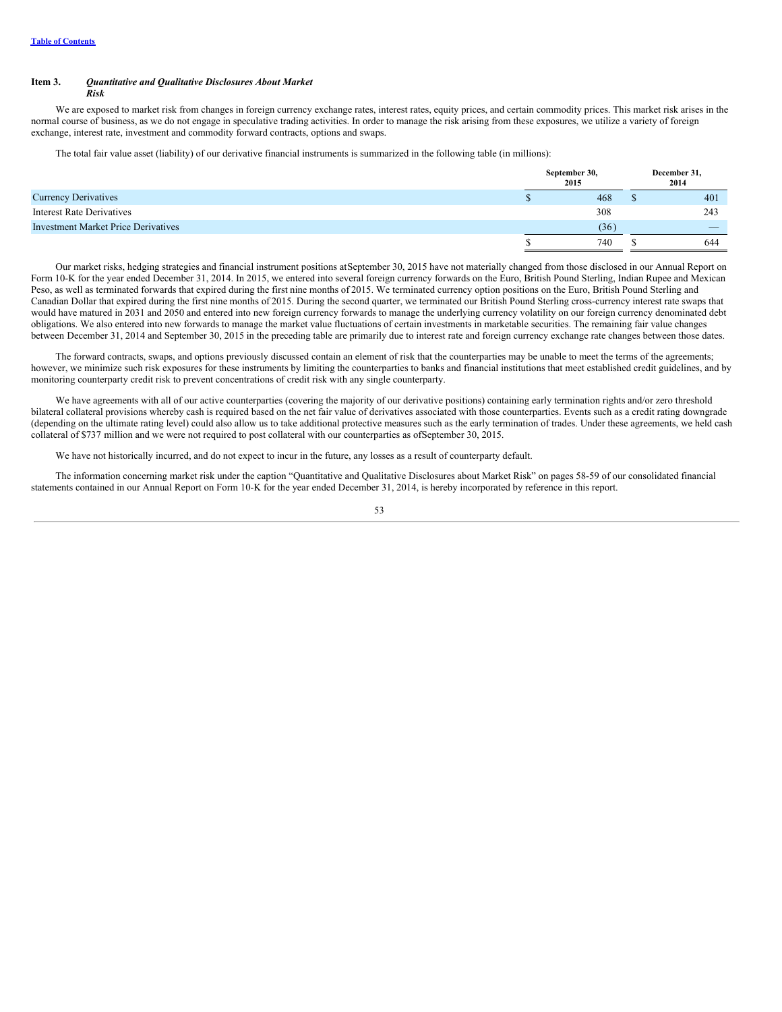#### <span id="page-54-0"></span>**Item 3.** *Quantitative and Qualitative Disclosures About Market Risk*

We are exposed to market risk from changes in foreign currency exchange rates, interest rates, equity prices, and certain commodity prices. This market risk arises in the normal course of business, as we do not engage in speculative trading activities. In order to manage the risk arising from these exposures, we utilize a variety of foreign exchange, interest rate, investment and commodity forward contracts, options and swaps.

The total fair value asset (liability) of our derivative financial instruments is summarized in the following table (in millions):

|                                            | September 30,<br>2015 |      |  | December 31,<br>2014     |
|--------------------------------------------|-----------------------|------|--|--------------------------|
| <b>Currency Derivatives</b>                |                       | 468  |  | 401                      |
| Interest Rate Derivatives                  |                       | 308  |  | 243                      |
| <b>Investment Market Price Derivatives</b> |                       | (36) |  | $\overline{\phantom{a}}$ |
|                                            |                       | 740  |  | 644                      |

Our market risks, hedging strategies and financial instrument positions atSeptember 30, 2015 have not materially changed from those disclosed in our Annual Report on Form 10-K for the year ended December 31, 2014. In 2015, we entered into several foreign currency forwards on the Euro, British Pound Sterling, Indian Rupee and Mexican Peso, as well as terminated forwards that expired during the first nine months of 2015. We terminated currency option positions on the Euro, British Pound Sterling and Canadian Dollar that expired during the first nine months of 2015. During the second quarter, we terminated our British Pound Sterling cross-currency interest rate swaps that would have matured in 2031 and 2050 and entered into new foreign currency forwards to manage the underlying currency volatility on our foreign currency denominated debt obligations. We also entered into new forwards to manage the market value fluctuations of certain investments in marketable securities. The remaining fair value changes between December 31, 2014 and September 30, 2015 in the preceding table are primarily due to interest rate and foreign currency exchange rate changes between those dates.

The forward contracts, swaps, and options previously discussed contain an element of risk that the counterparties may be unable to meet the terms of the agreements; however, we minimize such risk exposures for these instruments by limiting the counterparties to banks and financial institutions that meet established credit guidelines, and by monitoring counterparty credit risk to prevent concentrations of credit risk with any single counterparty.

We have agreements with all of our active counterparties (covering the majority of our derivative positions) containing early termination rights and/or zero threshold bilateral collateral provisions whereby cash is required based on the net fair value of derivatives associated with those counterparties. Events such as a credit rating downgrade (depending on the ultimate rating level) could also allow us to take additional protective measures such as the early termination of trades. Under these agreements, we held cash collateral of \$737 million and we were not required to post collateral with our counterparties as ofSeptember 30, 2015.

We have not historically incurred, and do not expect to incur in the future, any losses as a result of counterparty default.

The information concerning market risk under the caption "Quantitative and Qualitative Disclosures about Market Risk" on pages 58-59 of our consolidated financial statements contained in our Annual Report on Form 10-K for the year ended December 31, 2014, is hereby incorporated by reference in this report.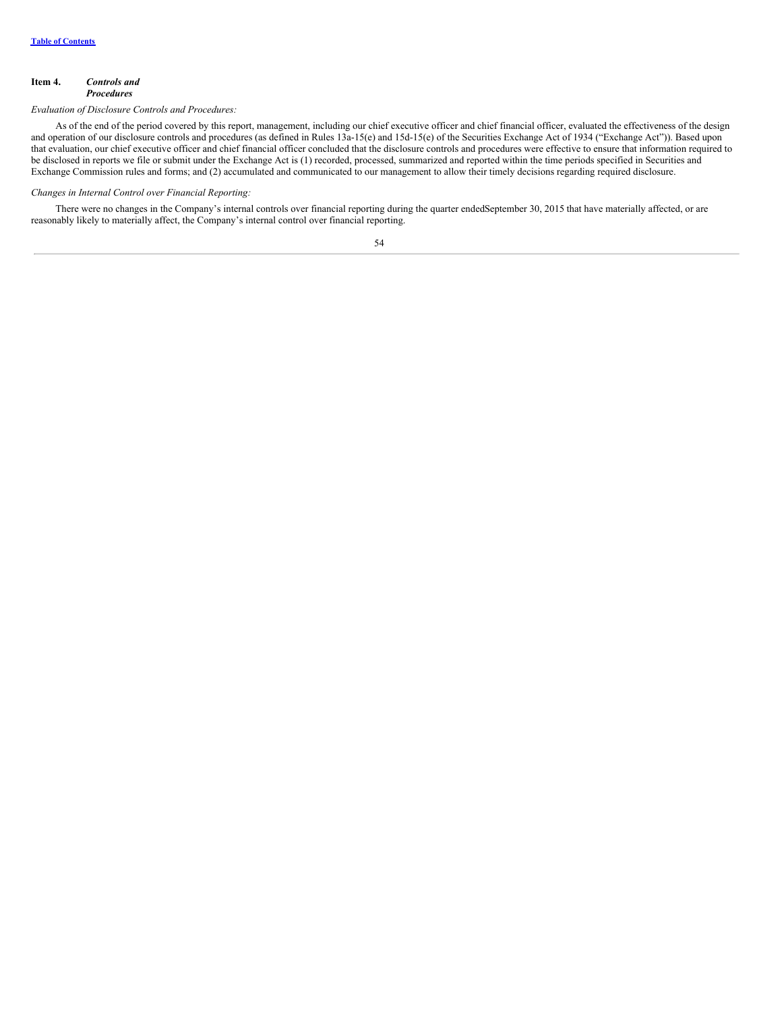### <span id="page-55-0"></span>**Item 4.** *Controls and Procedures*

#### *Evaluation of Disclosure Controls and Procedures:*

As of the end of the period covered by this report, management, including our chief executive officer and chief financial officer, evaluated the effectiveness of the design and operation of our disclosure controls and procedures (as defined in Rules 13a-15(e) and 15d-15(e) of the Securities Exchange Act of 1934 ("Exchange Act")). Based upon that evaluation, our chief executive officer and chief financial officer concluded that the disclosure controls and procedures were effective to ensure that information required to be disclosed in reports we file or submit under the Exchange Act is (1) recorded, processed, summarized and reported within the time periods specified in Securities and Exchange Commission rules and forms; and (2) accumulated and communicated to our management to allow their timely decisions regarding required disclosure.

### *Changes in Internal Control over Financial Reporting:*

There were no changes in the Company's internal controls over financial reporting during the quarter endedSeptember 30, 2015 that have materially affected, or are reasonably likely to materially affect, the Company's internal control over financial reporting.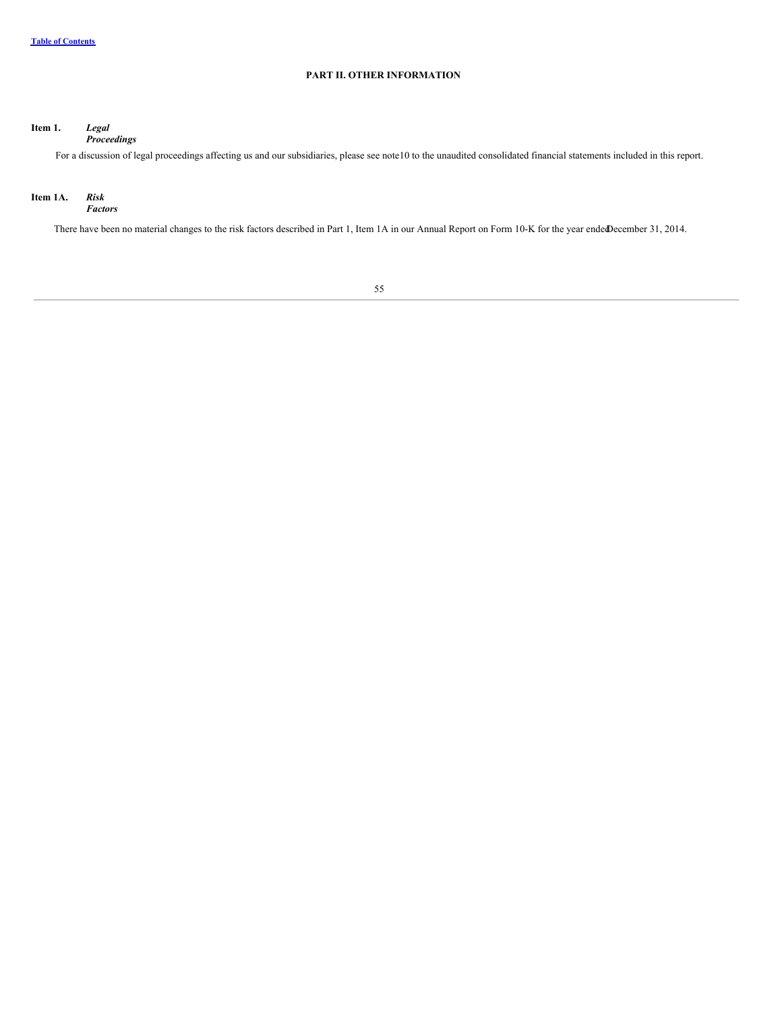### **PART II. OTHER INFORMATION**

# <span id="page-56-0"></span>**Item 1.** *Legal*

*Proceedings*

<span id="page-56-1"></span>For a discussion of legal proceedings affecting us and our subsidiaries, please see note10 to the unaudited consolidated financial statements included in this report.

# **Item 1A.** *Risk*

### *Factors*

There have been no material changes to the risk factors described in Part 1, Item 1A in our Annual Report on Form 10-K for the year endedDecember 31, 2014.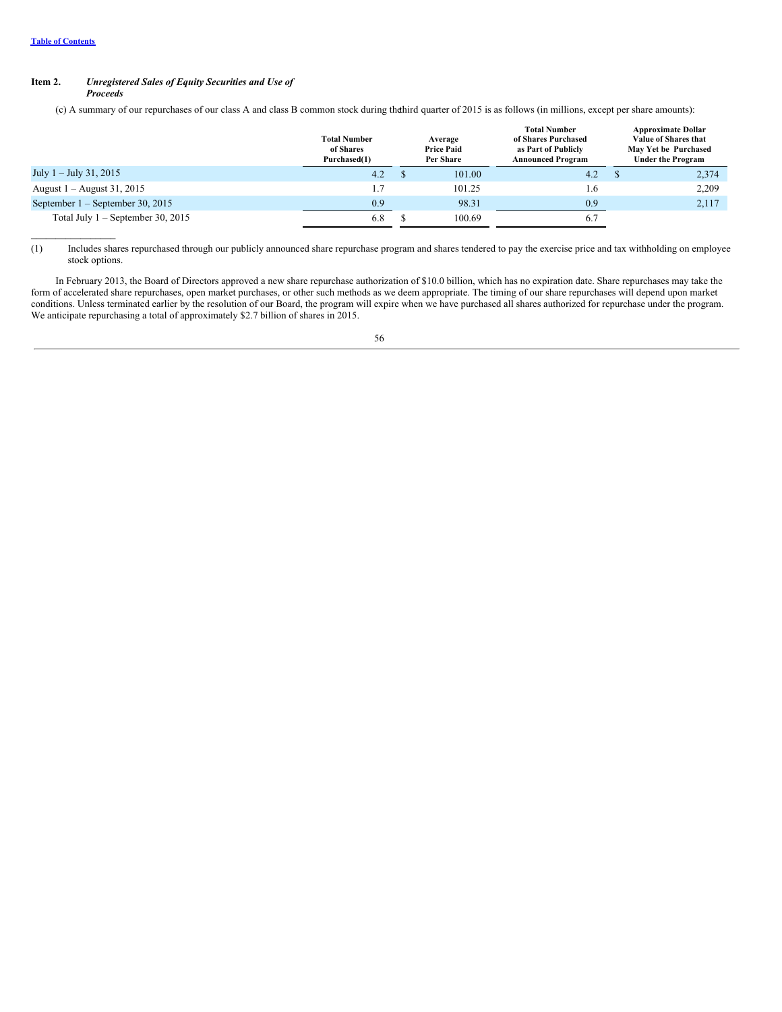# <span id="page-57-0"></span>**Item 2.** *Unregistered Sales of Equity Securities and Use of*

*Proceeds*

 $\mathcal{L}=\mathcal{L}^{\mathcal{L}}$  , where  $\mathcal{L}^{\mathcal{L}}$ 

(c) A summary of our repurchases of our class A and class B common stock during thethird quarter of 2015 is as follows (in millions, except per share amounts):

|                                     | <b>Total Number</b><br>of Shares<br>Purchased(1) | Average<br><b>Price Paid</b><br>Per Share |        | <b>Total Number</b><br>of Shares Purchased<br>as Part of Publicly<br><b>Announced Program</b> | <b>Approximate Dollar</b><br>Value of Shares that<br>May Yet be Purchased<br><b>Under the Program</b> |       |  |
|-------------------------------------|--------------------------------------------------|-------------------------------------------|--------|-----------------------------------------------------------------------------------------------|-------------------------------------------------------------------------------------------------------|-------|--|
| July $1 -$ July 31, 2015            | 4.2                                              |                                           | 101.00 | 4.2                                                                                           |                                                                                                       | 2,374 |  |
| August $1 -$ August 31, 2015        | 1.7                                              |                                           | 101.25 | 1.6                                                                                           |                                                                                                       | 2,209 |  |
| September $1 -$ September 30, 2015  | 0.9                                              |                                           | 98.31  | 0.9                                                                                           |                                                                                                       | 2.117 |  |
| Total July $1 -$ September 30, 2015 | 6.8                                              |                                           | 100.69 | 6.7                                                                                           |                                                                                                       |       |  |

(1) Includes shares repurchased through our publicly announced share repurchase program and shares tendered to pay the exercise price and tax withholding on employee stock options.

In February 2013, the Board of Directors approved a new share repurchase authorization of \$10.0 billion, which has no expiration date. Share repurchases may take the form of accelerated share repurchases, open market purchases, or other such methods as we deem appropriate. The timing of our share repurchases will depend upon market conditions. Unless terminated earlier by the resolution of our Board, the program will expire when we have purchased all shares authorized for repurchase under the program. We anticipate repurchasing a total of approximately \$2.7 billion of shares in 2015.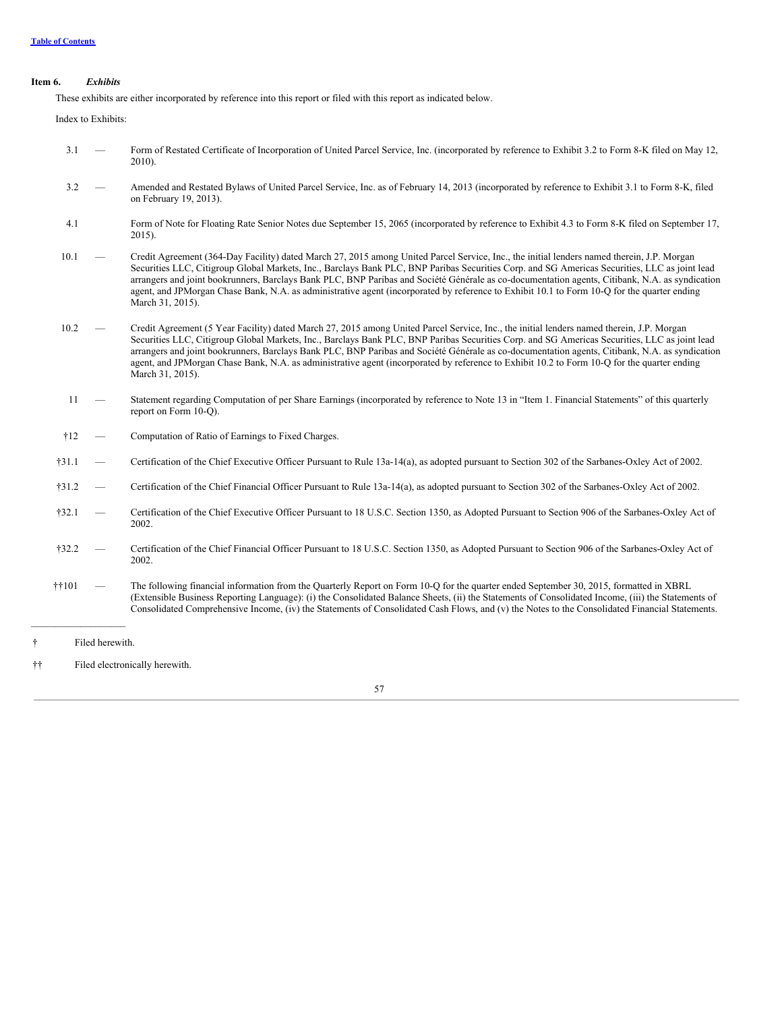### <span id="page-58-0"></span>**Item 6.** *Exhibits*

These exhibits are either incorporated by reference into this report or filed with this report as indicated below.

Index to Exhibits:

| 3.1   | Form of Restated Certificate of Incorporation of United Parcel Service, Inc. (incorporated by reference to Exhibit 3.2 to Form 8-K filed on May 12,<br>$2010$ ).                                                                                                                                                                                                                                                                                                                                                                                                                                                 |
|-------|------------------------------------------------------------------------------------------------------------------------------------------------------------------------------------------------------------------------------------------------------------------------------------------------------------------------------------------------------------------------------------------------------------------------------------------------------------------------------------------------------------------------------------------------------------------------------------------------------------------|
| 3.2   | Amended and Restated Bylaws of United Parcel Service, Inc. as of February 14, 2013 (incorporated by reference to Exhibit 3.1 to Form 8-K, filed<br>on February 19, 2013).                                                                                                                                                                                                                                                                                                                                                                                                                                        |
| 4.1   | Form of Note for Floating Rate Senior Notes due September 15, 2065 (incorporated by reference to Exhibit 4.3 to Form 8-K filed on September 17,<br>$2015$ ).                                                                                                                                                                                                                                                                                                                                                                                                                                                     |
| 10.1  | Credit Agreement (364-Day Facility) dated March 27, 2015 among United Parcel Service, Inc., the initial lenders named therein, J.P. Morgan<br>Securities LLC, Citigroup Global Markets, Inc., Barclays Bank PLC, BNP Paribas Securities Corp. and SG Americas Securities, LLC as joint lead<br>arrangers and joint bookrunners, Barclays Bank PLC, BNP Paribas and Société Générale as co-documentation agents, Citibank, N.A. as syndication<br>agent, and JPMorgan Chase Bank, N.A. as administrative agent (incorporated by reference to Exhibit 10.1 to Form 10-Q for the quarter ending<br>March 31, 2015). |
| 10.2  | Credit Agreement (5 Year Facility) dated March 27, 2015 among United Parcel Service, Inc., the initial lenders named therein, J.P. Morgan<br>Securities LLC, Citigroup Global Markets, Inc., Barclays Bank PLC, BNP Paribas Securities Corp. and SG Americas Securities, LLC as joint lead<br>arrangers and joint bookrunners, Barclays Bank PLC, BNP Paribas and Société Générale as co-documentation agents, Citibank, N.A. as syndication<br>agent, and JPMorgan Chase Bank, N.A. as administrative agent (incorporated by reference to Exhibit 10.2 to Form 10-Q for the quarter ending<br>March 31, 2015).  |
| 11    | Statement regarding Computation of per Share Earnings (incorporated by reference to Note 13 in "Item 1. Financial Statements" of this quarterly<br>report on Form 10-Q).                                                                                                                                                                                                                                                                                                                                                                                                                                         |
| $+12$ | Computation of Ratio of Earnings to Fixed Charges.                                                                                                                                                                                                                                                                                                                                                                                                                                                                                                                                                               |
| †31.1 | Certification of the Chief Executive Officer Pursuant to Rule 13a-14(a), as adopted pursuant to Section 302 of the Sarbanes-Oxley Act of 2002.                                                                                                                                                                                                                                                                                                                                                                                                                                                                   |
| †31.2 | Certification of the Chief Financial Officer Pursuant to Rule 13a-14(a), as adopted pursuant to Section 302 of the Sarbanes-Oxley Act of 2002.                                                                                                                                                                                                                                                                                                                                                                                                                                                                   |
| †32.1 | Certification of the Chief Executive Officer Pursuant to 18 U.S.C. Section 1350, as Adopted Pursuant to Section 906 of the Sarbanes-Oxley Act of<br>2002.                                                                                                                                                                                                                                                                                                                                                                                                                                                        |
| †32.2 | Certification of the Chief Financial Officer Pursuant to 18 U.S.C. Section 1350, as Adopted Pursuant to Section 906 of the Sarbanes-Oxley Act of<br>2002.                                                                                                                                                                                                                                                                                                                                                                                                                                                        |
| ††101 | The following financial information from the Quarterly Report on Form 10-Q for the quarter ended September 30, 2015, formatted in XBRL<br>(Extensible Business Reporting Language): (i) the Consolidated Balance Sheets, (ii) the Statements of Consolidated Income, (iii) the Statements of<br>Consolidated Comprehensive Income, (iv) the Statements of Consolidated Cash Flows, and (v) the Notes to the Consolidated Financial Statements.                                                                                                                                                                   |

 $\mathcal{L}_\text{max}$ † Filed herewith.

†† Filed electronically herewith.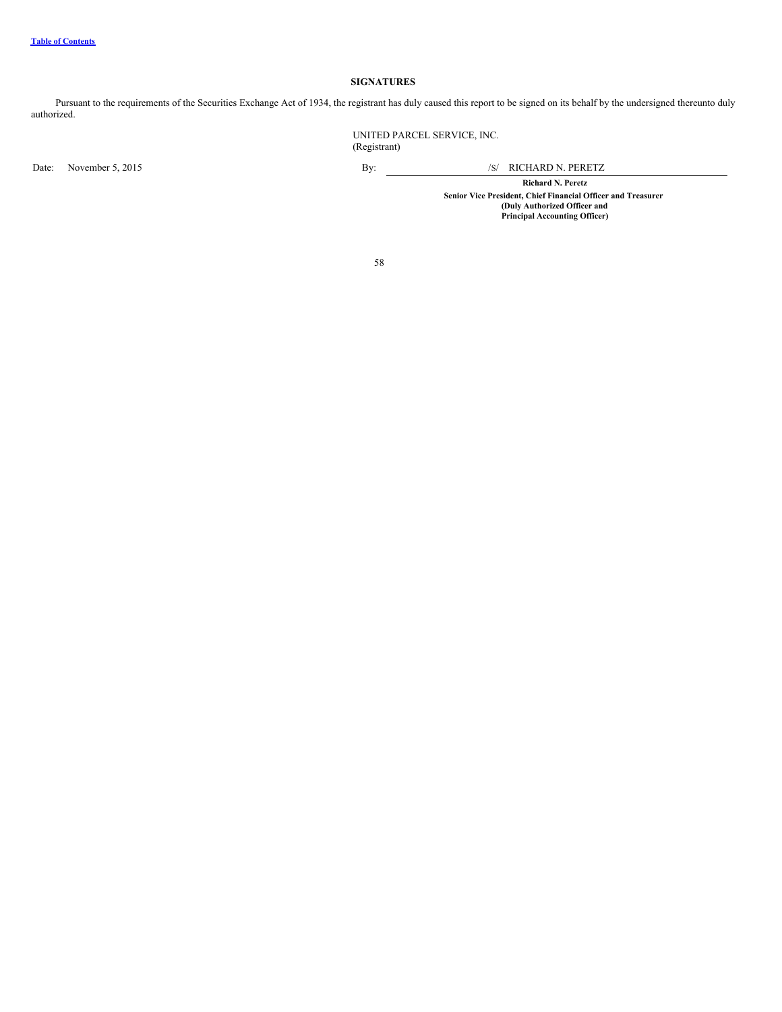### **SIGNATURES**

Pursuant to the requirements of the Securities Exchange Act of 1934, the registrant has duly caused this report to be signed on its behalf by the undersigned thereunto duly authorized.

> UNITED PARCEL SERVICE, INC. (Registrant)

Date: November 5, 2015 By: /S/ RICHARD N. PERETZ

**Richard N. Peretz**

**Senior Vice President, Chief Financial Officer and Treasurer (Duly Authorized Officer and Principal Accounting Officer)**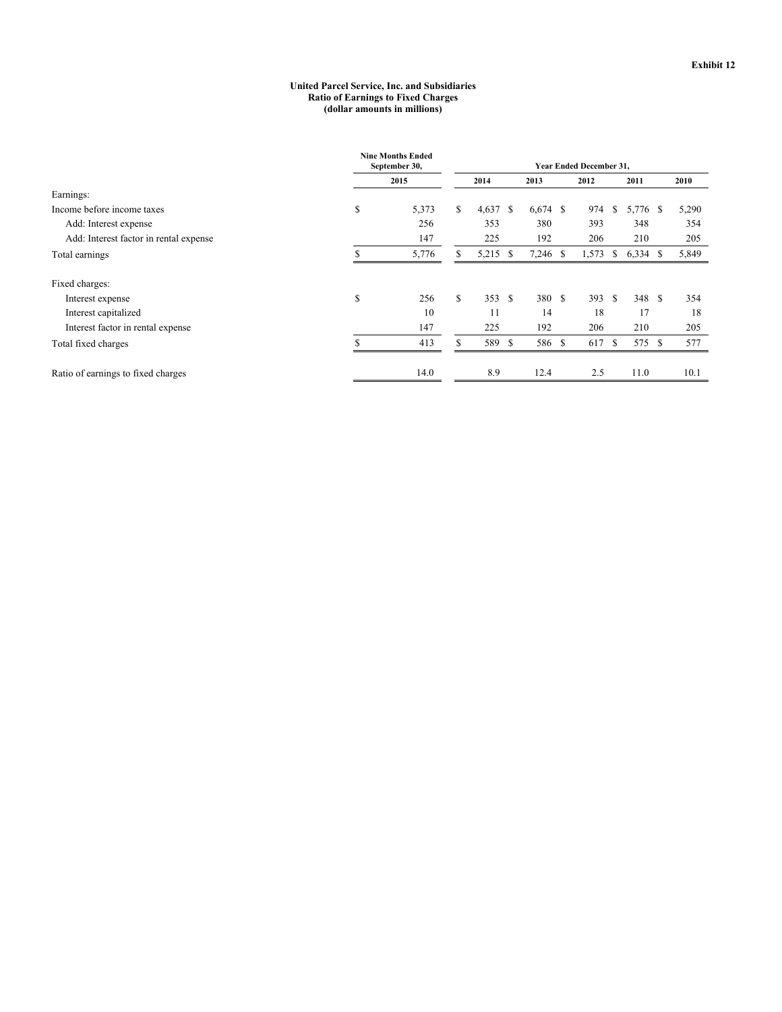#### **United Parcel Service, Inc. and Subsidiaries Ratio of Earnings to Fixed Charges (dollar amounts in millions)**

|                                        | <b>Nine Months Ended</b><br>September 30, |       |      | Year Ended December 31, |               |            |  |        |    |            |  |       |  |  |
|----------------------------------------|-------------------------------------------|-------|------|-------------------------|---------------|------------|--|--------|----|------------|--|-------|--|--|
|                                        | 2015                                      |       | 2014 |                         |               | 2013       |  | 2012   |    | 2011       |  | 2010  |  |  |
| Earnings:                              |                                           |       |      |                         |               |            |  |        |    |            |  |       |  |  |
| Income before income taxes             | \$                                        | 5,373 | \$   | 4,637                   | \$            | $6,674$ \$ |  | 974    | \$ | 5,776 \$   |  | 5,290 |  |  |
| Add: Interest expense                  |                                           | 256   |      | 353                     |               | 380        |  | 393    |    | 348        |  | 354   |  |  |
| Add: Interest factor in rental expense |                                           | 147   |      | 225                     |               | 192        |  | 206    |    | 210        |  | 205   |  |  |
| Total earnings                         |                                           | 5,776 | \$.  | 5,215 \$                |               | $7,246$ \$ |  | 1,573  | S  | $6,334$ \$ |  | 5,849 |  |  |
| Fixed charges:                         |                                           |       |      |                         |               |            |  |        |    |            |  |       |  |  |
| Interest expense                       | \$                                        | 256   | \$   | 353                     | <sup>\$</sup> | 380 \$     |  | 393S   |    | 348 \$     |  | 354   |  |  |
| Interest capitalized                   |                                           | 10    |      | 11                      |               | 14         |  | 18     |    | 17         |  | 18    |  |  |
| Interest factor in rental expense      |                                           | 147   |      | 225                     |               | 192        |  | 206    |    | 210        |  | 205   |  |  |
| Total fixed charges                    |                                           | 413   | \$   | 589                     | <sup>\$</sup> | 586 \$     |  | 617 \$ |    | 575 \$     |  | 577   |  |  |
| Ratio of earnings to fixed charges     |                                           | 14.0  |      | 8.9                     |               | 12.4       |  | 2.5    |    | 11.0       |  | 10.1  |  |  |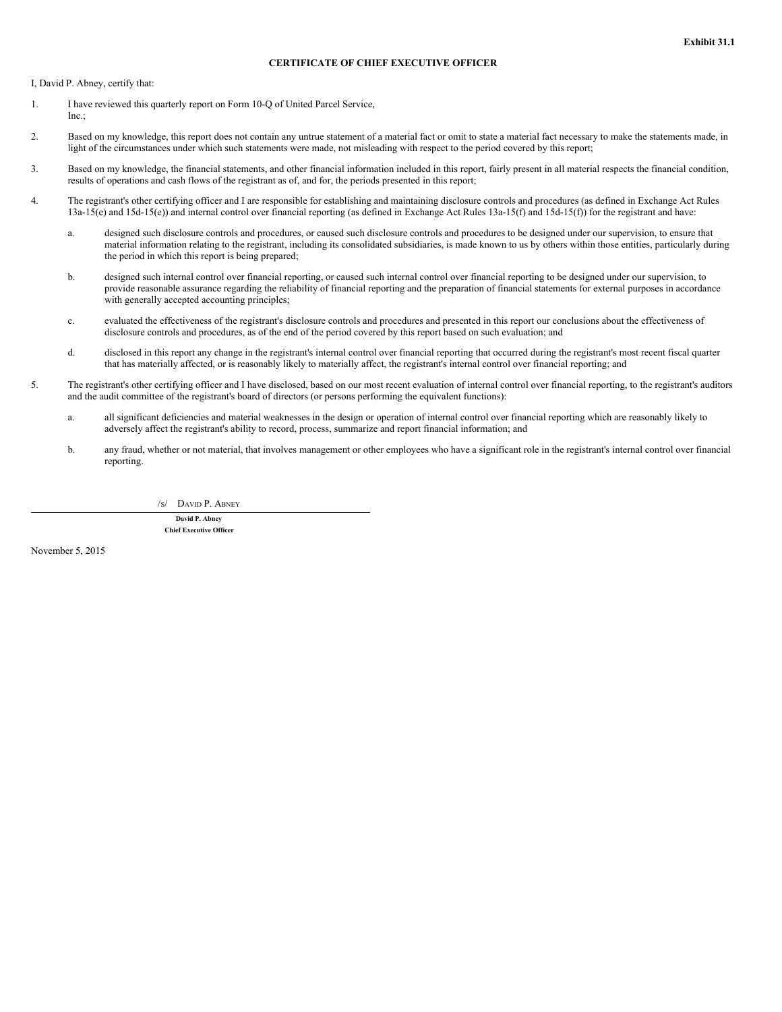# **CERTIFICATE OF CHIEF EXECUTIVE OFFICER**

#### I, David P. Abney, certify that:

- 1. I have reviewed this quarterly report on Form 10-Q of United Parcel Service, Inc.;
- 2. Based on my knowledge, this report does not contain any untrue statement of a material fact or omit to state a material fact necessary to make the statements made, in light of the circumstances under which such statements were made, not misleading with respect to the period covered by this report;
- 3. Based on my knowledge, the financial statements, and other financial information included in this report, fairly present in all material respects the financial condition, results of operations and cash flows of the registrant as of, and for, the periods presented in this report;
- 4. The registrant's other certifying officer and I are responsible for establishing and maintaining disclosure controls and procedures (as defined in Exchange Act Rules 13a-15(e) and 15d-15(e)) and internal control over financial reporting (as defined in Exchange Act Rules 13a-15(f) and 15d-15(f)) for the registrant and have:
	- a. designed such disclosure controls and procedures, or caused such disclosure controls and procedures to be designed under our supervision, to ensure that material information relating to the registrant, including its consolidated subsidiaries, is made known to us by others within those entities, particularly during the period in which this report is being prepared;
	- b. designed such internal control over financial reporting, or caused such internal control over financial reporting to be designed under our supervision, to provide reasonable assurance regarding the reliability of financial reporting and the preparation of financial statements for external purposes in accordance with generally accepted accounting principles;
	- c. evaluated the effectiveness of the registrant's disclosure controls and procedures and presented in this report our conclusions about the effectiveness of disclosure controls and procedures, as of the end of the period covered by this report based on such evaluation; and
	- d. disclosed in this report any change in the registrant's internal control over financial reporting that occurred during the registrant's most recent fiscal quarter that has materially affected, or is reasonably likely to materially affect, the registrant's internal control over financial reporting; and
- 5. The registrant's other certifying officer and I have disclosed, based on our most recent evaluation of internal control over financial reporting, to the registrant's auditors and the audit committee of the registrant's board of directors (or persons performing the equivalent functions):
	- a. all significant deficiencies and material weaknesses in the design or operation of internal control over financial reporting which are reasonably likely to adversely affect the registrant's ability to record, process, summarize and report financial information; and
	- b. any fraud, whether or not material, that involves management or other employees who have a significant role in the registrant's internal control over financial reporting.

/S/ DAVID P. ABNEY

**David P. Abney Chief Executive Officer**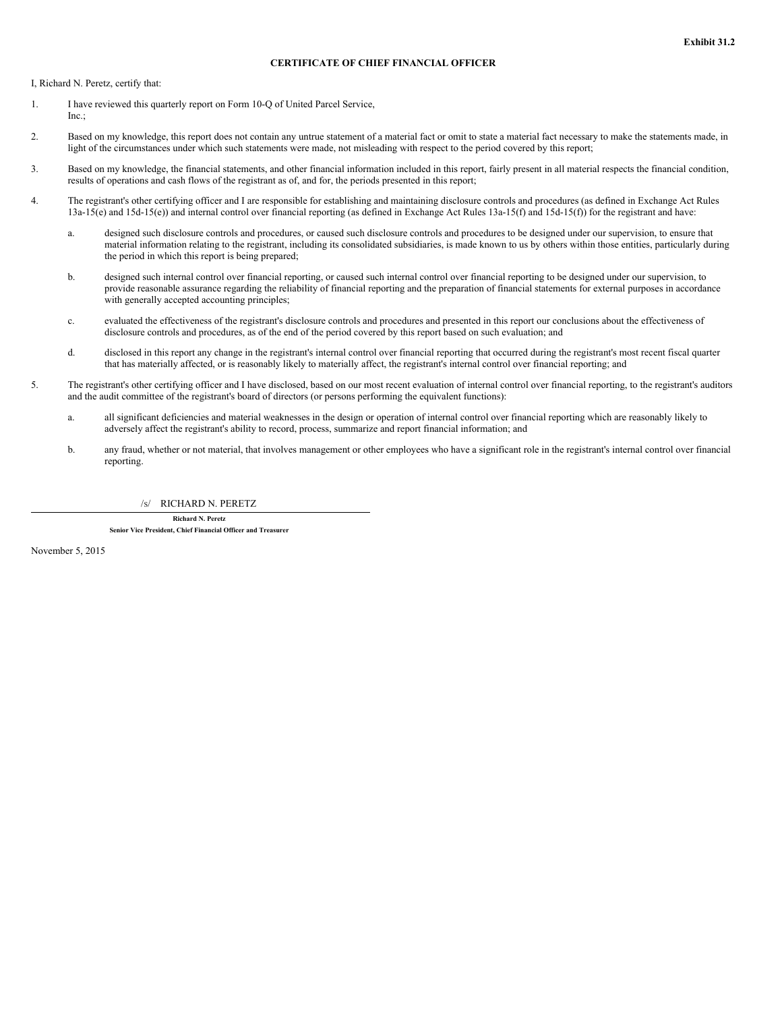### **CERTIFICATE OF CHIEF FINANCIAL OFFICER**

I, Richard N. Peretz, certify that:

- 1. I have reviewed this quarterly report on Form 10-Q of United Parcel Service, Inc.;
- 2. Based on my knowledge, this report does not contain any untrue statement of a material fact or omit to state a material fact necessary to make the statements made, in light of the circumstances under which such statements were made, not misleading with respect to the period covered by this report;
- 3. Based on my knowledge, the financial statements, and other financial information included in this report, fairly present in all material respects the financial condition, results of operations and cash flows of the registrant as of, and for, the periods presented in this report;
- 4. The registrant's other certifying officer and I are responsible for establishing and maintaining disclosure controls and procedures (as defined in Exchange Act Rules 13a-15(e) and 15d-15(e)) and internal control over financial reporting (as defined in Exchange Act Rules 13a-15(f) and 15d-15(f)) for the registrant and have:
	- a. designed such disclosure controls and procedures, or caused such disclosure controls and procedures to be designed under our supervision, to ensure that material information relating to the registrant, including its consolidated subsidiaries, is made known to us by others within those entities, particularly during the period in which this report is being prepared;
	- b. designed such internal control over financial reporting, or caused such internal control over financial reporting to be designed under our supervision, to provide reasonable assurance regarding the reliability of financial reporting and the preparation of financial statements for external purposes in accordance with generally accepted accounting principles;
	- c. evaluated the effectiveness of the registrant's disclosure controls and procedures and presented in this report our conclusions about the effectiveness of disclosure controls and procedures, as of the end of the period covered by this report based on such evaluation; and
	- d. disclosed in this report any change in the registrant's internal control over financial reporting that occurred during the registrant's most recent fiscal quarter that has materially affected, or is reasonably likely to materially affect, the registrant's internal control over financial reporting; and
- 5. The registrant's other certifying officer and I have disclosed, based on our most recent evaluation of internal control over financial reporting, to the registrant's auditors and the audit committee of the registrant's board of directors (or persons performing the equivalent functions):
	- a. all significant deficiencies and material weaknesses in the design or operation of internal control over financial reporting which are reasonably likely to adversely affect the registrant's ability to record, process, summarize and report financial information; and
	- b. any fraud, whether or not material, that involves management or other employees who have a significant role in the registrant's internal control over financial reporting.

/S/ RICHARD N. PERETZ

**Richard N. Peretz**

**Senior Vice President, Chief Financial Officer and Treasurer**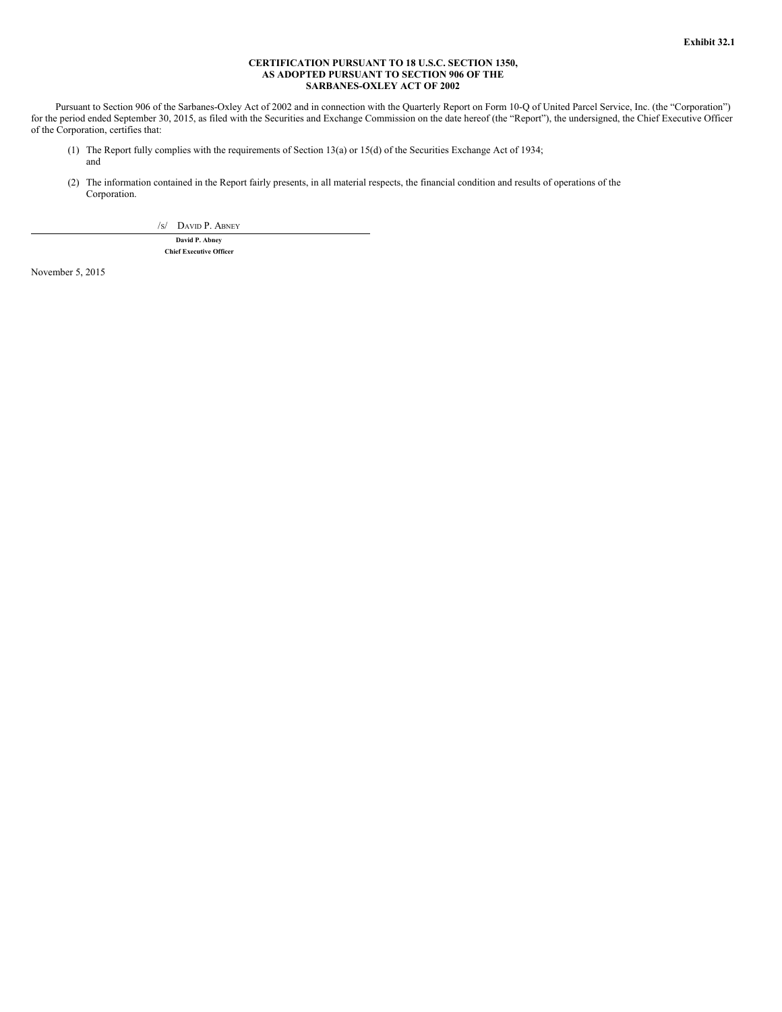### **CERTIFICATION PURSUANT TO 18 U.S.C. SECTION 1350, AS ADOPTED PURSUANT TO SECTION 906 OF THE SARBANES-OXLEY ACT OF 2002**

Pursuant to Section 906 of the Sarbanes-Oxley Act of 2002 and in connection with the Quarterly Report on Form 10-Q of United Parcel Service, Inc. (the "Corporation") for the period ended September 30, 2015, as filed with the Securities and Exchange Commission on the date hereof (the "Report"), the undersigned, the Chief Executive Officer of the Corporation, certifies that:

- (1) The Report fully complies with the requirements of Section 13(a) or 15(d) of the Securities Exchange Act of 1934; and
- (2) The information contained in the Report fairly presents, in all material respects, the financial condition and results of operations of the Corporation.

/S/ DAVID P. ABNEY

**David P. Abney Chief Executive Officer**